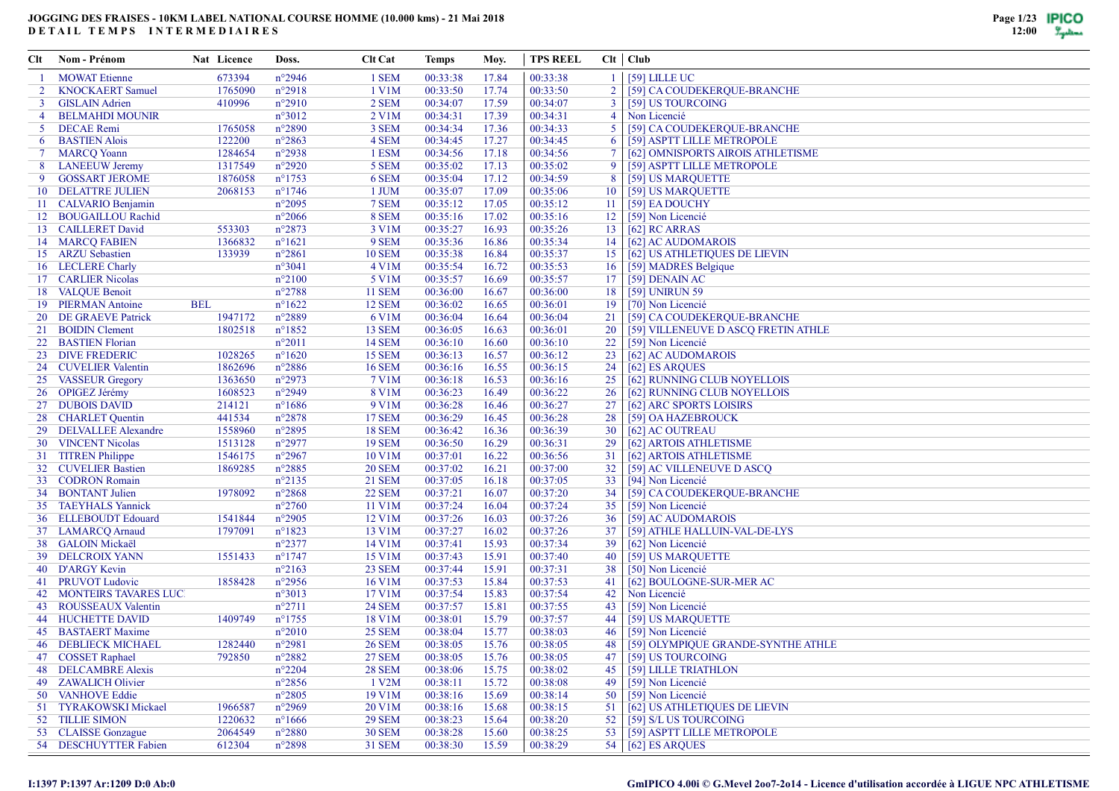| Clt            | Nom - Prénom                    |            | Nat Licence | Doss.            | <b>Clt Cat</b>          | Temps    | Moy.  | <b>TPS REEL</b> |                 | $Clt$ $Club$                        |
|----------------|---------------------------------|------------|-------------|------------------|-------------------------|----------|-------|-----------------|-----------------|-------------------------------------|
|                | <b>MOWAT Etienne</b>            |            | 673394      | $n^{\circ}2946$  | 1 SEM                   | 00:33:38 | 17.84 | 00:33:38        | $\mathbf{1}$    | $[59]$ LILLE UC                     |
| $\overline{2}$ | <b>KNOCKAERT Samuel</b>         |            | 1765090     | $n^{\circ}2918$  | 1 V1M                   | 00:33:50 | 17.74 | 00:33:50        | $\overline{2}$  | [59] CA COUDEKERQUE-BRANCHE         |
| 3              | <b>GISLAIN Adrien</b>           |            | 410996      | $n^{\circ}2910$  | 2 SEM                   | 00:34:07 | 17.59 | 00:34:07        | $\overline{3}$  | [59] US TOURCOING                   |
| 4              | <b>BELMAHDI MOUNIR</b>          |            |             | $n^{\circ}3012$  | 2 V1M                   | 00:34:31 | 17.39 | 00:34:31        | $\overline{4}$  | Non Licencié                        |
| 5              | <b>DECAE</b> Remi               |            | 1765058     | $n^{\circ}2890$  | 3 SEM                   | 00:34:34 | 17.36 | 00:34:33        | 5               | [59] CA COUDEKERQUE-BRANCHE         |
| 6              | <b>BASTIEN Alois</b>            |            | 122200      | $n^{\circ}2863$  | 4 SEM                   | 00:34:45 | 17.27 | 00:34:45        | 6               | [59] ASPTT LILLE METROPOLE          |
| $7^{\circ}$    | <b>MARCQ Yoann</b>              |            | 1284654     | $n^{\circ}2938$  | 1 ESM                   | 00:34:56 | 17.18 | 00:34:56        | 7               | [62] OMNISPORTS AIROIS ATHLETISME   |
| 8              | <b>LANEEUW Jeremy</b>           |            | 1317549     | $n^{\circ}2920$  | 5 SEM                   | 00:35:02 | 17.13 | 00:35:02        | 9               | [59] ASPTT LILLE METROPOLE          |
| 9              | <b>GOSSART JEROME</b>           |            | 1876058     | $n^{\circ}1753$  | 6 SEM                   | 00:35:04 | 17.12 | 00:34:59        | 8               | [59] US MARQUETTE                   |
|                | <b>10 DELATTRE JULIEN</b>       |            | 2068153     | $n^{\circ}1746$  | 1 JUM                   | 00:35:07 | 17.09 | 00:35:06        | 10              | [59] US MARQUETTE                   |
|                | 11 CALVARIO Benjamin            |            |             | $n^{\circ}2095$  | 7 SEM                   | 00:35:12 | 17.05 | 00:35:12        | -11             | [59] EA DOUCHY                      |
|                | 12 BOUGAILLOU Rachid            |            |             | $n^{\circ}2066$  | 8 SEM                   | 00:35:16 | 17.02 | 00:35:16        | 12              | [59] Non Licencié                   |
|                | 13 CAILLERET David              |            | 553303      | $n^{\circ}2873$  | 3 V1M                   | 00:35:27 | 16.93 | 00:35:26        | 13              | [62] RC ARRAS                       |
|                | 14 MARCQ FABIEN                 |            | 1366832     | $n^{\circ}1621$  | 9 SEM                   | 00:35:36 | 16.86 | 00:35:34        | 14              | [62] AC AUDOMAROIS                  |
|                | 15 ARZU Sebastien               |            | 133939      | $n^{\circ}2861$  | <b>10 SEM</b>           | 00:35:38 | 16.84 | 00:35:37        | 15              | [62] US ATHLETIQUES DE LIEVIN       |
|                | 16 LECLERE Charly               |            |             | $n^{\circ}3041$  | 4 V1M                   | 00:35:54 | 16.72 | 00:35:53        | 16              | [59] MADRES Belgique                |
|                | 17 CARLIER Nicolas              |            |             | $n^{\circ}2100$  | 5 V1M                   | 00:35:57 | 16.69 | 00:35:57        | 17              | [59] DENAIN AC                      |
|                | 18 VALQUE Benoit                |            |             | $n^{\circ}2788$  | <b>11 SEM</b>           | 00:36:00 | 16.67 | 00:36:00        | 18              | [59] UNIRUN 59                      |
|                | 19 PIERMAN Antoine              | <b>BEL</b> |             | $n^{\circ}1622$  | <b>12 SEM</b>           | 00:36:02 | 16.65 | 00:36:01        | 19              | [70] Non Licencié                   |
|                | 20 DE GRAEVE Patrick            |            | 1947172     | $n^{\circ}2889$  | 6 V1M                   | 00:36:04 | 16.64 | 00:36:04        | 21              | [59] CA COUDEKERQUE-BRANCHE         |
|                | 21 BOIDIN Clement               |            | 1802518     | $n^{\circ}1852$  | <b>13 SEM</b>           | 00:36:05 | 16.63 | 00:36:01        | 20              | [59] VILLENEUVE D ASCQ FRETIN ATHLE |
|                | 22 BASTIEN Florian              |            |             | $n^{\circ}2011$  | <b>14 SEM</b>           | 00:36:10 | 16.60 | 00:36:10        | 22              | [59] Non Licencié                   |
|                | 23 DIVE FREDERIC                |            | 1028265     | $n^{\circ}1620$  | <b>15 SEM</b>           | 00:36:13 | 16.57 | 00:36:12        | 23              | [62] AC AUDOMAROIS                  |
|                | 24 CUVELIER Valentin            |            | 1862696     | $n^{\circ}2886$  | <b>16 SEM</b>           | 00:36:16 | 16.55 | 00:36:15        | 24              | [62] ES ARQUES                      |
|                | 25 VASSEUR Gregory              |            | 1363650     | $n^{\circ}2973$  | 7 V1M                   | 00:36:18 | 16.53 | 00:36:16        | 25              | [62] RUNNING CLUB NOYELLOIS         |
|                | 26 OPIGEZ Jérémy                |            | 1608523     | $n^{\circ}2949$  | 8 V1M                   | 00:36:23 | 16.49 | 00:36:22        | 26              | [62] RUNNING CLUB NOYELLOIS         |
|                | 27 DUBOIS DAVID                 |            | 214121      | $n^{\circ}1686$  | 9 V1M                   | 00:36:28 | 16.46 | 00:36:27        | 27              | [62] ARC SPORTS LOISIRS             |
|                | 28 CHARLET Quentin              |            | 441534      | $n^{\circ}2878$  | <b>17 SEM</b>           | 00:36:29 | 16.45 | 00:36:28        | 28              | [59] OA HAZEBROUCK                  |
|                | 29 DELVALLEE Alexandre          |            | 1558960     | $n^{\circ}2895$  | <b>18 SEM</b>           | 00:36:42 | 16.36 | 00:36:39        | 30              | [62] AC OUTREAU                     |
|                | 30 VINCENT Nicolas              |            | 1513128     | $n^{\circ}2977$  | <b>19 SEM</b>           | 00:36:50 | 16.29 | 00:36:31        | 29              | [62] ARTOIS ATHLETISME              |
|                | 31 TITREN Philippe              |            | 1546175     | $n^{\circ}2967$  | 10 V1M                  | 00:37:01 | 16.22 | 00:36:56        | 31              | [62] ARTOIS ATHLETISME              |
|                | 32 CUVELIER Bastien             |            | 1869285     | $n^{\circ}2885$  | <b>20 SEM</b>           | 00:37:02 | 16.21 | 00:37:00        | 32 <sup>2</sup> | [59] AC VILLENEUVE D ASCQ           |
|                | 33 CODRON Romain                |            |             | $n^{\circ}2135$  | <b>21 SEM</b>           | 00:37:05 | 16.18 | 00:37:05        | 33              | [94] Non Licencié                   |
|                | 34 BONTANT Julien               |            | 1978092     | $n^{\circ}2868$  | <b>22 SEM</b>           | 00:37:21 | 16.07 | 00:37:20        | 34              | [59] CA COUDEKERQUE-BRANCHE         |
|                | 35 TAEYHALS Yannick             |            |             | $n^{\circ}2760$  | 11 V1M                  | 00:37:24 | 16.04 | 00:37:24        | 35              | [59] Non Licencié                   |
|                | 36 ELLEBOUDT Edouard            |            | 1541844     | $n^{\circ}2905$  | 12 V1M                  | 00:37:26 | 16.03 | 00:37:26        | 36              | [59] AC AUDOMAROIS                  |
|                | 37 LAMARCQ Arnaud               |            | 1797091     | $n^{\circ}1823$  | 13 V1M                  | 00:37:27 | 16.02 | 00:37:26        | 37              | [59] ATHLE HALLUIN-VAL-DE-LYS       |
|                | 38 GALOIN Mickaël               |            |             | $n^{\circ}2377$  | 14 V1M                  | 00:37:41 | 15.93 | 00:37:34        | 39              | [62] Non Licencié                   |
|                | 39 DELCROIX YANN                |            | 1551433     | $n^{\circ}1747$  | 15 V1M                  | 00:37:43 | 15.91 | 00:37:40        | 40              | [59] US MARQUETTE                   |
|                | 40 D'ARGY Kevin                 |            |             | $n^{\circ}2163$  | 23 SEM                  | 00:37:44 | 15.91 | 00:37:31        | 38              | [50] Non Licencié                   |
|                | 41 PRUVOT Ludovic               |            | 1858428     | $n^{\circ}2956$  | 16 V1M                  | 00:37:53 | 15.84 | 00:37:53        | 41              | [62] BOULOGNE-SUR-MER AC            |
|                | <b>42 MONTEIRS TAVARES LUC.</b> |            |             | $n^{\circ}3013$  | 17 V1M                  | 00:37:54 | 15.83 | 00:37:54        | 42              | Non Licencié                        |
|                | 43 ROUSSEAUX Valentin           |            |             | $n^{\circ}2711$  |                         | 00:37:57 |       | 00:37:55        |                 | [59] Non Licencié                   |
|                | <b>44 HUCHETTE DAVID</b>        |            | 1409749     | $n^{\circ}$ 1755 | <b>24 SEM</b><br>18 V1M | 00:38:01 | 15.81 | 00:37:57        | 43              | [59] US MARQUETTE                   |
|                |                                 |            |             |                  |                         |          | 15.79 |                 | 44              |                                     |
|                | 45 BASTAERT Maxime              |            |             | $n^{\circ}2010$  | <b>25 SEM</b>           | 00:38:04 | 15.77 | 00:38:03        | 46              | [59] Non Licencié                   |
|                | 46 DEBLIECK MICHAEL             |            | 1282440     | $n^{\circ}2981$  | <b>26 SEM</b>           | 00:38:05 | 15.76 | 00:38:05        | 48              | [59] OLYMPIOUE GRANDE-SYNTHE ATHLE  |
|                | 47 COSSET Raphael               |            | 792850      | $n^{\circ}2882$  | <b>27 SEM</b>           | 00:38:05 | 15.76 | 00:38:05        | 47              | [59] US TOURCOING                   |
|                | 48 DELCAMBRE Alexis             |            |             | $n^{\circ}2204$  | <b>28 SEM</b>           | 00:38:06 | 15.75 | 00:38:02        |                 | 45   [59] LILLE TRIATHLON           |
|                | 49 ZAWALICH Olivier             |            |             | $n^{\circ}2856$  | 1 V2M                   | 00:38:11 | 15.72 | 00:38:08        | 49              | [59] Non Licencié                   |
|                | 50 VANHOVE Eddie                |            |             | $n^{\circ}2805$  | 19 V1M                  | 00:38:16 | 15.69 | 00:38:14        | 50 <sup>1</sup> | [59] Non Licencié                   |
|                | 51 TYRAKOWSKI Mickael           |            | 1966587     | $n^{\circ}2969$  | 20 V1M                  | 00:38:16 | 15.68 | 00:38:15        | 51              | [62] US ATHLETIQUES DE LIEVIN       |
|                | 52 TILLIE SIMON                 |            | 1220632     | $n^{\circ}1666$  | <b>29 SEM</b>           | 00:38:23 | 15.64 | 00:38:20        |                 | 52   [59] S/L US TOURCOING          |
|                | 53 CLAISSE Gonzague             |            | 2064549     | $n^{\circ}2880$  | <b>30 SEM</b>           | 00:38:28 | 15.60 | 00:38:25        |                 | 53 [59] ASPTT LILLE METROPOLE       |
|                | 54 DESCHUYTTER Fabien           |            | 612304      | $n^{\circ}2898$  | <b>31 SEM</b>           | 00:38:30 | 15.59 | 00:38:29        |                 | 54 [62] ES ARQUES                   |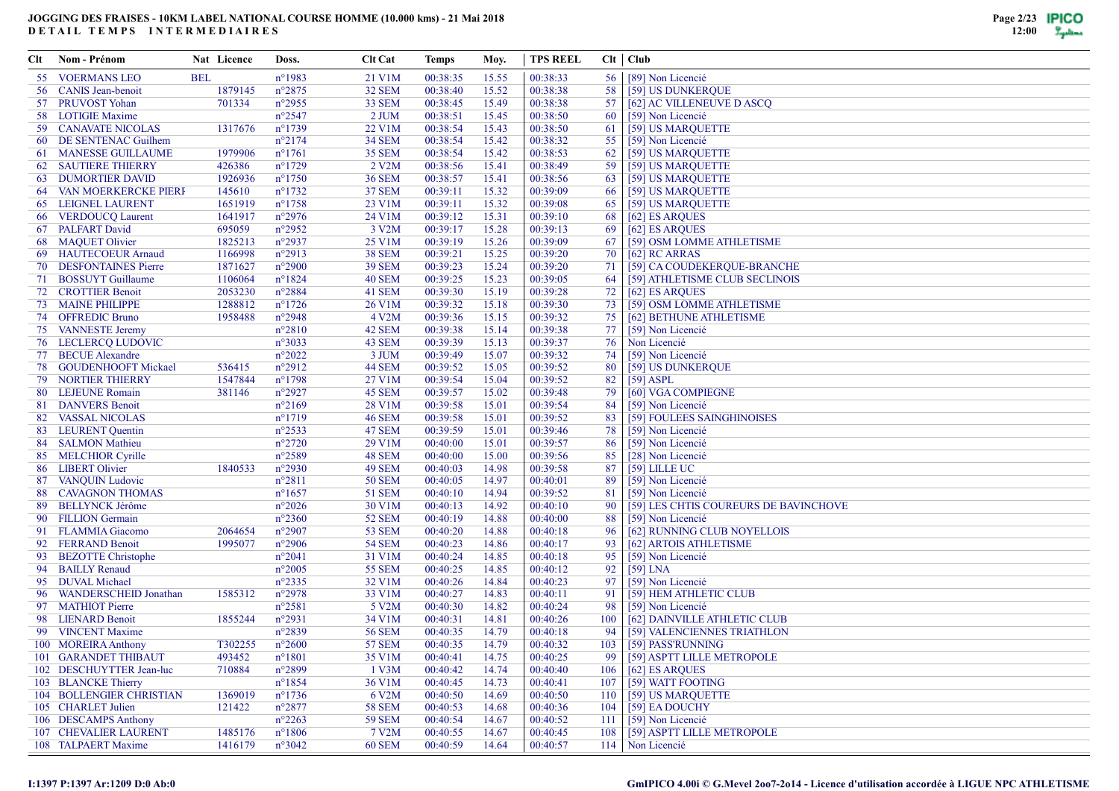| Clt | Nom - Prénom                    |            | Nat Licence | Doss.            | <b>Clt Cat</b>     | Temps    | Moy.  | <b>TPS REEL</b> |                 | $Clt$   $Club$                        |
|-----|---------------------------------|------------|-------------|------------------|--------------------|----------|-------|-----------------|-----------------|---------------------------------------|
|     | 55 VOERMANS LEO                 | <b>BEL</b> |             | $n^{\circ}$ 1983 | 21 V1M             | 00:38:35 | 15.55 | 00:38:33        | 56 <sup>1</sup> | [89] Non Licencié                     |
|     | 56 CANIS Jean-benoit            |            | 1879145     | $n^{\circ}2875$  | <b>32 SEM</b>      | 00:38:40 | 15.52 | 00:38:38        | 58              | [59] US DUNKERQUE                     |
|     | 57 PRUVOST Yohan                |            | 701334      | $n^{\circ}2955$  | 33 SEM             | 00:38:45 | 15.49 | 00:38:38        | 57              | [62] AC VILLENEUVE D ASCQ             |
|     | 58 LOTIGIE Maxime               |            |             | $n^{\circ}2547$  | $2$ JUM            | 00:38:51 | 15.45 | 00:38:50        | 60              | [59] Non Licencié                     |
|     | 59 CANAVATE NICOLAS             |            | 1317676     | $n^{\circ}1739$  | 22 V1M             | 00:38:54 | 15.43 | 00:38:50        | 61              | [59] US MARQUETTE                     |
|     | 60 DE SENTENAC Guilhem          |            |             | $n^{\circ}2174$  | <b>34 SEM</b>      | 00:38:54 | 15.42 | 00:38:32        | 55              | [59] Non Licencié                     |
|     | 61 MANESSE GUILLAUME            |            | 1979906     | $n^{\circ}1761$  | <b>35 SEM</b>      | 00:38:54 | 15.42 | 00:38:53        | 62              | [59] US MARQUETTE                     |
| 62  | <b>SAUTIERE THIERRY</b>         |            | 426386      | $n^{\circ}1729$  | 2 V2M              | 00:38:56 | 15.41 | 00:38:49        | 59              | [59] US MARQUETTE                     |
|     | <b>63 DUMORTIER DAVID</b>       |            | 1926936     | $n^{\circ}1750$  | <b>36 SEM</b>      | 00:38:57 | 15.41 | 00:38:56        | 63              | [59] US MARQUETTE                     |
| 64  | <b>VAN MOERKERCKE PIERI</b>     |            | 145610      | $n^{\circ}1732$  | <b>37 SEM</b>      | 00:39:11 | 15.32 | 00:39:09        | 66              | [59] US MARQUETTE                     |
|     | 65 LEIGNEL LAURENT              |            | 1651919     | $n^{\circ}1758$  | 23 V1M             | 00:39:11 | 15.32 | 00:39:08        | 65              | [59] US MARQUETTE                     |
|     | 66 VERDOUCQ Laurent             |            | 1641917     | $n^{\circ}2976$  | 24 V1M             | 00:39:12 | 15.31 | 00:39:10        | 68              | [62] ES ARQUES                        |
|     | 67 PALFART David                |            | 695059      | n°2952           | 3 V2M              | 00:39:17 | 15.28 | 00:39:13        | 69              | [62] ES ARQUES                        |
|     | 68 MAQUET Olivier               |            | 1825213     | n°2937           | 25 V1M             | 00:39:19 | 15.26 | 00:39:09        | 67              | [59] OSM LOMME ATHLETISME             |
|     | 69 HAUTECOEUR Arnaud            |            | 1166998     | $n^{\circ}2913$  | 38 SEM             | 00:39:21 | 15.25 | 00:39:20        | 70              | $[62]$ RC ARRAS                       |
|     | 70 DESFONTAINES Pierre          |            | 1871627     | $n^{\circ}2900$  | <b>39 SEM</b>      | 00:39:23 | 15.24 | 00:39:20        | 71              | [59] CA COUDEKERQUE-BRANCHE           |
|     | 71 BOSSUYT Guillaume            |            | 1106064     | $n^{\circ}1824$  | <b>40 SEM</b>      | 00:39:25 | 15.23 | 00:39:05        | 64              | [59] ATHLETISME CLUB SECLINOIS        |
|     | 72 CROTTIER Benoit              |            | 2053230     | $n^{\circ}2884$  | 41 SEM             | 00:39:30 | 15.19 | 00:39:28        | 72              | [62] ES ARQUES                        |
|     | 73 MAINE PHILIPPE               |            | 1288812     | $n^{\circ}$ 1726 | 26 V1M             | 00:39:32 | 15.18 | 00:39:30        | 73              | [59] OSM LOMME ATHLETISME             |
|     | 74 OFFREDIC Bruno               |            | 1958488     | $n^{\circ}2948$  | 4 V <sub>2</sub> M | 00:39:36 | 15.15 | 00:39:32        | 75              | [62] BETHUNE ATHLETISME               |
|     | 75 VANNESTE Jeremy              |            |             | $n^{\circ}2810$  | 42 SEM             | 00:39:38 | 15.14 | 00:39:38        | 77              | [59] Non Licencié                     |
|     | <b>76 LECLERCQ LUDOVIC</b>      |            |             | n°3033           | 43 SEM             | 00:39:39 | 15.13 | 00:39:37        | 76              | Non Licencié                          |
|     | 77 BECUE Alexandre              |            |             | $n^{\circ}2022$  | 3 JUM              | 00:39:49 | 15.07 | 00:39:32        | 74              | [59] Non Licencié                     |
|     | 78 GOUDENHOOFT Mickael          |            | 536415      | $n^{\circ}2912$  | <b>44 SEM</b>      | 00:39:52 | 15.05 | 00:39:52        | 80              | [59] US DUNKERQUE                     |
|     | <b>79 NORTIER THIERRY</b>       |            | 1547844     | $n^{\circ}1798$  | 27 V1M             | 00:39:54 | 15.04 | 00:39:52        | 82              | $[59]$ ASPL                           |
|     | 80 LEJEUNE Romain               |            | 381146      | $n^{\circ}2927$  | 45 SEM             | 00:39:57 | 15.02 | 00:39:48        | 79              | [60] VGA COMPIEGNE                    |
| 81  | <b>DANVERS Benoit</b>           |            |             | $n^{\circ}2169$  | 28 V1M             | 00:39:58 | 15.01 | 00:39:54        | 84              | [59] Non Licencié                     |
|     | 82 VASSAL NICOLAS               |            |             | $n^{\circ}1719$  | <b>46 SEM</b>      | 00:39:58 | 15.01 | 00:39:52        | 83              | [59] FOULEES SAINGHINOISES            |
|     | 83 LEURENT Quentin              |            |             | $n^{\circ}2533$  | <b>47 SEM</b>      | 00:39:59 | 15.01 | 00:39:46        | 78              | [59] Non Licencié                     |
|     | 84 SALMON Mathieu               |            |             | $n^{\circ}2720$  | 29 V1M             | 00:40:00 | 15.01 | 00:39:57        | 86              | [59] Non Licencié                     |
|     | 85 MELCHIOR Cyrille             |            |             | $n^{\circ}2589$  | 48 SEM             | 00:40:00 | 15.00 | 00:39:56        | 85              | [28] Non Licencié                     |
|     | 86 LIBERT Olivier               |            | 1840533     | $n^{\circ}2930$  | 49 SEM             | 00:40:03 | 14.98 | 00:39:58        | 87              | $[59]$ LILLE UC                       |
|     | 87 VANQUIN Ludovic              |            |             | $n^{\circ}2811$  | 50 SEM             | 00:40:05 | 14.97 | 00:40:01        | 89              | [59] Non Licencié                     |
| 88  | <b>CAVAGNON THOMAS</b>          |            |             | $n^{\circ}1657$  | 51 SEM             | 00:40:10 | 14.94 | 00:39:52        | 81              | [59] Non Licencié                     |
|     | 89 BELLYNCK Jérôme              |            |             | $n^{\circ}2026$  | 30 V1M             | 00:40:13 | 14.92 | 00:40:10        | 90              | [59] LES CHTIS COUREURS DE BAVINCHOVE |
|     | 90 FILLION Germain              |            |             | $n^{\circ}2360$  | 52 SEM             | 00:40:19 | 14.88 | 00:40:00        | 88              | [59] Non Licencié                     |
|     | 91 FLAMMIA Giacomo              |            | 2064654     | $n^{\circ}2907$  | <b>53 SEM</b>      | 00:40:20 | 14.88 | 00:40:18        | 96              | [62] RUNNING CLUB NOYELLOIS           |
|     | 92 FERRAND Benoit               |            | 1995077     | $n^{\circ}2906$  | <b>54 SEM</b>      | 00:40:23 | 14.86 | 00:40:17        | 93              | [62] ARTOIS ATHLETISME                |
|     | 93 BEZOTTE Christophe           |            |             | $n^{\circ}2041$  | 31 V1M             | 00:40:24 | 14.85 | 00:40:18        | 95              | [59] Non Licencié                     |
|     | 94 BAILLY Renaud                |            |             | $n^{\circ}2005$  | 55 SEM             | 00:40:25 | 14.85 | 00:40:12        | 92              | $[59]$ LNA                            |
|     | 95 DUVAL Michael                |            |             | $n^{\circ}2335$  | 32 V1M             | 00:40:26 | 14.84 | 00:40:23        | 97              | [59] Non Licencié                     |
|     | 96 WANDERSCHEID Jonathan        |            | 1585312     | $n^{\circ}2978$  | 33 V1M             | 00:40:27 | 14.83 | 00:40:11        | 91              | [59] HEM ATHLETIC CLUB                |
|     | 97 MATHIOT Pierre               |            |             | $n^{\circ}2581$  | 5 V2M              | 00:40:30 | 14.82 | 00:40:24        | 98              | [59] Non Licencié                     |
|     | 98 LIENARD Benoit               |            | 1855244     | $n^{\circ}2931$  | 34 V1M             | 00:40:31 | 14.81 | 00:40:26        | 100             | [62] DAINVILLE ATHLETIC CLUB          |
|     | 99 VINCENT Maxime               |            |             | n°2839           | <b>56 SEM</b>      | 00:40:35 | 14.79 | 00:40:18        | 94              | [59] VALENCIENNES TRIATHLON           |
|     | 100 MOREIRA Anthony             |            | T302255     | $n^{\circ}2600$  | <b>57 SEM</b>      | 00:40:35 | 14.79 | 00:40:32        | 103             | [59] PASS'RUNNING                     |
|     | 101 GARANDET THIBAUT            |            | 493452      | $n^{\circ}1801$  | 35 V1M             | 00:40:41 | 14.75 | 00:40:25        | 99.             | [59] ASPTT LILLE METROPOLE            |
|     | 102 DESCHUYTTER Jean-luc        |            | 710884      | $n^{\circ}2899$  | $1$ V3M            | 00:40:42 | 14.74 | 00:40:40        |                 | 106   [62] ES ARQUES                  |
|     | 103 BLANCKE Thierry             |            |             | $n^{\circ}$ 1854 | 36 V1M             | 00:40:45 | 14.73 | 00:40:41        | 107             | [59] WATT FOOTING                     |
|     | <b>104 BOLLENGIER CHRISTIAN</b> |            | 1369019     | $n^{\circ}$ 1736 | 6 V2M              | 00:40:50 | 14.69 | 00:40:50        |                 | 110 [59] US MARQUETTE                 |
|     | 105 CHARLET Julien              |            | 121422      | $n^{\circ}2877$  | <b>58 SEM</b>      | 00:40:53 | 14.68 | 00:40:36        |                 | 104   [59] EA DOUCHY                  |
|     | 106 DESCAMPS Anthony            |            |             | $n^{\circ}2263$  | <b>59 SEM</b>      | 00:40:54 | 14.67 | 00:40:52        |                 | 111 [59] Non Licencié                 |
|     | 107 CHEVALIER LAURENT           |            | 1485176     | $n^{\circ}1806$  | 7 V2M              | 00:40:55 | 14.67 | 00:40:45        |                 | 108   [59] ASPTT LILLE METROPOLE      |
|     | 108 TALPAERT Maxime             |            | 1416179     | $n^{\circ}3042$  | <b>60 SEM</b>      | 00:40:59 | 14.64 | 00:40:57        |                 | 114 Non Licencié                      |
|     |                                 |            |             |                  |                    |          |       |                 |                 |                                       |

#### **I:1397 P:1397 Ar:1209 D:0 Ab:0**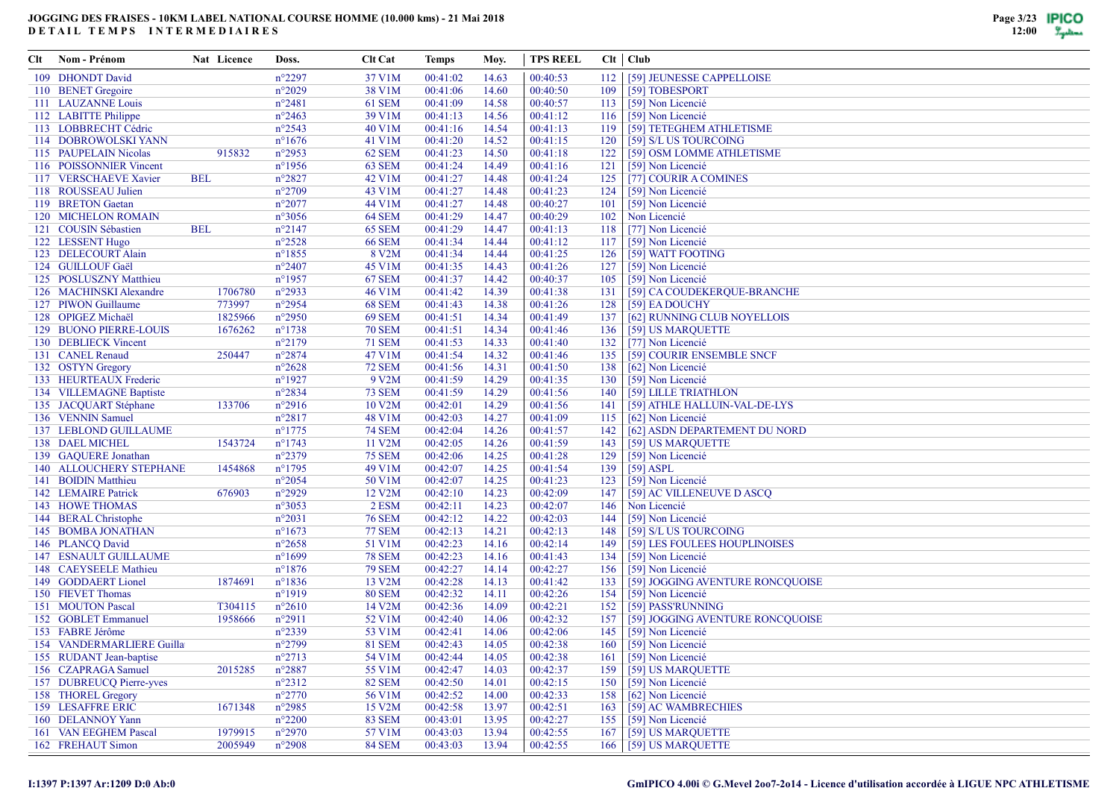| Clt | Nom - Prénom                               | Nat Licence        | Doss.                              | <b>Clt Cat</b>          | Temps                | Moy.           | <b>TPS REEL</b>      |     | Clt   Club                             |
|-----|--------------------------------------------|--------------------|------------------------------------|-------------------------|----------------------|----------------|----------------------|-----|----------------------------------------|
|     | 109 DHONDT David                           |                    | $n^{\circ}2297$                    | 37 V1M                  | 00:41:02             | 14.63          | 00:40:53             | 112 | [59] JEUNESSE CAPPELLOISE              |
|     | 110 BENET Gregoire                         |                    | $n^{\circ}2029$                    | 38 V1M                  | 00:41:06             | 14.60          | 00:40:50             | 109 | [59] TOBESPORT                         |
|     | 111 LAUZANNE Louis                         |                    | $n^{\circ}2481$                    | 61 SEM                  | 00:41:09             | 14.58          | 00:40:57             | 113 | [59] Non Licencié                      |
|     | 112 LABITTE Philippe                       |                    | $n^{\circ}2463$                    | 39 V1M                  | 00:41:13             | 14.56          | 00:41:12             | 116 | [59] Non Licencié                      |
|     | 113 LOBBRECHT Cédric                       |                    | $n^{\circ}2543$                    | 40 V1M                  | 00:41:16             | 14.54          | 00:41:13             | 119 | [59] TETEGHEM ATHLETISME               |
|     | 114 DOBROWOLSKI YANN                       |                    | $n^{\circ}1676$                    | 41 V1M                  | 00:41:20             | 14.52          | 00:41:15             | 120 | [59] S/L US TOURCOING                  |
|     | 115 PAUPELAIN Nicolas                      | 915832             | $n^{\circ}2953$                    | 62 SEM                  | 00:41:23             | 14.50          | 00:41:18             | 122 | [59] OSM LOMME ATHLETISME              |
|     | 116 POISSONNIER Vincent                    |                    | $n^{\circ}1956$                    | 63 SEM                  | 00:41:24             | 14.49          | 00:41:16             | 121 | [59] Non Licencié                      |
|     | 117 VERSCHAEVE Xavier                      | <b>BEL</b>         | $n^{\circ}2827$                    | 42 V1M                  | 00:41:27             | 14.48          | 00:41:24             | 125 | [77] COURIR A COMINES                  |
|     | 118 ROUSSEAU Julien                        |                    | $n^{\circ}2709$                    | 43 V1M                  | 00:41:27             | 14.48          | 00:41:23             | 124 | [59] Non Licencié                      |
|     | 119 BRETON Gaetan                          |                    | $n^{\circ}2077$                    | 44 V1M                  | 00:41:27             | 14.48          | 00:40:27             | 101 | [59] Non Licencié                      |
|     | 120 MICHELON ROMAIN                        |                    | $n^{\circ}3056$                    | 64 SEM                  | 00:41:29             | 14.47          | 00:40:29             | 102 | Non Licencié                           |
|     | 121 COUSIN Sébastien                       | <b>BEL</b>         | $n^{\circ}2147$                    | <b>65 SEM</b>           | 00:41:29             | 14.47          | 00:41:13             | 118 | [77] Non Licencié                      |
|     | 122 LESSENT Hugo                           |                    | $n^{\circ}2528$                    | <b>66 SEM</b>           | 00:41:34             | 14.44          | 00:41:12             | 117 | [59] Non Licencié                      |
|     | 123 DELECOURT Alain                        |                    | $n^{\circ}1855$                    | 8 V2M                   | 00:41:34             | 14.44          | 00:41:25             | 126 | [59] WATT FOOTING                      |
|     | 124 GUILLOUF Gaël                          |                    | $n^{\circ}2407$                    | 45 V1M                  | 00:41:35             | 14.43          | 00:41:26             | 127 | [59] Non Licencié                      |
|     | 125 POSLUSZNY Matthieu                     |                    | $n^{\circ}1957$                    | <b>67 SEM</b>           | 00:41:37             | 14.42          | 00:40:37             | 105 | [59] Non Licencié                      |
|     | 126 MACHINSKI Alexandre                    | 1706780            | $n^{\circ}2933$                    | 46 V1M                  | 00:41:42             | 14.39          | 00:41:38             | 131 | [59] CA COUDEKERQUE-BRANCHE            |
|     | 127 PIWON Guillaume                        | 773997             | $n^{\circ}2954$                    | <b>68 SEM</b>           | 00:41:43             | 14.38          | 00:41:26             | 128 | [59] EA DOUCHY                         |
|     | 128 OPIGEZ Michaël                         | 1825966            | $n^{\circ}2950$                    | <b>69 SEM</b>           | 00:41:51             | 14.34          | 00:41:49             | 137 | [62] RUNNING CLUB NOYELLOIS            |
|     | <b>129 BUONO PIERRE-LOUIS</b>              | 1676262            | $n^{\circ}1738$                    | <b>70 SEM</b>           | 00:41:51             | 14.34          | 00:41:46             | 136 | [59] US MARQUETTE                      |
|     | 130 DEBLIECK Vincent                       |                    | $n^{\circ}2179$                    | <b>71 SEM</b>           | 00:41:53             | 14.33          | 00:41:40             | 132 | [77] Non Licencié                      |
|     | 131 CANEL Renaud                           | 250447             | $n^{\circ}2874$                    | 47 V1M                  | 00:41:54             | 14.32          | 00:41:46             | 135 | [59] COURIR ENSEMBLE SNCF              |
|     | 132 OSTYN Gregory                          |                    | $n^{\circ}2628$                    | <b>72 SEM</b>           | 00:41:56             | 14.31          | 00:41:50             | 138 | [62] Non Licencié                      |
|     | 133 HEURTEAUX Frederic                     |                    | $n^{\circ}1927$                    | 9 V2M                   | 00:41:59             | 14.29          | 00:41:35             | 130 | [59] Non Licencié                      |
|     | 134 VILLEMAGNE Baptiste                    |                    | $n^{\circ}2834$                    | <b>73 SEM</b>           | 00:41:59             | 14.29          | 00:41:56             | 140 | [59] LILLE TRIATHLON                   |
|     | 135 JACQUART Stéphane                      | 133706             | $n^{\circ}2916$                    | 10 V2M                  | 00:42:01             | 14.29          | 00:41:56             | 141 | [59] ATHLE HALLUIN-VAL-DE-LYS          |
|     | 136 VENNIN Samuel                          |                    | $n^{\circ}2817$                    | 48 V1M                  | 00:42:03             | 14.27          | 00:41:09             | 115 | [62] Non Licencié                      |
|     | 137 LEBLOND GUILLAUME                      |                    | $n^{\circ}1775$                    | <b>74 SEM</b>           | 00:42:04             | 14.26          | 00:41:57             | 142 | [62] ASDN DEPARTEMENT DU NORD          |
|     | 138 DAEL MICHEL                            | 1543724            | $n^{\circ}1743$                    | 11 V2M                  | 00:42:05             | 14.26          | 00:41:59             | 143 | [59] US MARQUETTE                      |
|     | 139 GAQUERE Jonathan                       |                    | $n^{\circ}2379$                    | <b>75 SEM</b>           | 00:42:06             | 14.25          | 00:41:28             | 129 | [59] Non Licencié                      |
|     | 140 ALLOUCHERY STEPHANE                    | 1454868            | $n^{\circ}$ 1795                   | 49 V1M                  | 00:42:07             | 14.25          | 00:41:54             | 139 | $[59]$ ASPL                            |
|     | 141 BOIDIN Matthieu                        |                    | $n^{\circ}2054$                    | 50 V1M                  | 00:42:07             | 14.25          | 00:41:23             | 123 | [59] Non Licencié                      |
|     | 142 LEMAIRE Patrick                        | 676903             | $n^{\circ}2929$                    | 12 V2M                  | 00:42:10             | 14.23          | 00:42:09             | 147 | [59] AC VILLENEUVE D ASCQ              |
|     | 143 HOWE THOMAS                            |                    | $n^{\circ}3053$                    | 2 ESM                   | 00:42:11             | 14.23          | 00:42:07             | 146 | Non Licencié                           |
|     | 144 BERAL Christophe                       |                    | $n^{\circ}2031$                    | <b>76 SEM</b>           | 00:42:12             | 14.22          | 00:42:03             | 144 | [59] Non Licencié                      |
|     | 145 BOMBA JONATHAN                         |                    | $n^{\circ}1673$                    | <b>77 SEM</b>           | 00:42:13             | 14.21          | 00:42:13             | 148 | [59] S/L US TOURCOING                  |
|     | 146 PLANCQ David                           |                    | $n^{\circ}2658$                    | 51 V1M                  | 00:42:23             | 14.16          | 00:42:14             | 149 | [59] LES FOULEES HOUPLINOISES          |
|     | <b>147 ESNAULT GUILLAUME</b>               |                    | $n^{\circ}1699$                    | <b>78 SEM</b>           | 00:42:23             | 14.16          | 00:41:43             | 134 | [59] Non Licencié                      |
|     | 148 CAEYSEELE Mathieu                      |                    | $n^{\circ}1876$                    | <b>79 SEM</b>           | 00:42:27             | 14.14          | 00:42:27             | 156 | [59] Non Licencié                      |
|     | 149 GODDAERT Lionel                        | 1874691            | $n^{\circ}1836$                    | 13 V2M                  | 00:42:28             | 14.13          | 00:41:42             | 133 | [59] JOGGING AVENTURE RONCQUOISE       |
|     | 150 FIEVET Thomas                          |                    | $n^{\circ}1919$                    | <b>80 SEM</b>           | 00:42:32             | 14.11          | 00:42:26             | 154 | [59] Non Licencié                      |
|     | 151 MOUTON Pascal                          | T304115            | $n^{\circ}2610$                    | 14 V2M                  | 00:42:36             | 14.09          | 00:42:21             | 152 | [59] PASS'RUNNING                      |
|     | 152 GOBLET Emmanuel                        | 1958666            | $n^{\circ}2911$                    | 52 V1M                  | 00:42:40             | 14.06          | 00:42:32             | 157 | [59] JOGGING AVENTURE RONCQUOISE       |
|     | 153 FABRE Jérôme                           |                    | $n^{\circ}2339$                    | 53 V1M                  | 00:42:41             | 14.06          | 00:42:06             | 145 | [59] Non Licencié                      |
|     | 154 VANDERMARLIERE Guilla                  |                    | $n^{\circ}2799$                    | <b>81 SEM</b>           | 00:42:43             | 14.05          | 00:42:38             | 160 | [59] Non Licencié                      |
|     | 155 RUDANT Jean-baptise                    |                    | $n^{\circ}2713$                    | 54 V1M                  | 00:42:44             | 14.05          | 00:42:38             | 161 | [59] Non Licencié                      |
|     | 156 CZAPRAGA Samuel                        | 2015285            | $n^{\circ}2887$                    | 55 V1M                  | 00:42:47             | 14.03          | 00:42:37             | 159 | [59] US MARQUETTE                      |
|     | 157 DUBREUCQ Pierre-yves                   |                    | $n^{\circ}2312$                    | <b>82 SEM</b>           | 00:42:50             | 14.01          | 00:42:15             | 150 | [59] Non Licencié                      |
|     | 158 THOREL Gregory                         |                    | $n^{\circ}2770$                    | 56 V1M                  | 00:42:52             | 14.00          | 00:42:33             | 158 | [62] Non Licencié                      |
|     | 159 LESAFFRE ERIC                          | 1671348            | $n^{\circ}2985$                    | 15 V2M                  | 00:42:58             | 13.97          | 00:42:51             | 163 | [59] AC WAMBRECHIES                    |
|     | 160 DELANNOY Yann<br>161 VAN EEGHEM Pascal |                    | $n^{\circ}2200$                    | <b>83 SEM</b>           | 00:43:01             | 13.95          | 00:42:27             | 155 | [59] Non Licencié<br>[59] US MARQUETTE |
|     | 162 FREHAUT Simon                          | 1979915<br>2005949 | $n^{\circ}2970$<br>$n^{\circ}2908$ | 57 V1M<br><b>84 SEM</b> | 00:43:03<br>00:43:03 | 13.94<br>13.94 | 00:42:55<br>00:42:55 | 167 | 166 [59] US MARQUETTE                  |
|     |                                            |                    |                                    |                         |                      |                |                      |     |                                        |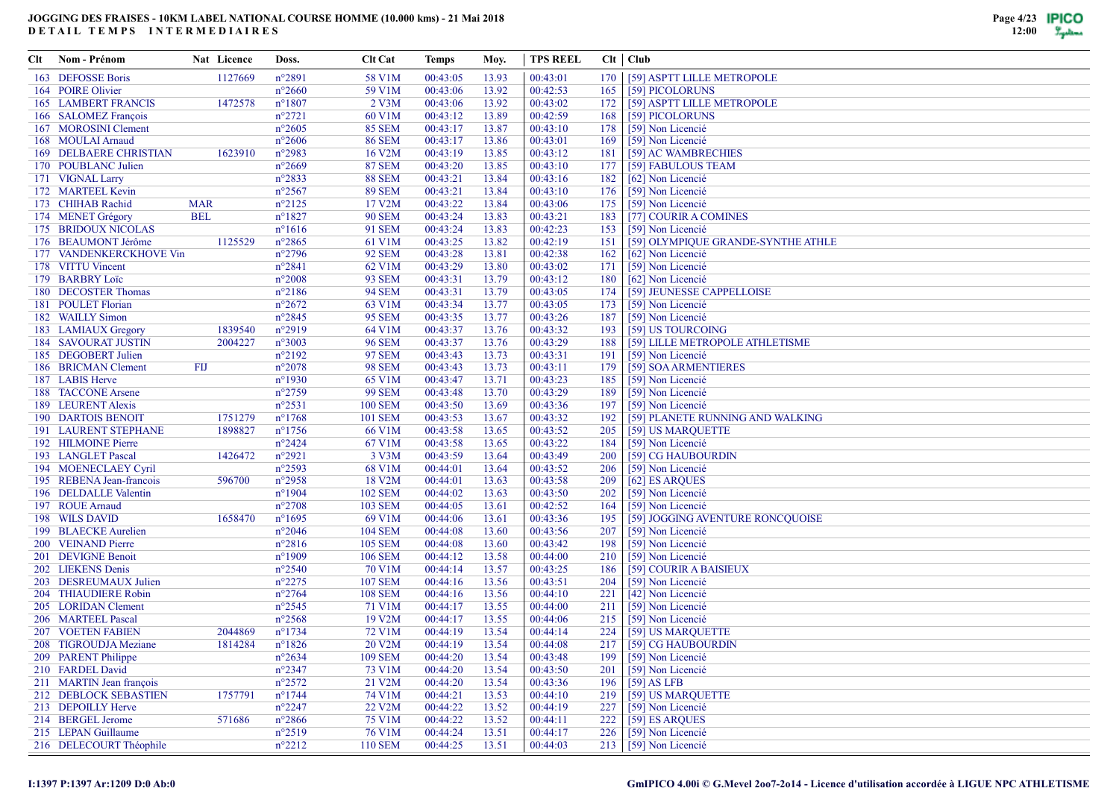| Clt | Nom - Prénom                                      | Nat Licence | Doss.            | <b>Clt Cat</b>      | Temps    | Moy.           | <b>TPS REEL</b> |     | $Clt$ $Club$                       |
|-----|---------------------------------------------------|-------------|------------------|---------------------|----------|----------------|-----------------|-----|------------------------------------|
|     | 163 DEFOSSE Boris                                 | 1127669     | $n^{\circ}2891$  | 58 V1M              | 00:43:05 | 13.93          | 00:43:01        | 170 | [59] ASPTT LILLE METROPOLE         |
|     | 164 POIRE Olivier                                 |             | $n^{\circ}2660$  | 59 V1M              | 00:43:06 | 13.92          | 00:42:53        | 165 | [59] PICOLORUNS                    |
|     | <b>165 LAMBERT FRANCIS</b>                        | 1472578     | $n^{\circ}1807$  | $2$ V3M             | 00:43:06 | 13.92          | 00:43:02        | 172 | [59] ASPTT LILLE METROPOLE         |
|     | 166 SALOMEZ François                              |             | $n^{\circ}2721$  | 60 V1M              | 00:43:12 | 13.89          | 00:42:59        | 168 | [59] PICOLORUNS                    |
|     | 167 MOROSINI Clement                              |             | $n^{\circ}2605$  | <b>85 SEM</b>       | 00:43:17 | 13.87          | 00:43:10        | 178 | [59] Non Licencié                  |
|     | 168 MOULAI Arnaud                                 |             | $n^{\circ}2606$  | <b>86 SEM</b>       | 00:43:17 | 13.86          | 00:43:01        | 169 | [59] Non Licencié                  |
|     | <b>169 DELBAERE CHRISTIAN</b>                     | 1623910     | $n^{\circ}2983$  | 16 V2M              | 00:43:19 | 13.85          | 00:43:12        | 181 | [59] AC WAMBRECHIES                |
|     | 170 POUBLANC Julien                               |             | $n^{\circ}2669$  | <b>87 SEM</b>       | 00:43:20 | 13.85          | 00:43:10        | 177 | [59] FABULOUS TEAM                 |
|     | 171 VIGNAL Larry                                  |             | $n^{\circ}2833$  | <b>88 SEM</b>       | 00:43:21 | 13.84          | 00:43:16        | 182 | [62] Non Licencié                  |
|     | 172 MARTEEL Kevin                                 |             | $n^{\circ}2567$  | <b>89 SEM</b>       | 00:43:21 | 13.84          | 00:43:10        | 176 | [59] Non Licencié                  |
|     | 173 CHIHAB Rachid                                 | <b>MAR</b>  | $n^{\circ}2125$  | 17 V2M              | 00:43:22 | 13.84          | 00:43:06        | 175 | [59] Non Licencié                  |
|     | 174 MENET Grégory                                 | <b>BEL</b>  | $n^{\circ}1827$  | <b>90 SEM</b>       | 00:43:24 | 13.83          | 00:43:21        | 183 | [77] COURIR A COMINES              |
|     | 175 BRIDOUX NICOLAS                               |             | $n^{\circ}1616$  | 91 SEM              | 00:43:24 | 13.83          | 00:42:23        | 153 | [59] Non Licencié                  |
|     | 176 BEAUMONT Jérôme                               | 1125529     | $n^{\circ}2865$  | 61 V1M              | 00:43:25 | 13.82          | 00:42:19        | 151 | [59] OLYMPIOUE GRANDE-SYNTHE ATHLE |
|     | 177 VANDENKERCKHOVE Vin                           |             | $n^{\circ}2796$  | <b>92 SEM</b>       | 00:43:28 | 13.81          | 00:42:38        | 162 | [62] Non Licencié                  |
|     | 178 VITTU Vincent                                 |             | $n^{\circ}2841$  | 62 V1M              | 00:43:29 | 13.80          | 00:43:02        | 171 | [59] Non Licencié                  |
|     | 179 BARBRY Loïc                                   |             | $n^{\circ}2008$  | <b>93 SEM</b>       | 00:43:31 | 13.79          | 00:43:12        | 180 | [62] Non Licencié                  |
|     | 180 DECOSTER Thomas                               |             | $n^{\circ}2186$  | <b>94 SEM</b>       | 00:43:31 | 13.79          | 00:43:05        | 174 | [59] JEUNESSE CAPPELLOISE          |
|     | 181 POULET Florian                                |             | $n^{\circ}2672$  | 63 V1M              | 00:43:34 | 13.77          | 00:43:05        | 173 | [59] Non Licencié                  |
|     | 182 WAILLY Simon                                  |             | $n^{\circ}2845$  | <b>95 SEM</b>       | 00:43:35 | 13.77          | 00:43:26        | 187 | [59] Non Licencié                  |
|     |                                                   | 1839540     | $n^{\circ}2919$  | 64 V1M              | 00:43:37 |                | 00:43:32        | 193 | [59] US TOURCOING                  |
|     | 183 LAMIAUX Gregory<br><b>184 SAVOURAT JUSTIN</b> | 2004227     | $n^{\circ}3003$  |                     | 00:43:37 | 13.76<br>13.76 | 00:43:29        | 188 |                                    |
|     |                                                   |             |                  | <b>96 SEM</b>       |          |                |                 |     | [59] LILLE METROPOLE ATHLETISME    |
|     | 185 DEGOBERT Julien                               |             | $n^{\circ}2192$  | <b>97 SEM</b>       | 00:43:43 | 13.73          | 00:43:31        | 191 | [59] Non Licencié                  |
|     | 186 BRICMAN Clement                               | FIJ         | $n^{\circ}2078$  | <b>98 SEM</b>       | 00:43:43 | 13.73          | 00:43:11        | 179 | [59] SOA ARMENTIERES               |
|     | 187 LABIS Herve                                   |             | $n^{\circ}1930$  | 65 V1M              | 00:43:47 | 13.71          | 00:43:23        | 185 | [59] Non Licencié                  |
|     | 188 TACCONE Arsene                                |             | $n^{\circ}2759$  | <b>99 SEM</b>       | 00:43:48 | 13.70          | 00:43:29        | 189 | [59] Non Licencié                  |
|     | 189 LEURENT Alexis                                |             | $n^{\circ}2531$  | <b>100 SEM</b>      | 00:43:50 | 13.69          | 00:43:36        | 197 | [59] Non Licencié                  |
|     | <b>190 DARTOIS BENOIT</b>                         | 1751279     | $n^{\circ}1768$  | <b>101 SEM</b>      | 00:43:53 | 13.67          | 00:43:32        | 192 | [59] PLANETE RUNNING AND WALKING   |
|     | <b>191 LAURENT STEPHANE</b>                       | 1898827     | $n^{\circ}1756$  | 66 V1M              | 00:43:58 | 13.65          | 00:43:52        | 205 | [59] US MARQUETTE                  |
|     | 192 HILMOINE Pierre                               |             | $n^{\circ}2424$  | 67 V1M              | 00:43:58 | 13.65          | 00:43:22        | 184 | [59] Non Licencié                  |
|     | 193 LANGLET Pascal                                | 1426472     | $n^{\circ}2921$  | 3 V3M               | 00:43:59 | 13.64          | 00:43:49        | 200 | [59] CG HAUBOURDIN                 |
|     | 194 MOENECLAEY Cyril                              |             | $n^{\circ}2593$  | 68 V1M              | 00:44:01 | 13.64          | 00:43:52        | 206 | [59] Non Licencié                  |
|     | 195 REBENA Jean-francois                          | 596700      | $n^{\circ}2958$  | 18 V2M              | 00:44:01 | 13.63          | 00:43:58        | 209 | [62] ES ARQUES                     |
|     | 196 DELDALLE Valentin                             |             | $n^{\circ}1904$  | <b>102 SEM</b>      | 00:44:02 | 13.63          | 00:43:50        | 202 | [59] Non Licencié                  |
|     | 197 ROUE Arnaud                                   |             | $n^{\circ}2708$  | <b>103 SEM</b>      | 00:44:05 | 13.61          | 00:42:52        | 164 | [59] Non Licencié                  |
|     | 198 WILS DAVID                                    | 1658470     | $n^{\circ}1695$  | 69 V1M              | 00:44:06 | 13.61          | 00:43:36        | 195 | [59] JOGGING AVENTURE RONCQUOISE   |
|     | 199 BLAECKE Aurelien                              |             | $n^{\circ}2046$  | <b>104 SEM</b>      | 00:44:08 | 13.60          | 00:43:56        | 207 | [59] Non Licencié                  |
|     | 200 VEINAND Pierre                                |             | $n^{\circ}2816$  | <b>105 SEM</b>      | 00:44:08 | 13.60          | 00:43:42        | 198 | [59] Non Licencié                  |
|     | 201 DEVIGNE Benoit                                |             | $n^{\circ}1909$  | <b>106 SEM</b>      | 00:44:12 | 13.58          | 00:44:00        | 210 | [59] Non Licencié                  |
|     | 202 LIEKENS Denis                                 |             | $n^{\circ}2540$  | 70 V1M              | 00:44:14 | 13.57          | 00:43:25        | 186 | [59] COURIR A BAISIEUX             |
|     | 203 DESREUMAUX Julien                             |             | $n^{\circ}2275$  | <b>107 SEM</b>      | 00:44:16 | 13.56          | 00:43:51        | 204 | [59] Non Licencié                  |
|     | 204 THIAUDIERE Robin                              |             | $n^{\circ}2764$  | <b>108 SEM</b>      | 00:44:16 | 13.56          | 00:44:10        | 221 | [42] Non Licencié                  |
|     | 205 LORIDAN Clement                               |             | $n^{\circ}2545$  | 71 V1M              | 00:44:17 | 13.55          | 00:44:00        | 211 | [59] Non Licencié                  |
|     | 206 MARTEEL Pascal                                |             | $n^{\circ}2568$  | 19 V2M              | 00:44:17 | 13.55          | 00:44:06        | 215 | [59] Non Licencié                  |
|     | <b>207 VOETEN FABIEN</b>                          | 2044869     | $n^{\circ}$ 1734 | 72 V1M              | 00:44:19 | 13.54          | 00:44:14        | 224 | [59] US MARQUETTE                  |
|     | 208 TIGROUDJA Meziane                             | 1814284     | $n^{\circ}1826$  | 20 V2M              | 00:44:19 | 13.54          | 00:44:08        | 217 | [59] CG HAUBOURDIN                 |
|     | 209 PARENT Philippe                               |             | $n^{\circ}2634$  | <b>109 SEM</b>      | 00:44:20 | 13.54          | 00:43:48        | 199 | [59] Non Licencié                  |
|     | 210 FARDEL David                                  |             | $n^{\circ}2347$  | 73 V1M              | 00:44:20 | 13.54          | 00:43:50        | 201 | [59] Non Licencié                  |
|     | 211 MARTIN Jean françois                          |             | $n^{\circ}2572$  | 21 V2M              | 00:44:20 | 13.54          | 00:43:36        | 196 | $[59]$ AS LFB                      |
|     | 212 DEBLOCK SEBASTIEN                             | 1757791     | $n^{\circ}1744$  | 74 V1M              | 00:44:21 | 13.53          | 00:44:10        | 219 | [59] US MARQUETTE                  |
|     | 213 DEPOILLY Herve                                |             | $n^{\circ}2247$  | 22 V <sub>2</sub> M | 00:44:22 | 13.52          | 00:44:19        | 227 | [59] Non Licencié                  |
|     | 214 BERGEL Jerome                                 | 571686      | $n^{\circ}2866$  | 75 V1M              | 00:44:22 | 13.52          | 00:44:11        | 222 | [59] ES ARQUES                     |
|     | 215 LEPAN Guillaume                               |             | $n^{\circ}2519$  | 76 V1M              | 00:44:24 | 13.51          | 00:44:17        | 226 | [59] Non Licencié                  |
|     | 216 DELECOURT Théophile                           |             | $n^{\circ}2212$  | <b>110 SEM</b>      | 00:44:25 | 13.51          | 00:44:03        |     | 213 [59] Non Licencié              |
|     |                                                   |             |                  |                     |          |                |                 |     |                                    |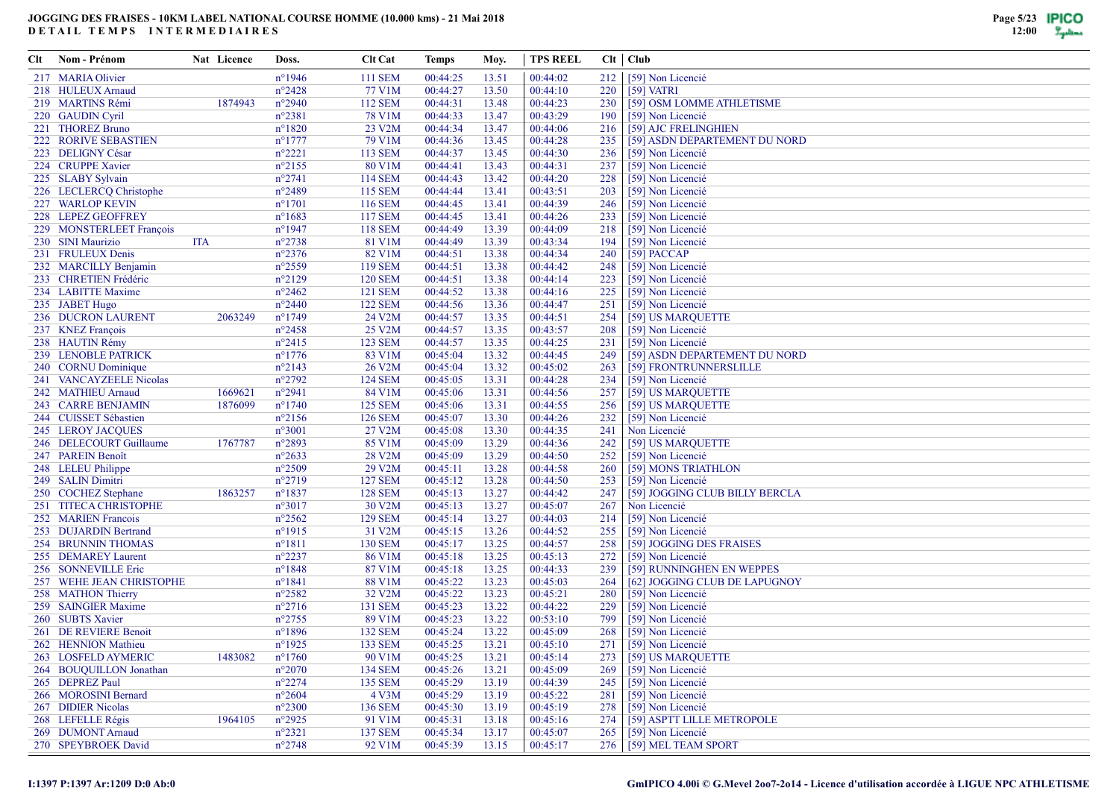| Clt | Nom - Prénom                | Nat Licence | Doss.            | <b>Clt Cat</b>      | Temps    | Moy.  | <b>TPS REEL</b> |     | $Clt$   $Club$                 |
|-----|-----------------------------|-------------|------------------|---------------------|----------|-------|-----------------|-----|--------------------------------|
|     | 217 MARIA Olivier           |             | $n^{\circ}$ 1946 | <b>111 SEM</b>      | 00:44:25 | 13.51 | 00:44:02        | 212 | [59] Non Licencié              |
|     | 218 HULEUX Arnaud           |             | $n^{\circ}2428$  | 77 V1M              | 00:44:27 | 13.50 | 00:44:10        | 220 | $[59]$ VATRI                   |
|     | 219 MARTINS Rémi            | 1874943     | $n^{\circ}2940$  | 112 SEM             | 00:44:31 | 13.48 | 00:44:23        | 230 | [59] OSM LOMME ATHLETISME      |
|     | 220 GAUDIN Cyril            |             | $n^{\circ}2381$  | 78 V1M              | 00:44:33 | 13.47 | 00:43:29        | 190 | [59] Non Licencié              |
|     | 221 THOREZ Bruno            |             | $n^{\circ}1820$  | 23 V2M              | 00:44:34 | 13.47 | 00:44:06        | 216 | [59] AJC FRELINGHIEN           |
|     | <b>222 RORIVE SEBASTIEN</b> |             | $n^{\circ}$ 1777 | 79 V1M              | 00:44:36 | 13.45 | 00:44:28        | 235 | [59] ASDN DEPARTEMENT DU NORD  |
|     | 223 DELIGNY César           |             | $n^{\circ}2221$  | <b>113 SEM</b>      | 00:44:37 | 13.45 | 00:44:30        | 236 | [59] Non Licencié              |
|     | 224 CRUPPE Xavier           |             | $n^{\circ}2155$  | 80 V1M              | 00:44:41 | 13.43 | 00:44:31        | 237 | [59] Non Licencié              |
|     | 225 SLABY Sylvain           |             | $n^{\circ}2741$  | 114 SEM             | 00:44:43 | 13.42 | 00:44:20        | 228 | [59] Non Licencié              |
|     | 226 LECLERCQ Christophe     |             | n°2489           | <b>115 SEM</b>      | 00:44:44 | 13.41 | 00:43:51        | 203 | [59] Non Licencié              |
|     | 227 WARLOP KEVIN            |             | $n^{\circ}1701$  | <b>116 SEM</b>      | 00:44:45 | 13.41 | 00:44:39        | 246 | [59] Non Licencié              |
|     | 228 LEPEZ GEOFFREY          |             | $n^{\circ}1683$  | <b>117 SEM</b>      | 00:44:45 | 13.41 | 00:44:26        | 233 | [59] Non Licencié              |
|     | 229 MONSTERLEET François    |             | $n^{\circ}$ 1947 | <b>118 SEM</b>      | 00:44:49 | 13.39 | 00:44:09        | 218 | [59] Non Licencié              |
|     | 230 SINI Maurizio           | ITA         | $n^{\circ}2738$  | 81 V1M              | 00:44:49 | 13.39 | 00:43:34        | 194 | [59] Non Licencié              |
|     | 231 FRULEUX Denis           |             | $n^{\circ}2376$  | 82 V1M              | 00:44:51 | 13.38 | 00:44:34        | 240 | [59] PACCAP                    |
|     | 232 MARCILLY Benjamin       |             | $n^{\circ}2559$  | <b>119 SEM</b>      | 00:44:51 | 13.38 | 00:44:42        | 248 | [59] Non Licencié              |
|     | 233 CHRETIEN Frédéric       |             | $n^{\circ}2129$  | <b>120 SEM</b>      | 00:44:51 | 13.38 | 00:44:14        | 223 | [59] Non Licencié              |
|     | 234 LABITTE Maxime          |             | $n^{\circ}2462$  | <b>121 SEM</b>      | 00:44:52 | 13.38 | 00:44:16        | 225 | [59] Non Licencié              |
|     | 235 JABET Hugo              |             | $n^{\circ}2440$  | <b>122 SEM</b>      | 00:44:56 | 13.36 | 00:44:47        | 251 | [59] Non Licencié              |
|     | 236 DUCRON LAURENT          | 2063249     | $n^{\circ}1749$  | 24 V2M              | 00:44:57 | 13.35 | 00:44:51        | 254 | [59] US MARQUETTE              |
|     | 237 KNEZ François           |             | $n^{\circ}2458$  | 25 V2M              | 00:44:57 | 13.35 | 00:43:57        | 208 | [59] Non Licencié              |
|     | 238 HAUTIN Rémy             |             | $n^{\circ}2415$  | <b>123 SEM</b>      | 00:44:57 | 13.35 | 00:44:25        | 231 | [59] Non Licencié              |
|     | 239 LENOBLE PATRICK         |             | $n^{\circ}$ 1776 | 83 V1M              | 00:45:04 | 13.32 | 00:44:45        | 249 | [59] ASDN DEPARTEMENT DU NORD  |
|     | 240 CORNU Dominique         |             | $n^{\circ}2143$  | 26 V2M              | 00:45:04 | 13.32 | 00:45:02        | 263 | [59] FRONTRUNNERSLILLE         |
|     | 241 VANCAYZEELE Nicolas     |             | $n^{\circ}2792$  | <b>124 SEM</b>      | 00:45:05 | 13.31 | 00:44:28        | 234 | [59] Non Licencié              |
|     | 242 MATHIEU Arnaud          | 1669621     | $n^{\circ}2941$  | 84 V1M              | 00:45:06 | 13.31 | 00:44:56        | 257 | [59] US MARQUETTE              |
|     | 243 CARRE BENJAMIN          | 1876099     | $n^{\circ}1740$  | <b>125 SEM</b>      | 00:45:06 | 13.31 | 00:44:55        | 256 | [59] US MARQUETTE              |
|     | 244 CUISSET Sébastien       |             | $n^{\circ}2156$  | <b>126 SEM</b>      | 00:45:07 | 13.30 | 00:44:26        | 232 | [59] Non Licencié              |
|     | 245 LEROY JACQUES           |             | $n^{\circ}3001$  | 27 V2M              | 00:45:08 | 13.30 | 00:44:35        | 241 | Non Licencié                   |
|     | 246 DELECOURT Guillaume     | 1767787     | $n^{\circ}2893$  | 85 V1M              | 00:45:09 | 13.29 | 00:44:36        | 242 | [59] US MARQUETTE              |
|     | 247 PAREIN Benoît           |             | $n^{\circ}2633$  | 28 V2M              | 00:45:09 | 13.29 | 00:44:50        | 252 | [59] Non Licencié              |
|     | 248 LELEU Philippe          |             | $n^{\circ}2509$  | 29 V2M              | 00:45:11 | 13.28 | 00:44:58        | 260 | [59] MONS TRIATHLON            |
|     | 249 SALIN Dimitri           |             | $n^{\circ}2719$  | <b>127 SEM</b>      | 00:45:12 | 13.28 | 00:44:50        | 253 | [59] Non Licencié              |
|     | 250 COCHEZ Stephane         | 1863257     | $n^{\circ}1837$  | <b>128 SEM</b>      | 00:45:13 | 13.27 | 00:44:42        | 247 | [59] JOGGING CLUB BILLY BERCLA |
|     | 251 TITECA CHRISTOPHE       |             | $n^{\circ}3017$  | 30 V2M              | 00:45:13 | 13.27 | 00:45:07        | 267 | Non Licencié                   |
|     | 252 MARIEN Francois         |             | $n^{\circ}2562$  | <b>129 SEM</b>      | 00:45:14 | 13.27 | 00:44:03        | 214 | [59] Non Licencié              |
|     | 253 DUJARDIN Bertrand       |             | $n^{\circ}1915$  | 31 V2M              | 00:45:15 | 13.26 | 00:44:52        | 255 | [59] Non Licencié              |
|     | 254 BRUNNIN THOMAS          |             | $n^{\circ}1811$  | <b>130 SEM</b>      | 00:45:17 | 13.25 | 00:44:57        | 258 | [59] JOGGING DES FRAISES       |
|     | 255 DEMAREY Laurent         |             | $n^{\circ}2237$  | 86 V1M              | 00:45:18 | 13.25 | 00:45:13        | 272 | [59] Non Licencié              |
|     | 256 SONNEVILLE Eric         |             | $n^{\circ}1848$  | 87 V1M              | 00:45:18 | 13.25 | 00:44:33        | 239 | [59] RUNNINGHEN EN WEPPES      |
|     | 257 WEHE JEAN CHRISTOPHE    |             | $n^{\circ}1841$  | 88 V1M              | 00:45:22 | 13.23 | 00:45:03        | 264 | [62] JOGGING CLUB DE LAPUGNOY  |
|     | 258 MATHON Thierry          |             | $n^{\circ}2582$  | 32 V <sub>2</sub> M | 00:45:22 | 13.23 | 00:45:21        | 280 | [59] Non Licencié              |
|     | 259 SAINGIER Maxime         |             | $n^{\circ}2716$  | 131 SEM             | 00:45:23 | 13.22 | 00:44:22        | 229 | [59] Non Licencié              |
|     | 260 SUBTS Xavier            |             | $n^{\circ}2755$  | 89 V1M              | 00:45:23 | 13.22 | 00:53:10        | 799 | [59] Non Licencié              |
|     | 261 DE REVIERE Benoit       |             | $n^{\circ}1896$  | <b>132 SEM</b>      | 00:45:24 | 13.22 | 00:45:09        | 268 | [59] Non Licencié              |
|     | 262 HENNION Mathieu         |             | $n^{\circ}$ 1925 | <b>133 SEM</b>      | 00:45:25 | 13.21 | 00:45:10        | 271 | [59] Non Licencié              |
|     | 263 LOSFELD AYMERIC         | 1483082     | $n^{\circ}1760$  | 90 V1M              | 00:45:25 | 13.21 | 00:45:14        | 273 | [59] US MARQUETTE              |
|     | 264 BOUQUILLON Jonathan     |             | $n^{\circ}2070$  | <b>134 SEM</b>      | 00:45:26 | 13.21 | 00:45:09        | 269 | [59] Non Licencié              |
|     | 265 DEPREZ Paul             |             | $n^{\circ}2274$  | <b>135 SEM</b>      | 00:45:29 | 13.19 | 00:44:39        | 245 | [59] Non Licencié              |
|     | 266 MOROSINI Bernard        |             | $n^{\circ}2604$  | 4 V3M               | 00:45:29 | 13.19 | 00:45:22        | 281 | [59] Non Licencié              |
|     | 267 DIDIER Nicolas          |             | $n^{\circ}2300$  | <b>136 SEM</b>      | 00:45:30 | 13.19 | 00:45:19        | 278 | [59] Non Licencié              |
|     | 268 LEFELLE Régis           | 1964105     | $n^{\circ}2925$  | 91 V1M              | 00:45:31 | 13.18 | 00:45:16        | 274 | [59] ASPTT LILLE METROPOLE     |
|     | 269 DUMONT Arnaud           |             | $n^{\circ}2321$  | <b>137 SEM</b>      | 00:45:34 | 13.17 | 00:45:07        | 265 | [59] Non Licencié              |
|     | 270 SPEYBROEK David         |             | $n^{\circ}2748$  | 92 V1M              | 00:45:39 | 13.15 | 00:45:17        |     | 276 [59] MEL TEAM SPORT        |
|     |                             |             |                  |                     |          |       |                 |     |                                |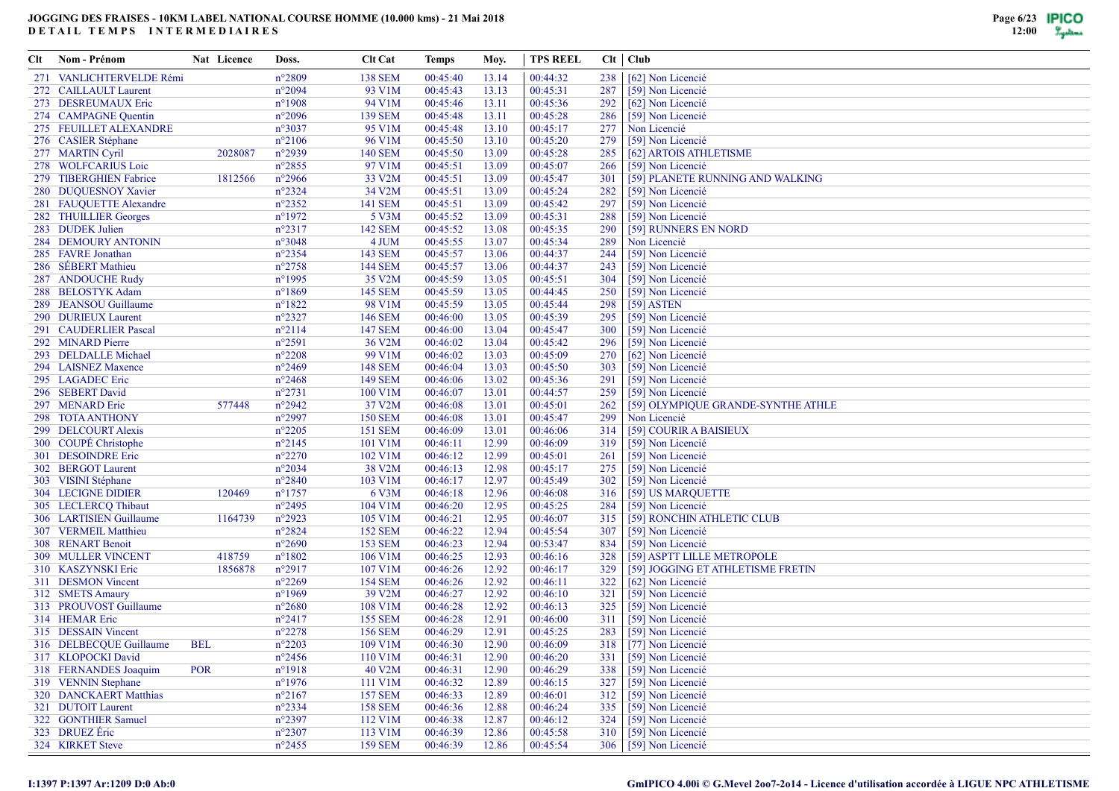| Clt | Nom - Prénom                                     | Nat Licence | Doss.                              | <b>Clt Cat</b>    | Temps                | Moy.           | <b>TPS REEL</b>      |            | $Clt$   $Club$                         |
|-----|--------------------------------------------------|-------------|------------------------------------|-------------------|----------------------|----------------|----------------------|------------|----------------------------------------|
|     | 271 VANLICHTERVELDE Rémi                         |             | $n^{\circ}2809$                    | <b>138 SEM</b>    | 00:45:40             | 13.14          | 00:44:32             | 238        | [62] Non Licencié                      |
|     | 272 CAILLAULT Laurent                            |             | $n^{\circ}2094$                    | 93 V1M            | 00:45:43             | 13.13          | 00:45:31             | 287        | [59] Non Licencié                      |
|     | 273 DESREUMAUX Eric                              |             | $n^{\circ}$ 1908                   | 94 V1M            | 00:45:46             | 13.11          | 00:45:36             | 292        | [62] Non Licencié                      |
|     | 274 CAMPAGNE Quentin                             |             | $n^{\circ}2096$                    | <b>139 SEM</b>    | 00:45:48             | 13.11          | 00:45:28             | 286        | [59] Non Licencié                      |
|     | 275 FEUILLET ALEXANDRE                           |             | $n^{\circ}3037$                    | 95 V1M            | 00:45:48             | 13.10          | 00:45:17             | 277        | Non Licencié                           |
|     | 276 CASIER Stéphane                              |             | $n^{\circ}2106$                    | 96 V1M            | 00:45:50             | 13.10          | 00:45:20             | 279        | [59] Non Licencié                      |
|     | 277 MARTIN Cyril                                 | 2028087     | $n^{\circ}2939$                    | <b>140 SEM</b>    | 00:45:50             | 13.09          | 00:45:28             | 285        | [62] ARTOIS ATHLETISME                 |
|     | 278 WOLFCARIUS Loic                              |             | $n^{\circ}2855$                    | 97 V1M            | 00:45:51             | 13.09          | 00:45:07             | 266        | [59] Non Licencié                      |
|     | 279 TIBERGHIEN Fabrice                           | 1812566     | $n^{\circ}2966$                    | 33 V2M            | 00:45:51             | 13.09          | 00:45:47             | 301        | [59] PLANETE RUNNING AND WALKING       |
|     | 280 DUQUESNOY Xavier                             |             | $n^{\circ}2324$                    | 34 V2M            | 00:45:51             | 13.09          | 00:45:24             | 282        | [59] Non Licencié                      |
|     | 281 FAUQUETTE Alexandre                          |             | $n^{\circ}2352$                    | <b>141 SEM</b>    | 00:45:51             | 13.09          | 00:45:42             | 297        | [59] Non Licencié                      |
|     | 282 THUILLIER Georges                            |             | $n^{\circ}1972$                    | 5 V3M             | 00:45:52             | 13.09          | 00:45:31             | 288        | [59] Non Licencié                      |
|     | 283 DUDEK Julien                                 |             | $n^{\circ}2317$                    | <b>142 SEM</b>    | 00:45:52             | 13.08          | 00:45:35             | 290        | [59] RUNNERS EN NORD                   |
|     | 284 DEMOURY ANTONIN                              |             | $n^{\circ}3048$                    | 4 JUM             | 00:45:55             | 13.07          | 00:45:34             | 289        | Non Licencié                           |
|     | 285 FAVRE Jonathan                               |             | $n^{\circ}2354$                    | 143 SEM           | 00:45:57             | 13.06          | 00:44:37             | 244        | [59] Non Licencié                      |
|     | 286 SÉBERT Mathieu                               |             | $n^{\circ}2758$                    | <b>144 SEM</b>    | 00:45:57             | 13.06          | 00:44:37             | 243        | [59] Non Licencié                      |
|     | 287 ANDOUCHE Rudy                                |             | $n^{\circ}$ 1995                   | 35 V2M            | 00:45:59             | 13.05          | 00:45:51             | 304        | [59] Non Licencié                      |
|     | 288 BELOSTYK Adam                                |             | $n^{\circ}1869$                    | <b>145 SEM</b>    | 00:45:59             | 13.05          | 00:44:45             | 250        | [59] Non Licencié                      |
|     | 289 JEANSOU Guillaume                            |             | $n^{\circ}1822$                    | 98 V1M            | 00:45:59             | 13.05          | 00:45:44             | 298        | $[59]$ ASTEN                           |
|     | 290 DURIEUX Laurent                              |             | $n^{\circ}2327$                    | <b>146 SEM</b>    | 00:46:00             | 13.05          | 00:45:39             | 295        | [59] Non Licencié                      |
|     | 291 CAUDERLIER Pascal                            |             | $n^{\circ}2114$                    | <b>147 SEM</b>    | 00:46:00             | 13.04          | 00:45:47             | 300        | [59] Non Licencié                      |
|     | 292 MINARD Pierre                                |             | $n^{\circ}2591$                    | 36 V2M            | 00:46:02             | 13.04          | 00:45:42             | 296        | [59] Non Licencié                      |
|     | 293 DELDALLE Michael                             |             | $n^{\circ}2208$                    | 99 V1M            | 00:46:02             | 13.03          | 00:45:09             | 270        | [62] Non Licencié                      |
|     | 294 LAISNEZ Maxence                              |             | $n^{\circ}2469$                    | <b>148 SEM</b>    | 00:46:04             | 13.03          | 00:45:50             | 303        | [59] Non Licencié                      |
|     | 295 LAGADEC Eric                                 |             | $n^{\circ}2468$                    | <b>149 SEM</b>    | 00:46:06             | 13.02          | 00:45:36             | 291        | [59] Non Licencié                      |
|     | 296 SEBERT David                                 |             | $n^{\circ}2731$                    | 100 V1M           | 00:46:07             | 13.01          | 00:44:57             | 259        | [59] Non Licencié                      |
|     | 297 MENARD Eric                                  | 577448      | $n^{\circ}2942$                    | 37 V2M            | 00:46:08             | 13.01          | 00:45:01             | 262        | [59] OLYMPIQUE GRANDE-SYNTHE ATHLE     |
|     | 298 TOTA ANTHONY                                 |             | $n^{\circ}2997$                    | <b>150 SEM</b>    | 00:46:08             | 13.01          | 00:45:47             | 299        | Non Licencié                           |
|     | 299 DELCOURT Alexis                              |             | $n^{\circ}2205$                    | <b>151 SEM</b>    | 00:46:09             | 13.01          | 00:46:06             | 314        | [59] COURIR A BAISIEUX                 |
|     | 300 COUPÉ Christophe                             |             | $n^{\circ}2145$                    | 101 V1M           | 00:46:11             | 12.99          | 00:46:09             | 319        | [59] Non Licencié                      |
|     | 301 DESOINDRE Eric                               |             | $n^{\circ}2270$                    | 102 V1M           | 00:46:12             | 12.99          | 00:45:01             | 261        | [59] Non Licencié                      |
|     | 302 BERGOT Laurent                               |             | $n^{\circ}2034$<br>$n^{\circ}2840$ | 38 V2M<br>103 V1M | 00:46:13<br>00:46:17 | 12.98          | 00:45:17<br>00:45:49 | 275<br>302 | [59] Non Licencié                      |
|     | 303 VISINI Stéphane<br><b>304 LECIGNE DIDIER</b> | 120469      | $n^{\circ}1757$                    | 6 V3M             | 00:46:18             | 12.97<br>12.96 | 00:46:08             | 316        | [59] Non Licencié<br>[59] US MARQUETTE |
|     | 305 LECLERCQ Thibaut                             |             | $n^{\circ}2495$                    | 104 V1M           | 00:46:20             | 12.95          | 00:45:25             | 284        | [59] Non Licencié                      |
|     | 306 LARTISIEN Guillaume                          | 1164739     | $n^{\circ}2923$                    | 105 V1M           | 00:46:21             | 12.95          | 00:46:07             | 315        | [59] RONCHIN ATHLETIC CLUB             |
|     | 307 VERMEIL Matthieu                             |             | $n^{\circ}2824$                    | <b>152 SEM</b>    | 00:46:22             | 12.94          | 00:45:54             | 307        | [59] Non Licencié                      |
|     | 308 RENART Benoit                                |             | $n^{\circ}2690$                    | <b>153 SEM</b>    | 00:46:23             | 12.94          | 00:53:47             | 834        | [59] Non Licencié                      |
|     | <b>309 MULLER VINCENT</b>                        | 418759      | $n^{\circ}1802$                    | 106 V1M           | 00:46:25             | 12.93          | 00:46:16             | 328        | [59] ASPTT LILLE METROPOLE             |
|     | 310 KASZYNSKI Eric                               | 1856878     | $n^{\circ}2917$                    | 107 V1M           | 00:46:26             | 12.92          | 00:46:17             | 329        | [59] JOGGING ET ATHLETISME FRETIN      |
|     | 311 DESMON Vincent                               |             | $n^{\circ}2269$                    | <b>154 SEM</b>    | 00:46:26             | 12.92          | 00:46:11             | 322        | [62] Non Licencié                      |
|     | 312 SMETS Amaury                                 |             | $n^{\circ}1969$                    | 39 V2M            | 00:46:27             | 12.92          | 00:46:10             | 321        | [59] Non Licencié                      |
|     | 313 PROUVOST Guillaume                           |             | $n^{\circ}2680$                    | 108 V1M           | 00:46:28             | 12.92          | 00:46:13             | 325        | [59] Non Licencié                      |
|     | 314 HEMAR Eric                                   |             | $n^{\circ}2417$                    | <b>155 SEM</b>    | 00:46:28             | 12.91          | 00:46:00             | 311        | [59] Non Licencié                      |
|     | 315 DESSAIN Vincent                              |             | $n^{\circ}2278$                    | <b>156 SEM</b>    | 00:46:29             | 12.91          | 00:45:25             | 283        | [59] Non Licencié                      |
|     | 316 DELBECQUE Guillaume                          | <b>BEL</b>  | $n^{\circ}2203$                    | 109 V1M           | 00:46:30             | 12.90          | 00:46:09             | 318        | [77] Non Licencié                      |
|     | 317 KLOPOCKI David                               |             | $n^{\circ}2456$                    | 110 V1M           | 00:46:31             | 12.90          | 00:46:20             | 331        | [59] Non Licencié                      |
|     | 318 FERNANDES Joaquim                            | <b>POR</b>  | $n^{\circ}1918$                    | 40 V2M            | 00:46:31             | 12.90          | 00:46:29             | 338        | [59] Non Licencié                      |
|     | 319 VENNIN Stephane                              |             | $n^{\circ}$ 1976                   | 111 V1M           | 00:46:32             | 12.89          | 00:46:15             | 327        | [59] Non Licencié                      |
|     | 320 DANCKAERT Matthias                           |             | $n^{\circ}2167$                    | <b>157 SEM</b>    | 00:46:33             | 12.89          | 00:46:01             | 312        | [59] Non Licencié                      |
|     | 321 DUTOIT Laurent                               |             | $n^{\circ}2334$                    | <b>158 SEM</b>    | 00:46:36             | 12.88          | 00:46:24             | 335        | [59] Non Licencié                      |
|     | 322 GONTHIER Samuel                              |             | $n^{\circ}2397$                    | 112 V1M           | 00:46:38             | 12.87          | 00:46:12             | 324        | [59] Non Licencié                      |
|     | 323 DRUEZ Éric                                   |             | $n^{\circ}2307$                    | 113 V1M           | 00:46:39             | 12.86          | 00:45:58             | 310        | [59] Non Licencié                      |
|     | 324 KIRKET Steve                                 |             | $n^{\circ}2455$                    | <b>159 SEM</b>    | 00:46:39             | 12.86          | 00:45:54             |            | 306 [59] Non Licencié                  |
|     |                                                  |             |                                    |                   |                      |                |                      |            |                                        |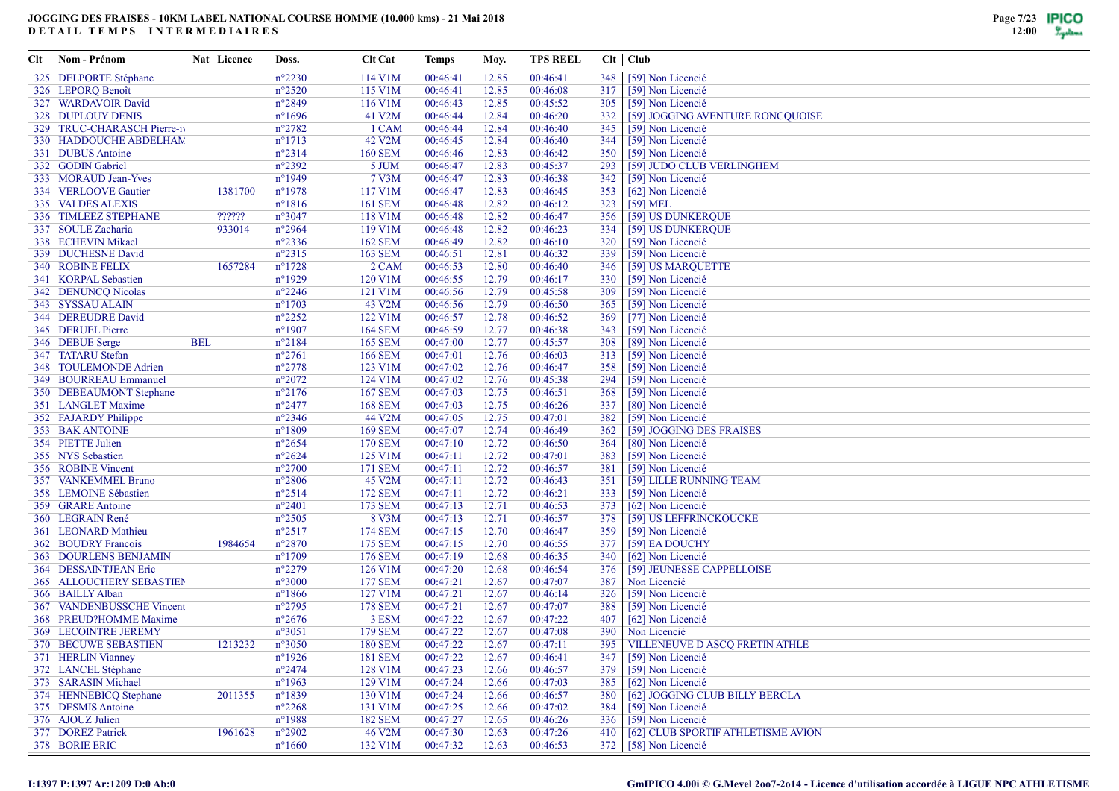| Clt | Nom - Prénom                 | Nat Licence | Doss.            | <b>Clt Cat</b>      | Temps    | Moy.  | TPS REEL |     | $Clt$   $Club$                        |
|-----|------------------------------|-------------|------------------|---------------------|----------|-------|----------|-----|---------------------------------------|
|     | 325 DELPORTE Stéphane        |             | $n^{\circ}2230$  | 114 V1M             | 00:46:41 | 12.85 | 00:46:41 | 348 | [59] Non Licencié                     |
|     | 326 LEPORQ Benoît            |             | $n^{\circ}2520$  | 115 V1M             | 00:46:41 | 12.85 | 00:46:08 | 317 | [59] Non Licencié                     |
|     | 327 WARDAVOIR David          |             | $n^{\circ}2849$  | 116 V1M             | 00:46:43 | 12.85 | 00:45:52 | 305 | [59] Non Licencié                     |
|     | <b>328 DUPLOUY DENIS</b>     |             | $n^{\circ}1696$  | 41 V2M              | 00:46:44 | 12.84 | 00:46:20 | 332 | [59] JOGGING AVENTURE RONCQUOISE      |
|     | 329 TRUC-CHARASCH Pierre-iv  |             | $n^{\circ}2782$  | 1 CAM               | 00:46:44 | 12.84 | 00:46:40 | 345 | [59] Non Licencié                     |
|     | 330 HADDOUCHE ABDELHAM       |             | $n^{\circ}1713$  | 42 V <sub>2</sub> M | 00:46:45 | 12.84 | 00:46:40 | 344 | [59] Non Licencié                     |
|     | 331 DUBUS Antoine            |             | $n^{\circ}2314$  | <b>160 SEM</b>      | 00:46:46 | 12.83 | 00:46:42 | 350 | [59] Non Licencié                     |
|     | 332 GODIN Gabriel            |             | $n^{\circ}2392$  | 5 JUM               | 00:46:47 | 12.83 | 00:45:37 | 293 | [59] JUDO CLUB VERLINGHEM             |
|     | 333 MORAUD Jean-Yves         |             | $n^{\circ}1949$  | 7 V3M               | 00:46:47 | 12.83 | 00:46:38 | 342 | [59] Non Licencié                     |
|     | 334 VERLOOVE Gautier         | 1381700     | $n^{\circ}1978$  | 117 V1M             | 00:46:47 | 12.83 | 00:46:45 | 353 | [62] Non Licencié                     |
|     | 335 VALDES ALEXIS            |             | $n^{\circ}1816$  | <b>161 SEM</b>      | 00:46:48 | 12.82 | 00:46:12 | 323 | $[59] \text{ MEL}$                    |
|     | 336 TIMLEEZ STEPHANE         | ??????      | $n^{\circ}3047$  | 118 V1M             | 00:46:48 | 12.82 | 00:46:47 | 356 | [59] US DUNKERQUE                     |
|     | 337 SOULE Zacharia           | 933014      | $n^{\circ}2964$  | 119 V1M             | 00:46:48 | 12.82 | 00:46:23 | 334 | [59] US DUNKERQUE                     |
|     | 338 ECHEVIN Mikael           |             | $n^{\circ}2336$  | <b>162 SEM</b>      | 00:46:49 | 12.82 | 00:46:10 | 320 | [59] Non Licencié                     |
|     | 339 DUCHESNE David           |             | $n^{\circ}2315$  | 163 SEM             | 00:46:51 | 12.81 | 00:46:32 | 339 | [59] Non Licencié                     |
|     | 340 ROBINE FELIX             | 1657284     | $n^{\circ}1728$  | 2 CAM               | 00:46:53 | 12.80 | 00:46:40 | 346 | [59] US MARQUETTE                     |
|     | 341 KORPAL Sebastien         |             | $n^{\circ}1929$  | 120 V1M             | 00:46:55 | 12.79 | 00:46:17 | 330 | [59] Non Licencié                     |
|     | 342 DENUNCQ Nicolas          |             | $n^{\circ}2246$  | 121 V1M             | 00:46:56 | 12.79 | 00:45:58 | 309 | [59] Non Licencié                     |
|     | 343 SYSSAU ALAIN             |             | $n^{\circ}1703$  | 43 V2M              | 00:46:56 | 12.79 | 00:46:50 | 365 | [59] Non Licencié                     |
|     | 344 DEREUDRE David           |             | $n^{\circ}2252$  | 122 V1M             | 00:46:57 | 12.78 | 00:46:52 | 369 | [77] Non Licencié                     |
|     | 345 DERUEL Pierre            |             | $n^{\circ}1907$  | <b>164 SEM</b>      | 00:46:59 | 12.77 | 00:46:38 | 343 | [59] Non Licencié                     |
|     | 346 DEBUE Serge              | <b>BEL</b>  | $n^{\circ}2184$  | <b>165 SEM</b>      | 00:47:00 | 12.77 | 00:45:57 | 308 | [89] Non Licencié                     |
|     | 347 TATARU Stefan            |             | $n^{\circ}2761$  | <b>166 SEM</b>      | 00:47:01 | 12.76 | 00:46:03 | 313 | [59] Non Licencié                     |
|     | 348 TOULEMONDE Adrien        |             | $n^{\circ}2778$  | 123 V1M             | 00:47:02 | 12.76 | 00:46:47 | 358 | [59] Non Licencié                     |
|     | 349 BOURREAU Emmanuel        |             | $n^{\circ}2072$  | 124 V1M             | 00:47:02 | 12.76 | 00:45:38 | 294 | [59] Non Licencié                     |
|     | 350 DEBEAUMONT Stephane      |             | $n^{\circ}2176$  | <b>167 SEM</b>      | 00:47:03 | 12.75 | 00:46:51 | 368 | [59] Non Licencié                     |
|     | 351 LANGLET Maxime           |             | $n^{\circ}2477$  | <b>168 SEM</b>      | 00:47:03 | 12.75 | 00:46:26 | 337 | [80] Non Licencié                     |
|     | 352 FAJARDY Philippe         |             | $n^{\circ}2346$  | 44 V2M              | 00:47:05 | 12.75 | 00:47:01 | 382 | [59] Non Licencié                     |
|     | 353 BAK ANTOINE              |             | $n^{\circ}1809$  | <b>169 SEM</b>      | 00:47:07 | 12.74 | 00:46:49 | 362 | [59] JOGGING DES FRAISES              |
|     | 354 PIETTE Julien            |             | $n^{\circ}2654$  | <b>170 SEM</b>      | 00:47:10 | 12.72 | 00:46:50 | 364 | [80] Non Licencié                     |
|     | 355 NYS Sebastien            |             | $n^{\circ}2624$  | 125 V1M             | 00:47:11 | 12.72 | 00:47:01 | 383 | [59] Non Licencié                     |
|     | 356 ROBINE Vincent           |             | $n^{\circ}2700$  | 171 SEM             | 00:47:11 | 12.72 | 00:46:57 | 381 | [59] Non Licencié                     |
|     | 357 VANKEMMEL Bruno          |             | $n^{\circ}2806$  | 45 V2M              | 00:47:11 | 12.72 | 00:46:43 | 351 | [59] LILLE RUNNING TEAM               |
|     | 358 LEMOINE Sébastien        |             | $n^{\circ}2514$  | 172 SEM             | 00:47:11 | 12.72 | 00:46:21 | 333 | [59] Non Licencié                     |
|     | 359 GRARE Antoine            |             | $n^{\circ}2401$  | 173 SEM             | 00:47:13 | 12.71 | 00:46:53 | 373 | [62] Non Licencié                     |
|     | 360 LEGRAIN René             |             | $n^{\circ}2505$  | 8 V3M               | 00:47:13 | 12.71 | 00:46:57 | 378 | [59] US LEFFRINCKOUCKE                |
|     | 361 LEONARD Mathieu          |             | $n^{\circ}2517$  | 174 SEM             | 00:47:15 | 12.70 | 00:46:47 | 359 | [59] Non Licencié                     |
|     | 362 BOUDRY Francois          | 1984654     | $n^{\circ}2870$  | 175 SEM             | 00:47:15 | 12.70 | 00:46:55 | 377 | [59] EA DOUCHY                        |
|     | <b>363 DOURLENS BENJAMIN</b> |             | $n^{\circ}1709$  | 176 SEM             | 00:47:19 | 12.68 | 00:46:35 | 340 | [62] Non Licencié                     |
|     | 364 DESSAINTJEAN Eric        |             | $n^{\circ}2279$  | 126 V1M             | 00:47:20 | 12.68 | 00:46:54 | 376 | [59] JEUNESSE CAPPELLOISE             |
|     | 365 ALLOUCHERY SEBASTIEN     |             | $n^{\circ}3000$  | <b>177 SEM</b>      | 00:47:21 | 12.67 | 00:47:07 | 387 | Non Licencié                          |
|     | 366 BAILLY Alban             |             | $n^{\circ}1866$  | 127 V1M             | 00:47:21 | 12.67 | 00:46:14 | 326 | [59] Non Licencié                     |
|     | 367 VANDENBUSSCHE Vincent    |             | $n^{\circ}2795$  | <b>178 SEM</b>      | 00:47:21 | 12.67 | 00:47:07 | 388 | [59] Non Licencié                     |
|     | 368 PREUD?HOMME Maxime       |             | $n^{\circ}2676$  | 3 ESM               | 00:47:22 | 12.67 | 00:47:22 | 407 | [62] Non Licencié                     |
|     | <b>369 LECOINTRE JEREMY</b>  |             | $n^{\circ}3051$  | <b>179 SEM</b>      | 00:47:22 | 12.67 | 00:47:08 | 390 | Non Licencié                          |
|     | 370 BECUWE SEBASTIEN         | 1213232     | $n^{\circ}3050$  | <b>180 SEM</b>      | 00:47:22 | 12.67 | 00:47:11 | 395 | <b>VILLENEUVE D ASCO FRETIN ATHLE</b> |
|     | 371 HERLIN Vianney           |             | $n^{\circ}1926$  | <b>181 SEM</b>      | 00:47:22 | 12.67 | 00:46:41 | 347 | [59] Non Licencié                     |
|     | 372 LANCEL Stéphane          |             | $n^{\circ}2474$  | 128 V1M             | 00:47:23 | 12.66 | 00:46:57 | 379 | [59] Non Licencié                     |
|     | 373 SARASIN Michael          |             | $n^{\circ}$ 1963 | 129 V1M             | 00:47:24 | 12.66 | 00:47:03 | 385 | [62] Non Licencié                     |
|     | 374 HENNEBICQ Stephane       | 2011355     | $n^{\circ}1839$  | 130 V1M             | 00:47:24 | 12.66 | 00:46:57 | 380 | [62] JOGGING CLUB BILLY BERCLA        |
|     | 375 DESMIS Antoine           |             | $n^{\circ}2268$  | 131 V1M             | 00:47:25 | 12.66 | 00:47:02 | 384 | [59] Non Licencié                     |
|     | 376 AJOUZ Julien             |             | $n^{\circ}$ 1988 | <b>182 SEM</b>      | 00:47:27 | 12.65 | 00:46:26 | 336 | [59] Non Licencié                     |
|     | 377 DOREZ Patrick            | 1961628     | $n^{\circ}2902$  | 46 V2M              | 00:47:30 | 12.63 | 00:47:26 | 410 | [62] CLUB SPORTIF ATHLETISME AVION    |
|     | 378 BORIE ERIC               |             | $n^{\circ}1660$  | 132 V1M             | 00:47:32 | 12.63 | 00:46:53 |     | 372 [58] Non Licencié                 |
|     |                              |             |                  |                     |          |       |          |     |                                       |

#### **I:1397 P:1397 Ar:1209 D:0 Ab:0**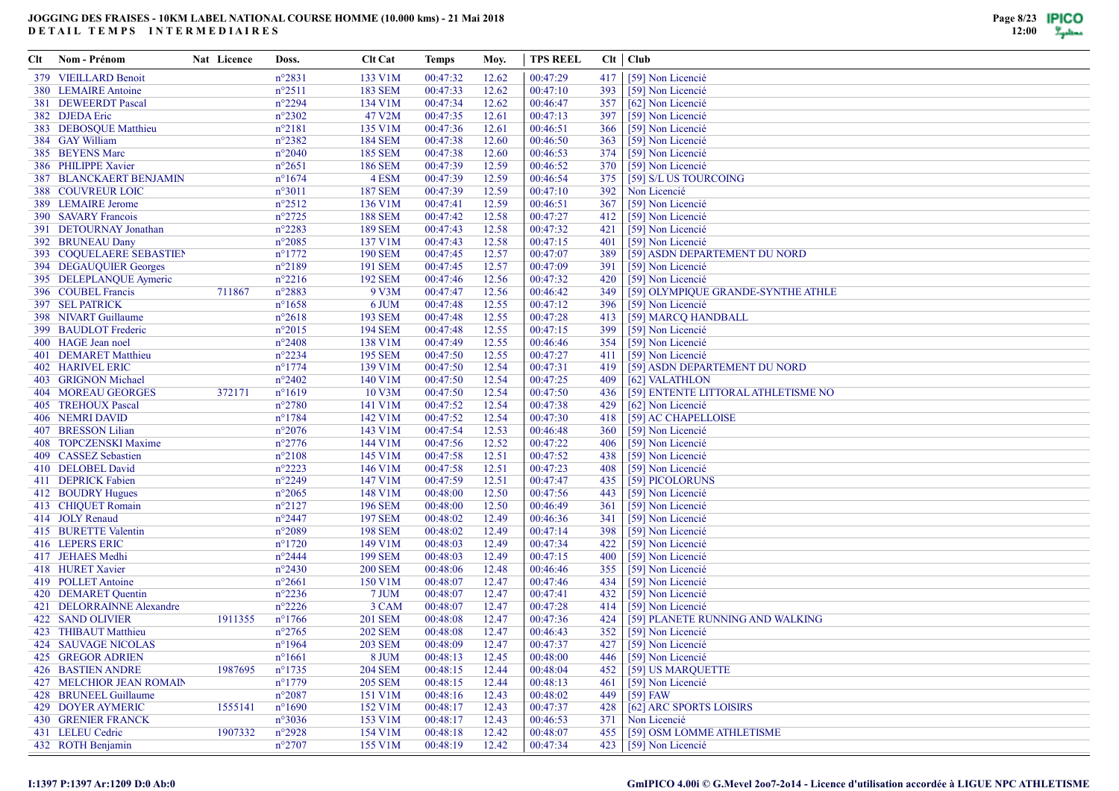| Clt | Nom - Prénom                          | Nat Licence | Doss.                               | <b>Clt Cat</b>                   | Temps                | Moy.           | <b>TPS REEL</b>      |            | $Clt$   $Club$                         |
|-----|---------------------------------------|-------------|-------------------------------------|----------------------------------|----------------------|----------------|----------------------|------------|----------------------------------------|
|     | 379 VIEILLARD Benoit                  |             | $n^{\circ}2831$                     | 133 V1M                          | 00:47:32             | 12.62          | 00:47:29             | 417        | [59] Non Licencié                      |
|     | 380 LEMAIRE Antoine                   |             | $n^{\circ}2511$                     | <b>183 SEM</b>                   | 00:47:33             | 12.62          | 00:47:10             | 393        | [59] Non Licencié                      |
|     | 381 DEWEERDT Pascal                   |             | $n^{\circ}2294$                     | 134 V1M                          | 00:47:34             | 12.62          | 00:46:47             | 357        | [62] Non Licencié                      |
|     | 382 DJEDA Eric                        |             | $n^{\circ}2302$                     | 47 V2M                           | 00:47:35             | 12.61          | 00:47:13             | 397        | [59] Non Licencié                      |
|     | 383 DEBOSOUE Matthieu                 |             | $n^{\circ}2181$                     | 135 V1M                          | 00:47:36             | 12.61          | 00:46:51             | 366        | [59] Non Licencié                      |
|     | 384 GAY William                       |             | $n^{\circ}2382$                     | <b>184 SEM</b>                   | 00:47:38             | 12.60          | 00:46:50             | 363        | [59] Non Licencié                      |
|     | 385 BEYENS Marc                       |             | $n^{\circ}2040$                     | <b>185 SEM</b>                   | 00:47:38             | 12.60          | 00:46:53             | 374        | [59] Non Licencié                      |
|     | 386 PHILIPPE Xavier                   |             | $n^{\circ}2651$                     | <b>186 SEM</b>                   | 00:47:39             | 12.59          | 00:46:52             | 370        | [59] Non Licencié                      |
|     | 387 BLANCKAERT BENJAMIN               |             | $n^{\circ}1674$                     | 4 ESM                            | 00:47:39             | 12.59          | 00:46:54             | 375        | [59] S/L US TOURCOING                  |
|     | <b>388 COUVREUR LOIC</b>              |             | $n^{\circ}3011$                     | <b>187 SEM</b>                   | 00:47:39             | 12.59          | 00:47:10             | 392        | Non Licencié                           |
|     | 389 LEMAIRE Jerome                    |             | $n^{\circ}2512$                     | 136 V1M                          | 00:47:41             | 12.59          | 00:46:51             | 367        | [59] Non Licencié                      |
|     | 390 SAVARY Francois                   |             | $n^{\circ}2725$                     | <b>188 SEM</b>                   | 00:47:42             | 12.58          | 00:47:27             | 412        | [59] Non Licencié                      |
|     | 391 DETOURNAY Jonathan                |             | $n^{\circ}2283$                     | <b>189 SEM</b>                   | 00:47:43             | 12.58          | 00:47:32             | 421        | [59] Non Licencié                      |
|     | 392 BRUNEAU Dany                      |             | $n^{\circ}2085$                     | 137 V1M                          | 00:47:43             | 12.58          | 00:47:15             | 401        | [59] Non Licencié                      |
|     | 393 COQUELAERE SEBASTIEN              |             | $n^{\circ}$ 1772                    | <b>190 SEM</b>                   | 00:47:45             | 12.57          | 00:47:07             | 389        | [59] ASDN DEPARTEMENT DU NORD          |
|     | 394 DEGAUQUIER Georges                |             | $n^{\circ}2189$                     | 191 SEM                          | 00:47:45             | 12.57          | 00:47:09             | 391        | [59] Non Licencié                      |
|     | 395 DELEPLANQUE Aymeric               |             | $n^{\circ}2216$                     | <b>192 SEM</b>                   | 00:47:46             | 12.56          | 00:47:32             | 420        | [59] Non Licencié                      |
|     | 396 COUBEL Francis                    | 711867      | n°2883                              | 9 V3M                            | 00:47:47             | 12.56          | 00:46:42             | 349        | [59] OLYMPIQUE GRANDE-SYNTHE ATHLE     |
|     | 397 SEL PATRICK                       |             | $n^{\circ}1658$                     | 6 JUM                            | 00:47:48             | 12.55          | 00:47:12             | 396        | [59] Non Licencié                      |
|     | 398 NIVART Guillaume                  |             | $n^{\circ}2618$                     | <b>193 SEM</b>                   | 00:47:48             | 12.55          | 00:47:28             | 413        | [59] MARCQ HANDBALL                    |
|     | 399 BAUDLOT Frederic                  |             | $n^{\circ}2015$                     | <b>194 SEM</b>                   | 00:47:48             | 12.55          | 00:47:15             | 399        | [59] Non Licencié                      |
|     | 400 HAGE Jean noel                    |             | $n^{\circ}2408$                     | 138 V1M                          | 00:47:49             | 12.55          | 00:46:46             | 354        | [59] Non Licencié                      |
|     | 401 DEMARET Matthieu                  |             | $n^{\circ}2234$                     | <b>195 SEM</b>                   | 00:47:50             | 12.55          | 00:47:27             | 411        | [59] Non Licencié                      |
|     | <b>402 HARIVEL ERIC</b>               |             | $n^{\circ}$ 1774                    | 139 V1M                          | 00:47:50             | 12.54          | 00:47:31             | 419        | [59] ASDN DEPARTEMENT DU NORD          |
|     | 403 GRIGNON Michael                   |             | $n^{\circ}2402$                     | 140 V1M                          | 00:47:50             | 12.54          | 00:47:25             | 409        | [62] VALATHLON                         |
|     | 404 MOREAU GEORGES                    | 372171      | $n^{\circ}1619$                     | 10 V3M                           | 00:47:50             | 12.54          | 00:47:50             | 436        | [59] ENTENTE LITTORAL ATHLETISME NO    |
|     | 405 TREHOUX Pascal                    |             | $n^{\circ}2780$                     | 141 V1M                          | 00:47:52             | 12.54          | 00:47:38             | 429        | [62] Non Licencié                      |
|     | 406 NEMRI DAVID                       |             | $n^{\circ}$ 1784                    | 142 V1M                          | 00:47:52             | 12.54          | 00:47:30             | 418        | [59] AC CHAPELLOISE                    |
|     | 407 BRESSON Lilian                    |             | $n^{\circ}2076$                     | 143 V1M                          | 00:47:54             | 12.53          | 00:46:48             | 360        | [59] Non Licencié                      |
|     | 408 TOPCZENSKI Maxime                 |             | $n^{\circ}2776$                     | 144 V1M                          | 00:47:56             | 12.52          | 00:47:22             | 406        | [59] Non Licencié                      |
|     | 409 CASSEZ Sebastien                  |             | $n^{\circ}2108$                     | 145 V1M                          | 00:47:58             | 12.51          | 00:47:52             | 438        | [59] Non Licencié                      |
|     | 410 DELOBEL David                     |             | $n^{\circ}2223$                     | 146 V1M                          | 00:47:58             | 12.51          | 00:47:23             | 408        | [59] Non Licencié                      |
|     | 411 DEPRICK Fabien                    |             | $n^{\circ}2249$                     | 147 V1M                          | 00:47:59             | 12.51          | 00:47:47             | 435        | [59] PICOLORUNS                        |
|     | 412 BOUDRY Hugues                     |             | $n^{\circ}2065$                     | 148 V1M                          | 00:48:00             | 12.50          | 00:47:56             | 443        | [59] Non Licencié                      |
|     | 413 CHIQUET Romain<br>414 JOLY Renaud |             | $n^{\circ}2127$<br>$n^{\circ}$ 2447 | <b>196 SEM</b><br><b>197 SEM</b> | 00:48:00<br>00:48:02 | 12.50          | 00:46:49             | 361<br>341 | [59] Non Licencié<br>[59] Non Licencié |
|     | 415 BURETTE Valentin                  |             | $n^{\circ}2089$                     | <b>198 SEM</b>                   | 00:48:02             | 12.49          | 00:46:36<br>00:47:14 | 398        |                                        |
|     |                                       |             | $n^{\circ}1720$                     | 149 V1M                          | 00:48:03             | 12.49          | 00:47:34             | 422        | [59] Non Licencié                      |
|     | 416 LEPERS ERIC<br>417 JEHAES Medhi   |             | $n^{\circ}$ 2444                    | <b>199 SEM</b>                   | 00:48:03             | 12.49<br>12.49 | 00:47:15             | 400        | [59] Non Licencié<br>[59] Non Licencié |
|     | 418 HURET Xavier                      |             | $n^{\circ}2430$                     | <b>200 SEM</b>                   | 00:48:06             | 12.48          | 00:46:46             | 355        | [59] Non Licencié                      |
|     | 419 POLLET Antoine                    |             | $n^{\circ}2661$                     | 150 V1M                          | 00:48:07             | 12.47          | 00:47:46             | 434        | [59] Non Licencié                      |
|     | 420 DEMARET Quentin                   |             | $n^{\circ}2236$                     | 7 JUM                            | 00:48:07             | 12.47          | 00:47:41             | 432        | [59] Non Licencié                      |
|     | 421 DELORRAINNE Alexandre             |             | $n^{\circ}2226$                     | 3 CAM                            | 00:48:07             | 12.47          | 00:47:28             | 414        | [59] Non Licencié                      |
|     | <b>422 SAND OLIVIER</b>               | 1911355     | $n^{\circ}1766$                     | <b>201 SEM</b>                   | 00:48:08             | 12.47          | 00:47:36             | 424        | [59] PLANETE RUNNING AND WALKING       |
|     | 423 THIBAUT Matthieu                  |             | $n^{\circ}2765$                     | <b>202 SEM</b>                   | 00:48:08             | 12.47          | 00:46:43             | 352        | [59] Non Licencié                      |
|     | 424 SAUVAGE NICOLAS                   |             | $n^{\circ}$ 1964                    | <b>203 SEM</b>                   | 00:48:09             | 12.47          | 00:47:37             | 427        | [59] Non Licencié                      |
|     | <b>425 GREGOR ADRIEN</b>              |             | $n^{\circ}1661$                     | 8 JUM                            | 00:48:13             | 12.45          | 00:48:00             | 446        | [59] Non Licencié                      |
|     | <b>426 BASTIEN ANDRE</b>              | 1987695     | $n^{\circ}1735$                     | <b>204 SEM</b>                   | 00:48:15             | 12.44          | 00:48:04             | 452        | [59] US MARQUETTE                      |
|     | 427 MELCHIOR JEAN ROMAIN              |             | $n^{\circ}$ 1779                    | <b>205 SEM</b>                   | 00:48:15             | 12.44          | 00:48:13             | 461        | [59] Non Licencié                      |
|     | 428 BRUNEEL Guillaume                 |             | $n^{\circ}2087$                     | 151 V1M                          | 00:48:16             | 12.43          | 00:48:02             | 449        | $[59]$ FAW                             |
|     | <b>429 DOYER AYMERIC</b>              | 1555141     | $n^{\circ}1690$                     | 152 V1M                          | 00:48:17             | 12.43          | 00:47:37             | 428        | [62] ARC SPORTS LOISIRS                |
|     | <b>430 GRENIER FRANCK</b>             |             | $n^{\circ}3036$                     | 153 V1M                          | 00:48:17             | 12.43          | 00:46:53             | 371        | Non Licencié                           |
|     | 431 LELEU Cedric                      | 1907332     | $n^{\circ}2928$                     | 154 V1M                          | 00:48:18             | 12.42          | 00:48:07             | 455        | [59] OSM LOMME ATHLETISME              |
|     | 432 ROTH Benjamin                     |             | $n^{\circ}2707$                     | 155 V1M                          | 00:48:19             | 12.42          | 00:47:34             |            | 423 [59] Non Licencié                  |
|     |                                       |             |                                     |                                  |                      |                |                      |            |                                        |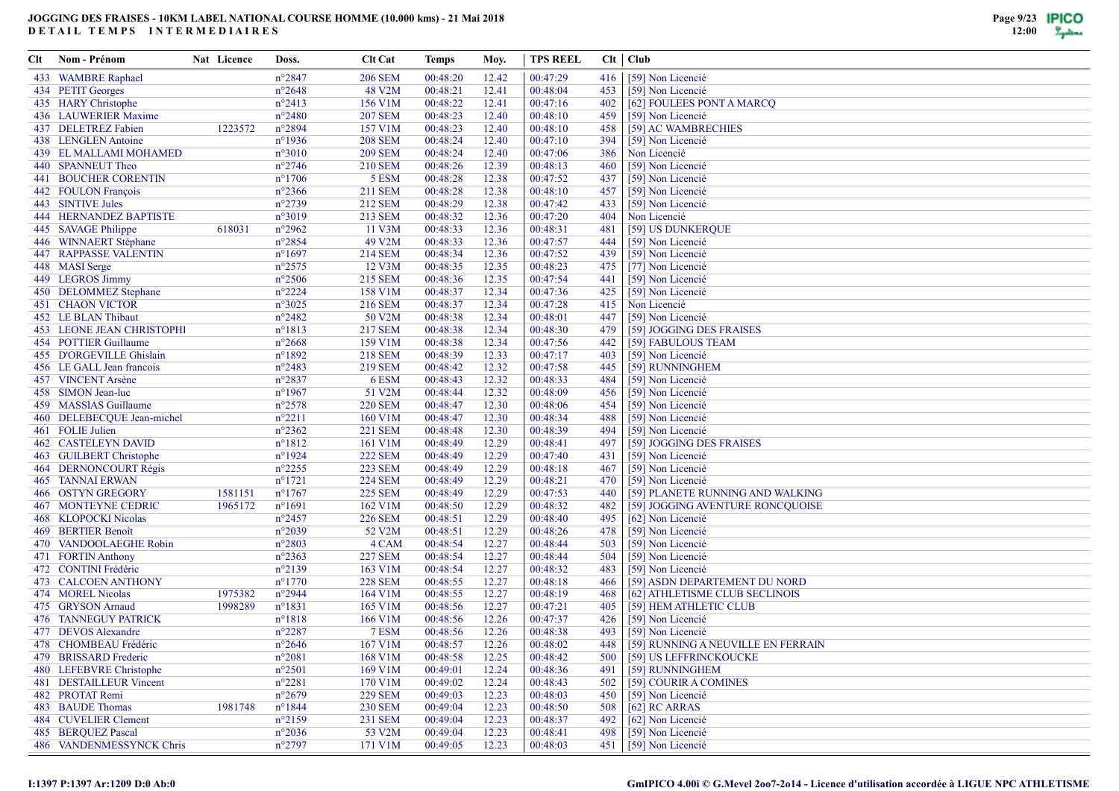| Clt | Nom - Prénom                     | Nat Licence | Doss.            | <b>Clt Cat</b> | Temps    | Moy.  | <b>TPS REEL</b> |       | $Clt$ $Club$                       |
|-----|----------------------------------|-------------|------------------|----------------|----------|-------|-----------------|-------|------------------------------------|
|     | 433 WAMBRE Raphael               |             | $n^{\circ}2847$  | <b>206 SEM</b> | 00:48:20 | 12.42 | 00:47:29        | 416   | [59] Non Licencié                  |
|     | 434 PETIT Georges                |             | $n^{\circ}2648$  | 48 V2M         | 00:48:21 | 12.41 | 00:48:04        | 453   | [59] Non Licencié                  |
|     | 435 HARY Christophe              |             | $n^{\circ}2413$  | 156 V1M        | 00:48:22 | 12.41 | 00:47:16        | 402   | [62] FOULEES PONT A MARCQ          |
|     | 436 LAUWERIER Maxime             |             | $n^{\circ}2480$  | <b>207 SEM</b> | 00:48:23 | 12.40 | 00:48:10        | 459   | [59] Non Licencié                  |
|     | 437 DELETREZ Fabien              | 1223572     | $n^{\circ}2894$  | 157 V1M        | 00:48:23 | 12.40 | 00:48:10        | 458   | [59] AC WAMBRECHIES                |
|     | 438 LENGLEN Antoine              |             | $n^{\circ}$ 1936 | <b>208 SEM</b> | 00:48:24 | 12.40 | 00:47:10        | 394   | [59] Non Licencié                  |
|     | 439 EL MALLAMI MOHAMED           |             | $n^{\circ}3010$  | <b>209 SEM</b> | 00:48:24 | 12.40 | 00:47:06        | 386   | Non Licencié                       |
|     | 440 SPANNEUT Theo                |             | $n^{\circ}2746$  | <b>210 SEM</b> | 00:48:26 | 12.39 | 00:48:13        | 460   | [59] Non Licencié                  |
|     | <b>441 BOUCHER CORENTIN</b>      |             | $n^{\circ}1706$  | 5 ESM          | 00:48:28 | 12.38 | 00:47:52        | 437   | [59] Non Licencié                  |
|     | 442 FOULON François              |             | $n^{\circ}2366$  | 211 SEM        | 00:48:28 | 12.38 | 00:48:10        | 457   | [59] Non Licencié                  |
|     | 443 SINTIVE Jules                |             | $n^{\circ}2739$  | 212 SEM        | 00:48:29 | 12.38 | 00:47:42        | 433   | [59] Non Licencié                  |
|     | <b>444 HERNANDEZ BAPTISTE</b>    |             | $n^{\circ}3019$  | <b>213 SEM</b> | 00:48:32 | 12.36 | 00:47:20        | 404   | Non Licencié                       |
|     | 445 SAVAGE Philippe              | 618031      | $n^{\circ}2962$  | 11 V3M         | 00:48:33 | 12.36 | 00:48:31        | 481   | [59] US DUNKERQUE                  |
|     | 446 WINNAERT Stéphane            |             | $n^{\circ}2854$  | 49 V2M         | 00:48:33 | 12.36 | 00:47:57        | 444   | [59] Non Licencié                  |
|     | <b>447 RAPPASSE VALENTIN</b>     |             | $n^{\circ}1697$  | 214 SEM        | 00:48:34 | 12.36 | 00:47:52        | 439   | [59] Non Licencié                  |
|     | 448 MASI Serge                   |             | $n^{\circ}2575$  | 12 V3M         | 00:48:35 | 12.35 | 00:48:23        | 475   | [77] Non Licencié                  |
|     | 449 LEGROS Jimmy                 |             | $n^{\circ}2506$  | 215 SEM        | 00:48:36 | 12.35 | 00:47:54        | 441   | [59] Non Licencié                  |
|     | 450 DELOMMEZ Stephane            |             | $n^{\circ}2224$  | 158 V1M        | 00:48:37 | 12.34 | 00:47:36        | 425   | [59] Non Licencié                  |
|     | <b>451 CHAON VICTOR</b>          |             | $n^{\circ}3025$  | <b>216 SEM</b> | 00:48:37 | 12.34 | 00:47:28        | 415   | Non Licencié                       |
|     | 452 LE BLAN Thibaut              |             | $n^{\circ}2482$  | 50 V2M         | 00:48:38 | 12.34 | 00:48:01        | 447   | [59] Non Licencié                  |
|     | <b>453 LEONE JEAN CHRISTOPHI</b> |             | $n^{\circ}1813$  | 217 SEM        | 00:48:38 | 12.34 | 00:48:30        | 479   | [59] JOGGING DES FRAISES           |
|     | 454 POTTIER Guillaume            |             | $n^{\circ}2668$  | 159 V1M        | 00:48:38 | 12.34 | 00:47:56        | 442   | [59] FABULOUS TEAM                 |
|     | 455 D'ORGEVILLE Ghislain         |             | $n^{\circ}1892$  | 218 SEM        | 00:48:39 | 12.33 | 00:47:17        | 403   | [59] Non Licencié                  |
|     | 456 LE GALL Jean francois        |             | $n^{\circ}2483$  | 219 SEM        | 00:48:42 | 12.32 | 00:47:58        | 445   | [59] RUNNINGHEM                    |
|     | 457 VINCENT Arsène               |             | $n^{\circ}2837$  | 6 ESM          | 00:48:43 | 12.32 | 00:48:33        | 484   | [59] Non Licencié                  |
|     | 458 SIMON Jean-luc               |             | $n^{\circ}$ 1967 | 51 V2M         | 00:48:44 | 12.32 | 00:48:09        | 456   | [59] Non Licencié                  |
|     | 459 MASSIAS Guillaume            |             | $n^{\circ}2578$  | <b>220 SEM</b> | 00:48:47 | 12.30 | 00:48:06        | 454   | [59] Non Licencié                  |
|     | 460 DELEBECQUE Jean-michel       |             | $n^{\circ}2211$  | 160 V1M        | 00:48:47 | 12.30 | 00:48:34        | 488   | [59] Non Licencié                  |
|     | 461 FOLIE Julien                 |             | $n^{\circ}2362$  | <b>221 SEM</b> | 00:48:48 | 12.30 | 00:48:39        | 494   | [59] Non Licencié                  |
|     | <b>462 CASTELEYN DAVID</b>       |             | $n^{\circ}1812$  | 161 V1M        | 00:48:49 | 12.29 | 00:48:41        | 497   | [59] JOGGING DES FRAISES           |
|     | 463 GUILBERT Christophe          |             | $n^{\circ}1924$  | <b>222 SEM</b> | 00:48:49 | 12.29 | 00:47:40        | 431   | [59] Non Licencié                  |
|     | 464 DERNONCOURT Régis            |             | $n^{\circ}2255$  | <b>223 SEM</b> | 00:48:49 | 12.29 | 00:48:18        | 467   | [59] Non Licencié                  |
|     | <b>465 TANNAI ERWAN</b>          |             | $n^{\circ}1721$  | <b>224 SEM</b> | 00:48:49 | 12.29 | 00:48:21        | 470   | [59] Non Licencié                  |
|     | 466 OSTYN GREGORY                | 1581151     | $n^{\circ}1767$  | <b>225 SEM</b> | 00:48:49 | 12.29 | 00:47:53        | 440   | [59] PLANETE RUNNING AND WALKING   |
|     | <b>467 MONTEYNE CEDRIC</b>       | 1965172     | $n^{\circ}1691$  | 162 V1M        | 00:48:50 | 12.29 | 00:48:32        | 482   | [59] JOGGING AVENTURE RONCQUOISE   |
|     | 468 KLOPOCKI Nicolas             |             | $n^{\circ}2457$  | <b>226 SEM</b> | 00:48:51 | 12.29 | 00:48:40        | 495   | [62] Non Licencié                  |
|     | 469 BERTIER Benoît               |             | $n^{\circ}2039$  | 52 V2M         | 00:48:51 | 12.29 | 00:48:26        | 478   | [59] Non Licencié                  |
|     | 470 VANDOOLAEGHE Robin           |             | $n^{\circ}2803$  | 4 CAM          | 00:48:54 | 12.27 | 00:48:44        | 503   | [59] Non Licencié                  |
|     | 471 FORTIN Anthony               |             | $n^{\circ}2363$  | <b>227 SEM</b> | 00:48:54 | 12.27 | 00:48:44        | 504   | [59] Non Licencié                  |
|     | 472 CONTINI Frédéric             |             | $n^{\circ}2139$  | 163 V1M        | 00:48:54 | 12.27 | 00:48:32        | 483   | [59] Non Licencié                  |
|     | 473 CALCOEN ANTHONY              |             | $n^{\circ}1770$  | <b>228 SEM</b> | 00:48:55 | 12.27 | 00:48:18        | 466   | [59] ASDN DEPARTEMENT DU NORD      |
|     | 474 MOREL Nicolas                | 1975382     | $n^{\circ}2944$  | 164 V1M        | 00:48:55 | 12.27 | 00:48:19        | 468   | [62] ATHLETISME CLUB SECLINOIS     |
|     | 475 GRYSON Arnaud                | 1998289     | $n^{\circ}1831$  | 165 V1M        | 00:48:56 | 12.27 | 00:47:21        | 405   | [59] HEM ATHLETIC CLUB             |
|     | <b>476 TANNEGUY PATRICK</b>      |             | $n^{\circ}1818$  | 166 V1M        | 00:48:56 | 12.26 | 00:47:37        | 426   | [59] Non Licencié                  |
|     | 477 DEVOS Alexandre              |             | $n^{\circ}2287$  | 7 ESM          | 00:48:56 | 12.26 | 00:48:38        | 493   | [59] Non Licencié                  |
|     | 478 CHOMBEAU Frédéric            |             | $n^{\circ}2646$  | 167 V1M        | 00:48:57 | 12.26 | 00:48:02        | 448   | [59] RUNNING A NEUVILLE EN FERRAIN |
|     | 479 BRISSARD Frederic            |             | $n^{\circ}2081$  | 168 V1M        | 00:48:58 | 12.25 | 00:48:42        | 500 l | [59] US LEFFRINCKOUCKE             |
|     | 480 LEFEBVRE Christophe          |             | $n^{\circ}2501$  | 169 V1M        | 00:49:01 | 12.24 | 00:48:36        | 491   | [59] RUNNINGHEM                    |
|     | 481 DESTAILLEUR Vincent          |             | $n^{\circ}2281$  | 170 V1M        | 00:49:02 | 12.24 | 00:48:43        | 502   | [59] COURIR A COMINES              |
|     | 482 PROTAT Remi                  |             | $n^{\circ}2679$  | <b>229 SEM</b> | 00:49:03 | 12.23 | 00:48:03        | 450   | [59] Non Licencié                  |
|     | 483 BAUDE Thomas                 | 1981748     | $n^{\circ}1844$  | <b>230 SEM</b> | 00:49:04 | 12.23 | 00:48:50        | 508   | $[62]$ RC ARRAS                    |
|     | 484 CUVELIER Clement             |             | $n^{\circ}2159$  | 231 SEM        | 00:49:04 | 12.23 | 00:48:37        | 492   | [62] Non Licencié                  |
|     | 485 BERQUEZ Pascal               |             | $n^{\circ}2036$  | 53 V2M         | 00:49:04 | 12.23 | 00:48:41        | 498   | [59] Non Licencié                  |
|     | 486 VANDENMESSYNCK Chris         |             | $n^{\circ}2797$  | 171 V1M        | 00:49:05 | 12.23 | 00:48:03        |       | 451 [59] Non Licencié              |

#### **I:1397 P:1397 Ar:1209 D:0 Ab:0**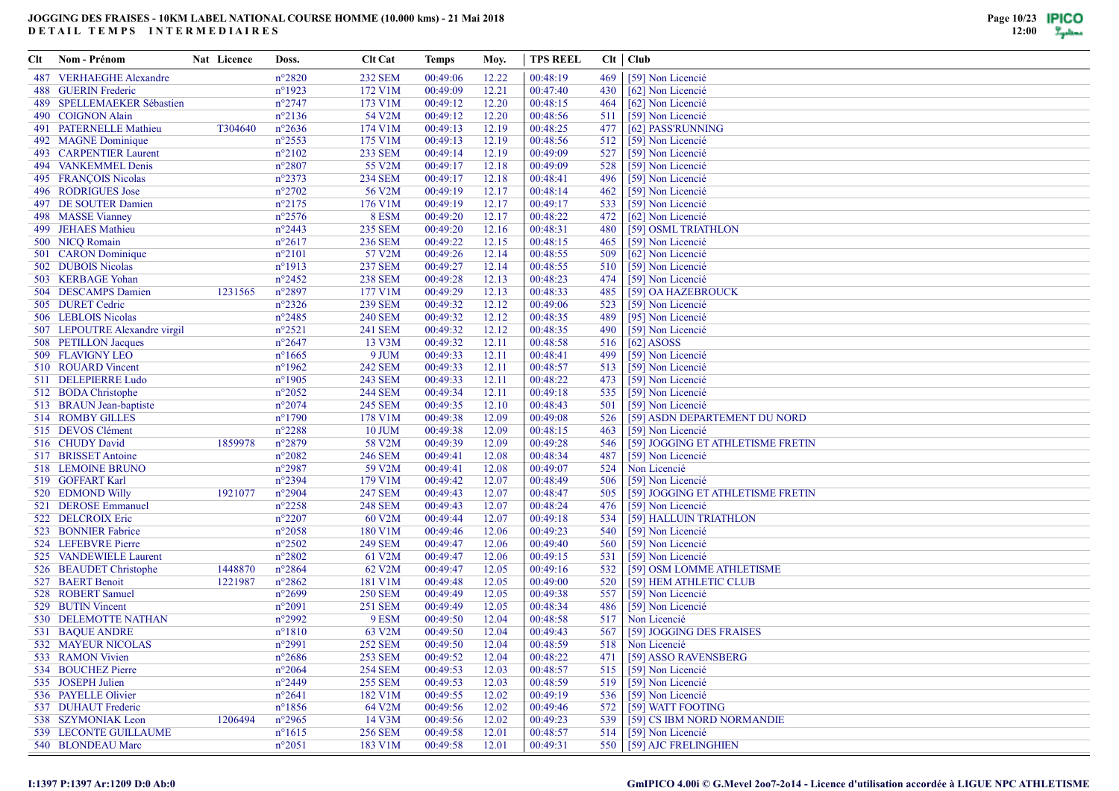| Clt | Nom - Prénom                  | Nat Licence | Doss.            | <b>Clt Cat</b> | Temps    | Moy.  | <b>TPS REEL</b> |     | $Clt$ $Club$                      |
|-----|-------------------------------|-------------|------------------|----------------|----------|-------|-----------------|-----|-----------------------------------|
|     | 487 VERHAEGHE Alexandre       |             | $n^{\circ}2820$  | <b>232 SEM</b> | 00:49:06 | 12.22 | 00:48:19        | 469 | [59] Non Licencié                 |
|     | 488 GUERIN Frederic           |             | $n^{\circ}1923$  | 172 V1M        | 00:49:09 | 12.21 | 00:47:40        | 430 | [62] Non Licencié                 |
|     | 489 SPELLEMAEKER Sébastien    |             | $n^{\circ}2747$  | 173 V1M        | 00:49:12 | 12.20 | 00:48:15        | 464 | [62] Non Licencié                 |
|     | 490 COIGNON Alain             |             | $n^{\circ}2136$  | 54 V2M         | 00:49:12 | 12.20 | 00:48:56        | 511 | [59] Non Licencié                 |
|     | 491 PATERNELLE Mathieu        | T304640     | $n^{\circ}2636$  | 174 V1M        | 00:49:13 | 12.19 | 00:48:25        | 477 | [62] PASS'RUNNING                 |
|     | 492 MAGNE Dominique           |             | $n^{\circ}2553$  | 175 V1M        | 00:49:13 | 12.19 | 00:48:56        | 512 | [59] Non Licencié                 |
|     | 493 CARPENTIER Laurent        |             | $n^{\circ}2102$  | <b>233 SEM</b> | 00:49:14 | 12.19 | 00:49:09        | 527 | [59] Non Licencié                 |
|     | 494 VANKEMMEL Denis           |             | $n^{\circ}2807$  | 55 V2M         | 00:49:17 | 12.18 | 00:49:09        | 528 | [59] Non Licencié                 |
|     | 495 FRANÇOIS Nicolas          |             | $n^{\circ}2373$  | <b>234 SEM</b> | 00:49:17 | 12.18 | 00:48:41        | 496 | [59] Non Licencié                 |
|     | 496 RODRIGUES Jose            |             | $n^{\circ}2702$  | 56 V2M         | 00:49:19 | 12.17 | 00:48:14        | 462 | [59] Non Licencié                 |
|     | 497 DE SOUTER Damien          |             | $n^{\circ}2175$  | 176 V1M        | 00:49:19 | 12.17 | 00:49:17        | 533 | [59] Non Licencié                 |
|     | 498 MASSE Vianney             |             | $n^{\circ}2576$  | 8 ESM          | 00:49:20 | 12.17 | 00:48:22        | 472 | [62] Non Licencié                 |
|     | 499 JEHAES Mathieu            |             | $n^{\circ}2443$  | <b>235 SEM</b> | 00:49:20 | 12.16 | 00:48:31        | 480 | [59] OSML TRIATHLON               |
|     | 500 NICQ Romain               |             | $n^{\circ}2617$  | <b>236 SEM</b> | 00:49:22 | 12.15 | 00:48:15        | 465 | [59] Non Licencié                 |
|     | 501 CARON Dominique           |             | $n^{\circ}2101$  | 57 V2M         | 00:49:26 | 12.14 | 00:48:55        | 509 | [62] Non Licencié                 |
|     | 502 DUBOIS Nicolas            |             | $n^{\circ}1913$  | <b>237 SEM</b> | 00:49:27 | 12.14 | 00:48:55        | 510 | [59] Non Licencié                 |
|     | 503 KERBAGE Yohan             |             | $n^{\circ}2452$  | <b>238 SEM</b> | 00:49:28 | 12.13 | 00:48:23        | 474 | [59] Non Licencié                 |
|     | 504 DESCAMPS Damien           | 1231565     | $n^{\circ}2897$  | 177 V1M        | 00:49:29 | 12.13 | 00:48:33        | 485 | [59] OA HAZEBROUCK                |
|     | 505 DURET Cedric              |             | $n^{\circ}2326$  | <b>239 SEM</b> | 00:49:32 | 12.12 | 00:49:06        | 523 | [59] Non Licencié                 |
|     | 506 LEBLOIS Nicolas           |             | $n^{\circ}2485$  | <b>240 SEM</b> | 00:49:32 | 12.12 | 00:48:35        | 489 | [95] Non Licencié                 |
|     | 507 LEPOUTRE Alexandre virgil |             | $n^{\circ}2521$  | 241 SEM        | 00:49:32 | 12.12 | 00:48:35        | 490 | [59] Non Licencié                 |
|     | 508 PETILLON Jacques          |             | $n^{\circ}2647$  | 13 V3M         | 00:49:32 | 12.11 | 00:48:58        | 516 | $[62]$ ASOSS                      |
|     | 509 FLAVIGNY LEO              |             | $n^{\circ}1665$  | 9 JUM          | 00:49:33 | 12.11 | 00:48:41        | 499 | [59] Non Licencié                 |
|     | 510 ROUARD Vincent            |             | $n^{\circ}$ 1962 | <b>242 SEM</b> | 00:49:33 | 12.11 | 00:48:57        | 513 | [59] Non Licencié                 |
|     | 511 DELEPIERRE Ludo           |             | $n^{\circ}$ 1905 | 243 SEM        | 00:49:33 | 12.11 | 00:48:22        | 473 | [59] Non Licencié                 |
|     | 512 BODA Christophe           |             | $n^{\circ}2052$  | <b>244 SEM</b> | 00:49:34 | 12.11 | 00:49:18        | 535 | [59] Non Licencié                 |
|     | 513 BRAUN Jean-baptiste       |             | $n^{\circ}2074$  | <b>245 SEM</b> | 00:49:35 | 12.10 | 00:48:43        | 501 | [59] Non Licencié                 |
|     | 514 ROMBY GILLES              |             | $n^{\circ}1790$  | 178 V1M        | 00:49:38 | 12.09 | 00:49:08        | 526 | [59] ASDN DEPARTEMENT DU NORD     |
|     | 515 DEVOS Clément             |             | $n^{\circ}2288$  | <b>10 JUM</b>  | 00:49:38 | 12.09 | 00:48:15        | 463 | [59] Non Licencié                 |
|     | 516 CHUDY David               | 1859978     | $n^{\circ}2879$  | 58 V2M         | 00:49:39 | 12.09 | 00:49:28        | 546 | [59] JOGGING ET ATHLETISME FRETIN |
|     | 517 BRISSET Antoine           |             | $n^{\circ}2082$  | <b>246 SEM</b> | 00:49:41 | 12.08 | 00:48:34        | 487 | [59] Non Licencié                 |
|     | 518 LEMOINE BRUNO             |             | $n^{\circ}2987$  | 59 V2M         | 00:49:41 | 12.08 | 00:49:07        | 524 | Non Licencié                      |
|     | 519 GOFFART Karl              |             | $n^{\circ}2394$  | 179 V1M        | 00:49:42 | 12.07 | 00:48:49        | 506 | [59] Non Licencié                 |
|     | 520 EDMOND Willy              | 1921077     | $n^{\circ}2904$  | <b>247 SEM</b> | 00:49:43 | 12.07 | 00:48:47        | 505 | [59] JOGGING ET ATHLETISME FRETIN |
|     | 521 DEROSE Emmanuel           |             | $n^{\circ}2258$  | <b>248 SEM</b> | 00:49:43 | 12.07 | 00:48:24        | 476 | [59] Non Licencié                 |
|     | 522 DELCROIX Eric             |             | $n^{\circ}2207$  | 60 V2M         | 00:49:44 | 12.07 | 00:49:18        | 534 | [59] HALLUIN TRIATHLON            |
|     | 523 BONNIER Fabrice           |             | $n^{\circ}2058$  | 180 V1M        | 00:49:46 | 12.06 | 00:49:23        | 540 | [59] Non Licencié                 |
|     | 524 LEFEBVRE Pierre           |             | $n^{\circ}2502$  | <b>249 SEM</b> | 00:49:47 | 12.06 | 00:49:40        | 560 | [59] Non Licencié                 |
|     | 525 VANDEWIELE Laurent        |             | $n^{\circ}2802$  | 61 V2M         | 00:49:47 | 12.06 | 00:49:15        | 531 | [59] Non Licencié                 |
|     | 526 BEAUDET Christophe        | 1448870     | $n^{\circ}2864$  | 62 V2M         | 00:49:47 | 12.05 | 00:49:16        | 532 | [59] OSM LOMME ATHLETISME         |
|     | 527 BAERT Benoit              | 1221987     | $n^{\circ}2862$  | 181 V1M        | 00:49:48 | 12.05 | 00:49:00        | 520 | [59] HEM ATHLETIC CLUB            |
|     | 528 ROBERT Samuel             |             | $n^{\circ}2699$  | <b>250 SEM</b> | 00:49:49 | 12.05 | 00:49:38        | 557 | [59] Non Licencié                 |
|     | 529 BUTIN Vincent             |             | $n^{\circ}2091$  | 251 SEM        | 00:49:49 | 12.05 | 00:48:34        | 486 | [59] Non Licencié                 |
|     | 530 DELEMOTTE NATHAN          |             | $n^{\circ}2992$  | 9 ESM          | 00:49:50 | 12.04 | 00:48:58        | 517 | Non Licencié                      |
|     | 531 BAQUE ANDRE               |             | $n^{\circ}1810$  | 63 V2M         | 00:49:50 | 12.04 | 00:49:43        | 567 | [59] JOGGING DES FRAISES          |
|     | 532 MAYEUR NICOLAS            |             | $n^{\circ}2991$  | <b>252 SEM</b> | 00:49:50 | 12.04 | 00:48:59        |     | 518 Non Licencié                  |
|     | 533 RAMON Vivien              |             | $n^{\circ}2686$  | <b>253 SEM</b> | 00:49:52 | 12.04 | 00:48:22        | 471 | [59] ASSO RAVENSBERG              |
|     | 534 BOUCHEZ Pierre            |             | $n^{\circ}2064$  | <b>254 SEM</b> | 00:49:53 | 12.03 | 00:48:57        |     | 515 [59] Non Licencié             |
|     | 535 JOSEPH Julien             |             | $n^{\circ}2449$  | <b>255 SEM</b> | 00:49:53 | 12.03 | 00:48:59        | 519 | [59] Non Licencié                 |
|     | 536 PAYELLE Olivier           |             | $n^{\circ}2641$  | 182 V1M        | 00:49:55 | 12.02 | 00:49:19        | 536 | [59] Non Licencié                 |
|     | 537 DUHAUT Frederic           |             | $n^{\circ}$ 1856 | 64 V2M         | 00:49:56 | 12.02 | 00:49:46        |     | 572   [59] WATT FOOTING           |
|     | 538 SZYMONIAK Leon            | 1206494     | $n^{\circ}2965$  | 14 V3M         | 00:49:56 | 12.02 | 00:49:23        |     | 539 [59] CS IBM NORD NORMANDIE    |
|     | 539 LECONTE GUILLAUME         |             | $n^{\circ}1615$  | <b>256 SEM</b> | 00:49:58 | 12.01 | 00:48:57        |     | 514 [59] Non Licencié             |
|     | 540 BLONDEAU Marc             |             | $n^{\circ}2051$  | 183 V1M        | 00:49:58 | 12.01 | 00:49:31        |     | 550 [59] AJC FRELINGHIEN          |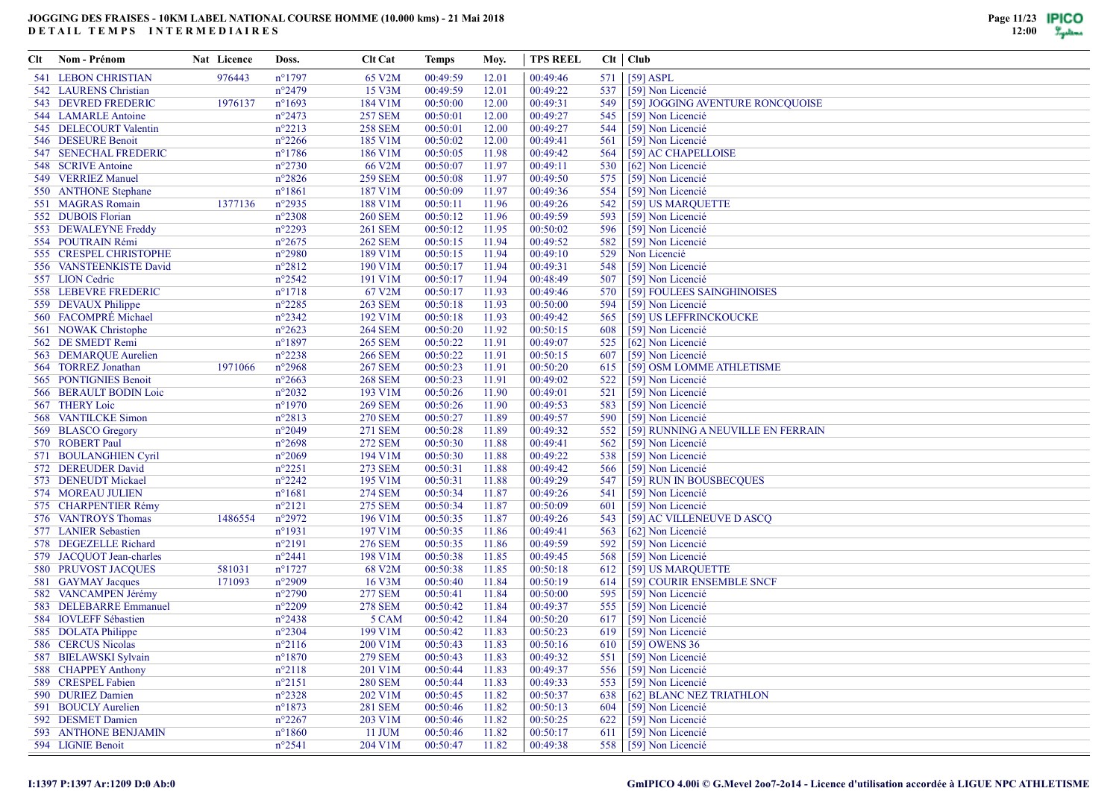| <b>541 LEBON CHRISTIAN</b><br>976443<br>$n^{\circ}$ 1797<br>65 V2M<br>00:49:59<br>00:49:46<br>571<br>$[59]$ ASPL<br>12.01<br>$n^{\circ}2479$<br>15 V3M<br>00:49:59<br>00:49:22<br>542 LAURENS Christian<br>12.01<br>537<br>[59] Non Licencié<br>543 DEVRED FREDERIC<br>1976137<br>$n^{\circ}1693$<br>184 V1M<br>00:50:00<br>00:49:31<br>12.00<br>549<br>[59] JOGGING AVENTURE RONCQUOISE<br>$n^{\circ}2473$<br><b>257 SEM</b><br>544 LAMARLE Antoine<br>00:50:01<br>00:49:27<br>12.00<br>545<br>[59] Non Licencié<br>545 DELECOURT Valentin<br>$n^{\circ}2213$<br><b>258 SEM</b><br>00:50:01<br>12.00<br>00:49:27<br>[59] Non Licencié<br>544<br>546 DESEURE Benoit<br>$n^{\circ}2266$<br>185 V1M<br>00:50:02<br>00:49:41<br>[59] Non Licencié<br>12.00<br>561<br>547 SENECHAL FREDERIC<br>$n^{\circ}$ 1786<br>186 V1M<br>00:50:05<br>00:49:42<br>564<br>[59] AC CHAPELLOISE<br>11.98<br>548 SCRIVE Antoine<br>$n^{\circ}2730$<br>66 V2M<br>00:50:07<br>11.97<br>00:49:11<br>530<br>[62] Non Licencié<br>549 VERRIEZ Manuel<br>$n^{\circ}2826$<br><b>259 SEM</b><br>00:50:08<br>00:49:50<br>575<br>11.97<br>[59] Non Licencié<br>$n^{\circ}1861$<br>187 V1M<br>00:50:09<br>11.97<br>00:49:36<br>554<br>[59] Non Licencié<br>550 ANTHONE Stephane<br>188 V1M<br>551 MAGRAS Romain<br>1377136<br>$n^{\circ}2935$<br>00:50:11<br>00:49:26<br>[59] US MARQUETTE<br>11.96<br>542<br>552 DUBOIS Florian<br>$n^{\circ}2308$<br><b>260 SEM</b><br>00:49:59<br>[59] Non Licencié<br>00:50:12<br>11.96<br>593<br>553 DEWALEYNE Freddy<br>$n^{\circ}2293$<br><b>261 SEM</b><br>00:50:12<br>00:50:02<br>596<br>[59] Non Licencié<br>11.95<br>554 POUTRAIN Rémi<br>$n^{\circ}2675$<br><b>262 SEM</b><br>00:50:15<br>00:49:52<br>582<br>[59] Non Licencié<br>11.94<br>555 CRESPEL CHRISTOPHE<br>$n^{\circ}2980$<br>189 V1M<br>00:50:15<br>11.94<br>00:49:10<br>529<br>Non Licencié<br>556 VANSTEENKISTE David<br>$n^{\circ}2812$<br>190 V1M<br>00:50:17<br>00:49:31<br>548<br>[59] Non Licencié<br>11.94<br>557 LION Cedric<br>$n^{\circ}2542$<br>191 V1M<br>00:50:17<br>11.94<br>00:48:49<br>507<br>[59] Non Licencié<br>558 LEBEVRE FREDERIC<br>$n^{\circ}1718$<br>67 V2M<br>00:50:17<br>00:49:46<br>570<br>[59] FOULEES SAINGHINOISES<br>11.93<br>$n^{\circ}2285$<br><b>263 SEM</b><br>00:50:18<br>00:50:00<br>594<br>[59] Non Licencié<br>559 DEVAUX Philippe<br>11.93<br>560 FACOMPRÉ Michael<br>$n^{\circ}2342$<br>192 V1M<br>00:50:18<br>00:49:42<br>565<br>11.93<br>[59] US LEFFRINCKOUCKE<br>561 NOWAK Christophe<br>$n^{\circ}2623$<br><b>264 SEM</b><br>00:50:20<br>00:50:15<br>[59] Non Licencié<br>11.92<br>608<br>562 DE SMEDT Remi<br>$n^{\circ}1897$<br><b>265 SEM</b><br>00:50:22<br>11.91<br>00:49:07<br>525<br>[62] Non Licencié<br>563 DEMARQUE Aurelien<br>$n^{\circ}2238$<br><b>266 SEM</b><br>00:50:22<br>00:50:15<br>607<br>[59] Non Licencié<br>11.91<br>564 TORREZ Jonathan<br>1971066<br>$n^{\circ}2968$<br><b>267 SEM</b><br>00:50:23<br>11.91<br>00:50:20<br>[59] OSM LOMME ATHLETISME<br>615<br><b>268 SEM</b><br>565 PONTIGNIES Benoit<br>$n^{\circ}2663$<br>00:50:23<br>11.91<br>00:49:02<br>522<br>[59] Non Licencié<br>566 BERAULT BODIN Loic<br>$n^{\circ}2032$<br>193 V1M<br>00:50:26<br>00:49:01<br>521<br>[59] Non Licencié<br>11.90<br>567 THERY Loic<br>$n^{\circ}1970$<br><b>269 SEM</b><br>00:50:26<br>11.90<br>00:49:53<br>583<br>[59] Non Licencié<br>568 VANTILCKE Simon<br>$n^{\circ}2813$<br><b>270 SEM</b><br>00:50:27<br>00:49:57<br>590<br>[59] Non Licencié<br>11.89<br>569 BLASCO Gregory<br>$n^{\circ}2049$<br>271 SEM<br>00:50:28<br>11.89<br>00:49:32<br>552<br>[59] RUNNING A NEUVILLE EN FERRAIN<br>570 ROBERT Paul<br><b>272 SEM</b><br>$n^{\circ}2698$<br>00:50:30<br>00:49:41<br>[59] Non Licencié<br>11.88<br>562<br>571 BOULANGHIEN Cyril<br>$n^{\circ}2069$<br>194 V1M<br>00:50:30<br>00:49:22<br>538<br>[59] Non Licencié<br>11.88<br>572 DEREUDER David<br>$n^{\circ}2251$<br><b>273 SEM</b><br>00:50:31<br>00:49:42<br>566<br>11.88<br>[59] Non Licencié<br>$n^{\circ}2242$<br>195 V1M<br>00:50:31<br>00:49:29<br>573 DENEUDT Mickael<br>11.88<br>547<br>[59] RUN IN BOUSBECQUES<br>574 MOREAU JULIEN<br>$n^{\circ}1681$<br><b>274 SEM</b><br>00:50:34<br>00:49:26<br>541<br>[59] Non Licencié<br>11.87<br><b>275 SEM</b><br>575 CHARPENTIER Rémy<br>$n^{\circ}2121$<br>00:50:34<br>00:50:09<br>601<br>[59] Non Licencié<br>11.87<br>1486554<br>$n^{\circ}2972$<br>196 V1M<br>00:50:35<br>11.87<br>00:49:26<br>576 VANTROYS Thomas<br>543<br>[59] AC VILLENEUVE D ASCQ<br>197 V1M<br>577 LANIER Sebastien<br>$n^{\circ}1931$<br>00:50:35<br>00:49:41<br>[62] Non Licencié<br>11.86<br>563<br>$n^{\circ}2191$<br><b>276 SEM</b><br>00:50:35<br>00:49:59<br>592<br>[59] Non Licencié<br>578 DEGEZELLE Richard<br>11.86<br>579 JACQUOT Jean-charles<br>198 V1M<br>00:50:38<br>00:49:45<br>568<br>[59] Non Licencié<br>$n^{\circ}2441$<br>11.85<br>580 PRUVOST JACQUES<br>$n^{\circ}$ 1727<br>68 V2M<br>00:50:38<br>00:50:18<br>[59] US MARQUETTE<br>581031<br>11.85<br>612<br>171093<br>n°2909<br>16 V3M<br>00:50:40<br>00:50:19<br>614<br>581 GAYMAY Jacques<br>11.84<br>[59] COURIR ENSEMBLE SNCF<br><b>277 SEM</b><br>582 VANCAMPEN Jérémy<br>$n^{\circ}2790$<br>00:50:41<br>00:50:00<br>595<br>[59] Non Licencié<br>11.84<br>583 DELEBARRE Emmanuel<br>$n^{\circ}2209$<br><b>278 SEM</b><br>00:49:37<br>[59] Non Licencié<br>00:50:42<br>11.84<br>555<br>584 IOVLEFF Sébastien<br>$n^{\circ}2438$<br>5 CAM<br>00:50:42<br>00:50:20<br>617<br>[59] Non Licencié<br>11.84<br>$n^{\circ}2304$<br>199 V1M<br>00:50:42<br>00:50:23<br>619<br>585 DOLATA Philippe<br>11.83<br>[59] Non Licencié<br>586 CERCUS Nicolas<br>$n^{\circ}2116$<br>200 V1M<br>00:50:43<br>11.83<br>00:50:16<br>610<br>[59] OWENS 36<br>587 BIELAWSKI Sylvain<br>$n^{\circ}1870$<br><b>279 SEM</b><br>00:50:43<br>11.83<br>00:49:32<br>[59] Non Licencié<br>551  <br>588 CHAPPEY Anthony<br>$n^{\circ}2118$<br>201 V1M<br>00:50:44<br>11.83<br>00:49:37<br>[59] Non Licencié<br>556<br>[59] Non Licencié<br>589 CRESPEL Fabien<br>$n^{\circ}2151$<br><b>280 SEM</b><br>00:50:44<br>00:49:33<br>553<br>11.83<br>590 DURIEZ Damien<br>$n^{\circ}2328$<br>202 V1M<br>00:50:45<br>00:50:37<br>638 [62] BLANC NEZ TRIATHLON<br>11.82<br>591 BOUCLY Aurelien<br>$n^{\circ}1873$<br><b>281 SEM</b><br>00:50:46<br>00:50:13<br>604 [59] Non Licencié<br>11.82<br>592 DESMET Damien<br>$n^{\circ}2267$<br>203 V1M<br>00:50:46<br>00:50:25<br>622 [59] Non Licencié<br>11.82 | Clt | Nom - Prénom         | Nat Licence | Doss.           | <b>Clt Cat</b> | Temps    | Moy.  | <b>TPS REEL</b> | $Clt$   $Club$        |
|-------------------------------------------------------------------------------------------------------------------------------------------------------------------------------------------------------------------------------------------------------------------------------------------------------------------------------------------------------------------------------------------------------------------------------------------------------------------------------------------------------------------------------------------------------------------------------------------------------------------------------------------------------------------------------------------------------------------------------------------------------------------------------------------------------------------------------------------------------------------------------------------------------------------------------------------------------------------------------------------------------------------------------------------------------------------------------------------------------------------------------------------------------------------------------------------------------------------------------------------------------------------------------------------------------------------------------------------------------------------------------------------------------------------------------------------------------------------------------------------------------------------------------------------------------------------------------------------------------------------------------------------------------------------------------------------------------------------------------------------------------------------------------------------------------------------------------------------------------------------------------------------------------------------------------------------------------------------------------------------------------------------------------------------------------------------------------------------------------------------------------------------------------------------------------------------------------------------------------------------------------------------------------------------------------------------------------------------------------------------------------------------------------------------------------------------------------------------------------------------------------------------------------------------------------------------------------------------------------------------------------------------------------------------------------------------------------------------------------------------------------------------------------------------------------------------------------------------------------------------------------------------------------------------------------------------------------------------------------------------------------------------------------------------------------------------------------------------------------------------------------------------------------------------------------------------------------------------------------------------------------------------------------------------------------------------------------------------------------------------------------------------------------------------------------------------------------------------------------------------------------------------------------------------------------------------------------------------------------------------------------------------------------------------------------------------------------------------------------------------------------------------------------------------------------------------------------------------------------------------------------------------------------------------------------------------------------------------------------------------------------------------------------------------------------------------------------------------------------------------------------------------------------------------------------------------------------------------------------------------------------------------------------------------------------------------------------------------------------------------------------------------------------------------------------------------------------------------------------------------------------------------------------------------------------------------------------------------------------------------------------------------------------------------------------------------------------------------------------------------------------------------------------------------------------------------------------------------------------------------------------------------------------------------------------------------------------------------------------------------------------------------------------------------------------------------------------------------------------------------------------------------------------------------------------------------------------------------------------------------------------------------------------------------------------------------------------------------------------------------------------------------------------------------------------------------------------------------------------------------------------------------------------------------------------------------------------------------------------------------------------------------------------------------------------------------------------------------------------------------------------------------------------------------------------------------------------------------------------------------------------------------------------------------------------------------------------------------------------------------------------------------------------------------------------------------------------------------------------------------------------------------------------------------------------------------------------------------------------------------------------------------------------------------------------------------------------------------------------------------------------------------------------------------------------------------------------------------------------------------|-----|----------------------|-------------|-----------------|----------------|----------|-------|-----------------|-----------------------|
|                                                                                                                                                                                                                                                                                                                                                                                                                                                                                                                                                                                                                                                                                                                                                                                                                                                                                                                                                                                                                                                                                                                                                                                                                                                                                                                                                                                                                                                                                                                                                                                                                                                                                                                                                                                                                                                                                                                                                                                                                                                                                                                                                                                                                                                                                                                                                                                                                                                                                                                                                                                                                                                                                                                                                                                                                                                                                                                                                                                                                                                                                                                                                                                                                                                                                                                                                                                                                                                                                                                                                                                                                                                                                                                                                                                                                                                                                                                                                                                                                                                                                                                                                                                                                                                                                                                                                                                                                                                                                                                                                                                                                                                                                                                                                                                                                                                                                                                                                                                                                                                                                                                                                                                                                                                                                                                                                                                                                                                                                                                                                                                                                                                                                                                                                                                                                                                                                                                                                                                                                                                                                                                                                                                                                                                                                                                                                                                                                                                                                           |     |                      |             |                 |                |          |       |                 |                       |
|                                                                                                                                                                                                                                                                                                                                                                                                                                                                                                                                                                                                                                                                                                                                                                                                                                                                                                                                                                                                                                                                                                                                                                                                                                                                                                                                                                                                                                                                                                                                                                                                                                                                                                                                                                                                                                                                                                                                                                                                                                                                                                                                                                                                                                                                                                                                                                                                                                                                                                                                                                                                                                                                                                                                                                                                                                                                                                                                                                                                                                                                                                                                                                                                                                                                                                                                                                                                                                                                                                                                                                                                                                                                                                                                                                                                                                                                                                                                                                                                                                                                                                                                                                                                                                                                                                                                                                                                                                                                                                                                                                                                                                                                                                                                                                                                                                                                                                                                                                                                                                                                                                                                                                                                                                                                                                                                                                                                                                                                                                                                                                                                                                                                                                                                                                                                                                                                                                                                                                                                                                                                                                                                                                                                                                                                                                                                                                                                                                                                                           |     |                      |             |                 |                |          |       |                 |                       |
|                                                                                                                                                                                                                                                                                                                                                                                                                                                                                                                                                                                                                                                                                                                                                                                                                                                                                                                                                                                                                                                                                                                                                                                                                                                                                                                                                                                                                                                                                                                                                                                                                                                                                                                                                                                                                                                                                                                                                                                                                                                                                                                                                                                                                                                                                                                                                                                                                                                                                                                                                                                                                                                                                                                                                                                                                                                                                                                                                                                                                                                                                                                                                                                                                                                                                                                                                                                                                                                                                                                                                                                                                                                                                                                                                                                                                                                                                                                                                                                                                                                                                                                                                                                                                                                                                                                                                                                                                                                                                                                                                                                                                                                                                                                                                                                                                                                                                                                                                                                                                                                                                                                                                                                                                                                                                                                                                                                                                                                                                                                                                                                                                                                                                                                                                                                                                                                                                                                                                                                                                                                                                                                                                                                                                                                                                                                                                                                                                                                                                           |     |                      |             |                 |                |          |       |                 |                       |
|                                                                                                                                                                                                                                                                                                                                                                                                                                                                                                                                                                                                                                                                                                                                                                                                                                                                                                                                                                                                                                                                                                                                                                                                                                                                                                                                                                                                                                                                                                                                                                                                                                                                                                                                                                                                                                                                                                                                                                                                                                                                                                                                                                                                                                                                                                                                                                                                                                                                                                                                                                                                                                                                                                                                                                                                                                                                                                                                                                                                                                                                                                                                                                                                                                                                                                                                                                                                                                                                                                                                                                                                                                                                                                                                                                                                                                                                                                                                                                                                                                                                                                                                                                                                                                                                                                                                                                                                                                                                                                                                                                                                                                                                                                                                                                                                                                                                                                                                                                                                                                                                                                                                                                                                                                                                                                                                                                                                                                                                                                                                                                                                                                                                                                                                                                                                                                                                                                                                                                                                                                                                                                                                                                                                                                                                                                                                                                                                                                                                                           |     |                      |             |                 |                |          |       |                 |                       |
|                                                                                                                                                                                                                                                                                                                                                                                                                                                                                                                                                                                                                                                                                                                                                                                                                                                                                                                                                                                                                                                                                                                                                                                                                                                                                                                                                                                                                                                                                                                                                                                                                                                                                                                                                                                                                                                                                                                                                                                                                                                                                                                                                                                                                                                                                                                                                                                                                                                                                                                                                                                                                                                                                                                                                                                                                                                                                                                                                                                                                                                                                                                                                                                                                                                                                                                                                                                                                                                                                                                                                                                                                                                                                                                                                                                                                                                                                                                                                                                                                                                                                                                                                                                                                                                                                                                                                                                                                                                                                                                                                                                                                                                                                                                                                                                                                                                                                                                                                                                                                                                                                                                                                                                                                                                                                                                                                                                                                                                                                                                                                                                                                                                                                                                                                                                                                                                                                                                                                                                                                                                                                                                                                                                                                                                                                                                                                                                                                                                                                           |     |                      |             |                 |                |          |       |                 |                       |
|                                                                                                                                                                                                                                                                                                                                                                                                                                                                                                                                                                                                                                                                                                                                                                                                                                                                                                                                                                                                                                                                                                                                                                                                                                                                                                                                                                                                                                                                                                                                                                                                                                                                                                                                                                                                                                                                                                                                                                                                                                                                                                                                                                                                                                                                                                                                                                                                                                                                                                                                                                                                                                                                                                                                                                                                                                                                                                                                                                                                                                                                                                                                                                                                                                                                                                                                                                                                                                                                                                                                                                                                                                                                                                                                                                                                                                                                                                                                                                                                                                                                                                                                                                                                                                                                                                                                                                                                                                                                                                                                                                                                                                                                                                                                                                                                                                                                                                                                                                                                                                                                                                                                                                                                                                                                                                                                                                                                                                                                                                                                                                                                                                                                                                                                                                                                                                                                                                                                                                                                                                                                                                                                                                                                                                                                                                                                                                                                                                                                                           |     |                      |             |                 |                |          |       |                 |                       |
|                                                                                                                                                                                                                                                                                                                                                                                                                                                                                                                                                                                                                                                                                                                                                                                                                                                                                                                                                                                                                                                                                                                                                                                                                                                                                                                                                                                                                                                                                                                                                                                                                                                                                                                                                                                                                                                                                                                                                                                                                                                                                                                                                                                                                                                                                                                                                                                                                                                                                                                                                                                                                                                                                                                                                                                                                                                                                                                                                                                                                                                                                                                                                                                                                                                                                                                                                                                                                                                                                                                                                                                                                                                                                                                                                                                                                                                                                                                                                                                                                                                                                                                                                                                                                                                                                                                                                                                                                                                                                                                                                                                                                                                                                                                                                                                                                                                                                                                                                                                                                                                                                                                                                                                                                                                                                                                                                                                                                                                                                                                                                                                                                                                                                                                                                                                                                                                                                                                                                                                                                                                                                                                                                                                                                                                                                                                                                                                                                                                                                           |     |                      |             |                 |                |          |       |                 |                       |
|                                                                                                                                                                                                                                                                                                                                                                                                                                                                                                                                                                                                                                                                                                                                                                                                                                                                                                                                                                                                                                                                                                                                                                                                                                                                                                                                                                                                                                                                                                                                                                                                                                                                                                                                                                                                                                                                                                                                                                                                                                                                                                                                                                                                                                                                                                                                                                                                                                                                                                                                                                                                                                                                                                                                                                                                                                                                                                                                                                                                                                                                                                                                                                                                                                                                                                                                                                                                                                                                                                                                                                                                                                                                                                                                                                                                                                                                                                                                                                                                                                                                                                                                                                                                                                                                                                                                                                                                                                                                                                                                                                                                                                                                                                                                                                                                                                                                                                                                                                                                                                                                                                                                                                                                                                                                                                                                                                                                                                                                                                                                                                                                                                                                                                                                                                                                                                                                                                                                                                                                                                                                                                                                                                                                                                                                                                                                                                                                                                                                                           |     |                      |             |                 |                |          |       |                 |                       |
|                                                                                                                                                                                                                                                                                                                                                                                                                                                                                                                                                                                                                                                                                                                                                                                                                                                                                                                                                                                                                                                                                                                                                                                                                                                                                                                                                                                                                                                                                                                                                                                                                                                                                                                                                                                                                                                                                                                                                                                                                                                                                                                                                                                                                                                                                                                                                                                                                                                                                                                                                                                                                                                                                                                                                                                                                                                                                                                                                                                                                                                                                                                                                                                                                                                                                                                                                                                                                                                                                                                                                                                                                                                                                                                                                                                                                                                                                                                                                                                                                                                                                                                                                                                                                                                                                                                                                                                                                                                                                                                                                                                                                                                                                                                                                                                                                                                                                                                                                                                                                                                                                                                                                                                                                                                                                                                                                                                                                                                                                                                                                                                                                                                                                                                                                                                                                                                                                                                                                                                                                                                                                                                                                                                                                                                                                                                                                                                                                                                                                           |     |                      |             |                 |                |          |       |                 |                       |
|                                                                                                                                                                                                                                                                                                                                                                                                                                                                                                                                                                                                                                                                                                                                                                                                                                                                                                                                                                                                                                                                                                                                                                                                                                                                                                                                                                                                                                                                                                                                                                                                                                                                                                                                                                                                                                                                                                                                                                                                                                                                                                                                                                                                                                                                                                                                                                                                                                                                                                                                                                                                                                                                                                                                                                                                                                                                                                                                                                                                                                                                                                                                                                                                                                                                                                                                                                                                                                                                                                                                                                                                                                                                                                                                                                                                                                                                                                                                                                                                                                                                                                                                                                                                                                                                                                                                                                                                                                                                                                                                                                                                                                                                                                                                                                                                                                                                                                                                                                                                                                                                                                                                                                                                                                                                                                                                                                                                                                                                                                                                                                                                                                                                                                                                                                                                                                                                                                                                                                                                                                                                                                                                                                                                                                                                                                                                                                                                                                                                                           |     |                      |             |                 |                |          |       |                 |                       |
|                                                                                                                                                                                                                                                                                                                                                                                                                                                                                                                                                                                                                                                                                                                                                                                                                                                                                                                                                                                                                                                                                                                                                                                                                                                                                                                                                                                                                                                                                                                                                                                                                                                                                                                                                                                                                                                                                                                                                                                                                                                                                                                                                                                                                                                                                                                                                                                                                                                                                                                                                                                                                                                                                                                                                                                                                                                                                                                                                                                                                                                                                                                                                                                                                                                                                                                                                                                                                                                                                                                                                                                                                                                                                                                                                                                                                                                                                                                                                                                                                                                                                                                                                                                                                                                                                                                                                                                                                                                                                                                                                                                                                                                                                                                                                                                                                                                                                                                                                                                                                                                                                                                                                                                                                                                                                                                                                                                                                                                                                                                                                                                                                                                                                                                                                                                                                                                                                                                                                                                                                                                                                                                                                                                                                                                                                                                                                                                                                                                                                           |     |                      |             |                 |                |          |       |                 |                       |
|                                                                                                                                                                                                                                                                                                                                                                                                                                                                                                                                                                                                                                                                                                                                                                                                                                                                                                                                                                                                                                                                                                                                                                                                                                                                                                                                                                                                                                                                                                                                                                                                                                                                                                                                                                                                                                                                                                                                                                                                                                                                                                                                                                                                                                                                                                                                                                                                                                                                                                                                                                                                                                                                                                                                                                                                                                                                                                                                                                                                                                                                                                                                                                                                                                                                                                                                                                                                                                                                                                                                                                                                                                                                                                                                                                                                                                                                                                                                                                                                                                                                                                                                                                                                                                                                                                                                                                                                                                                                                                                                                                                                                                                                                                                                                                                                                                                                                                                                                                                                                                                                                                                                                                                                                                                                                                                                                                                                                                                                                                                                                                                                                                                                                                                                                                                                                                                                                                                                                                                                                                                                                                                                                                                                                                                                                                                                                                                                                                                                                           |     |                      |             |                 |                |          |       |                 |                       |
|                                                                                                                                                                                                                                                                                                                                                                                                                                                                                                                                                                                                                                                                                                                                                                                                                                                                                                                                                                                                                                                                                                                                                                                                                                                                                                                                                                                                                                                                                                                                                                                                                                                                                                                                                                                                                                                                                                                                                                                                                                                                                                                                                                                                                                                                                                                                                                                                                                                                                                                                                                                                                                                                                                                                                                                                                                                                                                                                                                                                                                                                                                                                                                                                                                                                                                                                                                                                                                                                                                                                                                                                                                                                                                                                                                                                                                                                                                                                                                                                                                                                                                                                                                                                                                                                                                                                                                                                                                                                                                                                                                                                                                                                                                                                                                                                                                                                                                                                                                                                                                                                                                                                                                                                                                                                                                                                                                                                                                                                                                                                                                                                                                                                                                                                                                                                                                                                                                                                                                                                                                                                                                                                                                                                                                                                                                                                                                                                                                                                                           |     |                      |             |                 |                |          |       |                 |                       |
|                                                                                                                                                                                                                                                                                                                                                                                                                                                                                                                                                                                                                                                                                                                                                                                                                                                                                                                                                                                                                                                                                                                                                                                                                                                                                                                                                                                                                                                                                                                                                                                                                                                                                                                                                                                                                                                                                                                                                                                                                                                                                                                                                                                                                                                                                                                                                                                                                                                                                                                                                                                                                                                                                                                                                                                                                                                                                                                                                                                                                                                                                                                                                                                                                                                                                                                                                                                                                                                                                                                                                                                                                                                                                                                                                                                                                                                                                                                                                                                                                                                                                                                                                                                                                                                                                                                                                                                                                                                                                                                                                                                                                                                                                                                                                                                                                                                                                                                                                                                                                                                                                                                                                                                                                                                                                                                                                                                                                                                                                                                                                                                                                                                                                                                                                                                                                                                                                                                                                                                                                                                                                                                                                                                                                                                                                                                                                                                                                                                                                           |     |                      |             |                 |                |          |       |                 |                       |
|                                                                                                                                                                                                                                                                                                                                                                                                                                                                                                                                                                                                                                                                                                                                                                                                                                                                                                                                                                                                                                                                                                                                                                                                                                                                                                                                                                                                                                                                                                                                                                                                                                                                                                                                                                                                                                                                                                                                                                                                                                                                                                                                                                                                                                                                                                                                                                                                                                                                                                                                                                                                                                                                                                                                                                                                                                                                                                                                                                                                                                                                                                                                                                                                                                                                                                                                                                                                                                                                                                                                                                                                                                                                                                                                                                                                                                                                                                                                                                                                                                                                                                                                                                                                                                                                                                                                                                                                                                                                                                                                                                                                                                                                                                                                                                                                                                                                                                                                                                                                                                                                                                                                                                                                                                                                                                                                                                                                                                                                                                                                                                                                                                                                                                                                                                                                                                                                                                                                                                                                                                                                                                                                                                                                                                                                                                                                                                                                                                                                                           |     |                      |             |                 |                |          |       |                 |                       |
|                                                                                                                                                                                                                                                                                                                                                                                                                                                                                                                                                                                                                                                                                                                                                                                                                                                                                                                                                                                                                                                                                                                                                                                                                                                                                                                                                                                                                                                                                                                                                                                                                                                                                                                                                                                                                                                                                                                                                                                                                                                                                                                                                                                                                                                                                                                                                                                                                                                                                                                                                                                                                                                                                                                                                                                                                                                                                                                                                                                                                                                                                                                                                                                                                                                                                                                                                                                                                                                                                                                                                                                                                                                                                                                                                                                                                                                                                                                                                                                                                                                                                                                                                                                                                                                                                                                                                                                                                                                                                                                                                                                                                                                                                                                                                                                                                                                                                                                                                                                                                                                                                                                                                                                                                                                                                                                                                                                                                                                                                                                                                                                                                                                                                                                                                                                                                                                                                                                                                                                                                                                                                                                                                                                                                                                                                                                                                                                                                                                                                           |     |                      |             |                 |                |          |       |                 |                       |
|                                                                                                                                                                                                                                                                                                                                                                                                                                                                                                                                                                                                                                                                                                                                                                                                                                                                                                                                                                                                                                                                                                                                                                                                                                                                                                                                                                                                                                                                                                                                                                                                                                                                                                                                                                                                                                                                                                                                                                                                                                                                                                                                                                                                                                                                                                                                                                                                                                                                                                                                                                                                                                                                                                                                                                                                                                                                                                                                                                                                                                                                                                                                                                                                                                                                                                                                                                                                                                                                                                                                                                                                                                                                                                                                                                                                                                                                                                                                                                                                                                                                                                                                                                                                                                                                                                                                                                                                                                                                                                                                                                                                                                                                                                                                                                                                                                                                                                                                                                                                                                                                                                                                                                                                                                                                                                                                                                                                                                                                                                                                                                                                                                                                                                                                                                                                                                                                                                                                                                                                                                                                                                                                                                                                                                                                                                                                                                                                                                                                                           |     |                      |             |                 |                |          |       |                 |                       |
|                                                                                                                                                                                                                                                                                                                                                                                                                                                                                                                                                                                                                                                                                                                                                                                                                                                                                                                                                                                                                                                                                                                                                                                                                                                                                                                                                                                                                                                                                                                                                                                                                                                                                                                                                                                                                                                                                                                                                                                                                                                                                                                                                                                                                                                                                                                                                                                                                                                                                                                                                                                                                                                                                                                                                                                                                                                                                                                                                                                                                                                                                                                                                                                                                                                                                                                                                                                                                                                                                                                                                                                                                                                                                                                                                                                                                                                                                                                                                                                                                                                                                                                                                                                                                                                                                                                                                                                                                                                                                                                                                                                                                                                                                                                                                                                                                                                                                                                                                                                                                                                                                                                                                                                                                                                                                                                                                                                                                                                                                                                                                                                                                                                                                                                                                                                                                                                                                                                                                                                                                                                                                                                                                                                                                                                                                                                                                                                                                                                                                           |     |                      |             |                 |                |          |       |                 |                       |
|                                                                                                                                                                                                                                                                                                                                                                                                                                                                                                                                                                                                                                                                                                                                                                                                                                                                                                                                                                                                                                                                                                                                                                                                                                                                                                                                                                                                                                                                                                                                                                                                                                                                                                                                                                                                                                                                                                                                                                                                                                                                                                                                                                                                                                                                                                                                                                                                                                                                                                                                                                                                                                                                                                                                                                                                                                                                                                                                                                                                                                                                                                                                                                                                                                                                                                                                                                                                                                                                                                                                                                                                                                                                                                                                                                                                                                                                                                                                                                                                                                                                                                                                                                                                                                                                                                                                                                                                                                                                                                                                                                                                                                                                                                                                                                                                                                                                                                                                                                                                                                                                                                                                                                                                                                                                                                                                                                                                                                                                                                                                                                                                                                                                                                                                                                                                                                                                                                                                                                                                                                                                                                                                                                                                                                                                                                                                                                                                                                                                                           |     |                      |             |                 |                |          |       |                 |                       |
|                                                                                                                                                                                                                                                                                                                                                                                                                                                                                                                                                                                                                                                                                                                                                                                                                                                                                                                                                                                                                                                                                                                                                                                                                                                                                                                                                                                                                                                                                                                                                                                                                                                                                                                                                                                                                                                                                                                                                                                                                                                                                                                                                                                                                                                                                                                                                                                                                                                                                                                                                                                                                                                                                                                                                                                                                                                                                                                                                                                                                                                                                                                                                                                                                                                                                                                                                                                                                                                                                                                                                                                                                                                                                                                                                                                                                                                                                                                                                                                                                                                                                                                                                                                                                                                                                                                                                                                                                                                                                                                                                                                                                                                                                                                                                                                                                                                                                                                                                                                                                                                                                                                                                                                                                                                                                                                                                                                                                                                                                                                                                                                                                                                                                                                                                                                                                                                                                                                                                                                                                                                                                                                                                                                                                                                                                                                                                                                                                                                                                           |     |                      |             |                 |                |          |       |                 |                       |
|                                                                                                                                                                                                                                                                                                                                                                                                                                                                                                                                                                                                                                                                                                                                                                                                                                                                                                                                                                                                                                                                                                                                                                                                                                                                                                                                                                                                                                                                                                                                                                                                                                                                                                                                                                                                                                                                                                                                                                                                                                                                                                                                                                                                                                                                                                                                                                                                                                                                                                                                                                                                                                                                                                                                                                                                                                                                                                                                                                                                                                                                                                                                                                                                                                                                                                                                                                                                                                                                                                                                                                                                                                                                                                                                                                                                                                                                                                                                                                                                                                                                                                                                                                                                                                                                                                                                                                                                                                                                                                                                                                                                                                                                                                                                                                                                                                                                                                                                                                                                                                                                                                                                                                                                                                                                                                                                                                                                                                                                                                                                                                                                                                                                                                                                                                                                                                                                                                                                                                                                                                                                                                                                                                                                                                                                                                                                                                                                                                                                                           |     |                      |             |                 |                |          |       |                 |                       |
|                                                                                                                                                                                                                                                                                                                                                                                                                                                                                                                                                                                                                                                                                                                                                                                                                                                                                                                                                                                                                                                                                                                                                                                                                                                                                                                                                                                                                                                                                                                                                                                                                                                                                                                                                                                                                                                                                                                                                                                                                                                                                                                                                                                                                                                                                                                                                                                                                                                                                                                                                                                                                                                                                                                                                                                                                                                                                                                                                                                                                                                                                                                                                                                                                                                                                                                                                                                                                                                                                                                                                                                                                                                                                                                                                                                                                                                                                                                                                                                                                                                                                                                                                                                                                                                                                                                                                                                                                                                                                                                                                                                                                                                                                                                                                                                                                                                                                                                                                                                                                                                                                                                                                                                                                                                                                                                                                                                                                                                                                                                                                                                                                                                                                                                                                                                                                                                                                                                                                                                                                                                                                                                                                                                                                                                                                                                                                                                                                                                                                           |     |                      |             |                 |                |          |       |                 |                       |
|                                                                                                                                                                                                                                                                                                                                                                                                                                                                                                                                                                                                                                                                                                                                                                                                                                                                                                                                                                                                                                                                                                                                                                                                                                                                                                                                                                                                                                                                                                                                                                                                                                                                                                                                                                                                                                                                                                                                                                                                                                                                                                                                                                                                                                                                                                                                                                                                                                                                                                                                                                                                                                                                                                                                                                                                                                                                                                                                                                                                                                                                                                                                                                                                                                                                                                                                                                                                                                                                                                                                                                                                                                                                                                                                                                                                                                                                                                                                                                                                                                                                                                                                                                                                                                                                                                                                                                                                                                                                                                                                                                                                                                                                                                                                                                                                                                                                                                                                                                                                                                                                                                                                                                                                                                                                                                                                                                                                                                                                                                                                                                                                                                                                                                                                                                                                                                                                                                                                                                                                                                                                                                                                                                                                                                                                                                                                                                                                                                                                                           |     |                      |             |                 |                |          |       |                 |                       |
|                                                                                                                                                                                                                                                                                                                                                                                                                                                                                                                                                                                                                                                                                                                                                                                                                                                                                                                                                                                                                                                                                                                                                                                                                                                                                                                                                                                                                                                                                                                                                                                                                                                                                                                                                                                                                                                                                                                                                                                                                                                                                                                                                                                                                                                                                                                                                                                                                                                                                                                                                                                                                                                                                                                                                                                                                                                                                                                                                                                                                                                                                                                                                                                                                                                                                                                                                                                                                                                                                                                                                                                                                                                                                                                                                                                                                                                                                                                                                                                                                                                                                                                                                                                                                                                                                                                                                                                                                                                                                                                                                                                                                                                                                                                                                                                                                                                                                                                                                                                                                                                                                                                                                                                                                                                                                                                                                                                                                                                                                                                                                                                                                                                                                                                                                                                                                                                                                                                                                                                                                                                                                                                                                                                                                                                                                                                                                                                                                                                                                           |     |                      |             |                 |                |          |       |                 |                       |
|                                                                                                                                                                                                                                                                                                                                                                                                                                                                                                                                                                                                                                                                                                                                                                                                                                                                                                                                                                                                                                                                                                                                                                                                                                                                                                                                                                                                                                                                                                                                                                                                                                                                                                                                                                                                                                                                                                                                                                                                                                                                                                                                                                                                                                                                                                                                                                                                                                                                                                                                                                                                                                                                                                                                                                                                                                                                                                                                                                                                                                                                                                                                                                                                                                                                                                                                                                                                                                                                                                                                                                                                                                                                                                                                                                                                                                                                                                                                                                                                                                                                                                                                                                                                                                                                                                                                                                                                                                                                                                                                                                                                                                                                                                                                                                                                                                                                                                                                                                                                                                                                                                                                                                                                                                                                                                                                                                                                                                                                                                                                                                                                                                                                                                                                                                                                                                                                                                                                                                                                                                                                                                                                                                                                                                                                                                                                                                                                                                                                                           |     |                      |             |                 |                |          |       |                 |                       |
|                                                                                                                                                                                                                                                                                                                                                                                                                                                                                                                                                                                                                                                                                                                                                                                                                                                                                                                                                                                                                                                                                                                                                                                                                                                                                                                                                                                                                                                                                                                                                                                                                                                                                                                                                                                                                                                                                                                                                                                                                                                                                                                                                                                                                                                                                                                                                                                                                                                                                                                                                                                                                                                                                                                                                                                                                                                                                                                                                                                                                                                                                                                                                                                                                                                                                                                                                                                                                                                                                                                                                                                                                                                                                                                                                                                                                                                                                                                                                                                                                                                                                                                                                                                                                                                                                                                                                                                                                                                                                                                                                                                                                                                                                                                                                                                                                                                                                                                                                                                                                                                                                                                                                                                                                                                                                                                                                                                                                                                                                                                                                                                                                                                                                                                                                                                                                                                                                                                                                                                                                                                                                                                                                                                                                                                                                                                                                                                                                                                                                           |     |                      |             |                 |                |          |       |                 |                       |
|                                                                                                                                                                                                                                                                                                                                                                                                                                                                                                                                                                                                                                                                                                                                                                                                                                                                                                                                                                                                                                                                                                                                                                                                                                                                                                                                                                                                                                                                                                                                                                                                                                                                                                                                                                                                                                                                                                                                                                                                                                                                                                                                                                                                                                                                                                                                                                                                                                                                                                                                                                                                                                                                                                                                                                                                                                                                                                                                                                                                                                                                                                                                                                                                                                                                                                                                                                                                                                                                                                                                                                                                                                                                                                                                                                                                                                                                                                                                                                                                                                                                                                                                                                                                                                                                                                                                                                                                                                                                                                                                                                                                                                                                                                                                                                                                                                                                                                                                                                                                                                                                                                                                                                                                                                                                                                                                                                                                                                                                                                                                                                                                                                                                                                                                                                                                                                                                                                                                                                                                                                                                                                                                                                                                                                                                                                                                                                                                                                                                                           |     |                      |             |                 |                |          |       |                 |                       |
|                                                                                                                                                                                                                                                                                                                                                                                                                                                                                                                                                                                                                                                                                                                                                                                                                                                                                                                                                                                                                                                                                                                                                                                                                                                                                                                                                                                                                                                                                                                                                                                                                                                                                                                                                                                                                                                                                                                                                                                                                                                                                                                                                                                                                                                                                                                                                                                                                                                                                                                                                                                                                                                                                                                                                                                                                                                                                                                                                                                                                                                                                                                                                                                                                                                                                                                                                                                                                                                                                                                                                                                                                                                                                                                                                                                                                                                                                                                                                                                                                                                                                                                                                                                                                                                                                                                                                                                                                                                                                                                                                                                                                                                                                                                                                                                                                                                                                                                                                                                                                                                                                                                                                                                                                                                                                                                                                                                                                                                                                                                                                                                                                                                                                                                                                                                                                                                                                                                                                                                                                                                                                                                                                                                                                                                                                                                                                                                                                                                                                           |     |                      |             |                 |                |          |       |                 |                       |
|                                                                                                                                                                                                                                                                                                                                                                                                                                                                                                                                                                                                                                                                                                                                                                                                                                                                                                                                                                                                                                                                                                                                                                                                                                                                                                                                                                                                                                                                                                                                                                                                                                                                                                                                                                                                                                                                                                                                                                                                                                                                                                                                                                                                                                                                                                                                                                                                                                                                                                                                                                                                                                                                                                                                                                                                                                                                                                                                                                                                                                                                                                                                                                                                                                                                                                                                                                                                                                                                                                                                                                                                                                                                                                                                                                                                                                                                                                                                                                                                                                                                                                                                                                                                                                                                                                                                                                                                                                                                                                                                                                                                                                                                                                                                                                                                                                                                                                                                                                                                                                                                                                                                                                                                                                                                                                                                                                                                                                                                                                                                                                                                                                                                                                                                                                                                                                                                                                                                                                                                                                                                                                                                                                                                                                                                                                                                                                                                                                                                                           |     |                      |             |                 |                |          |       |                 |                       |
|                                                                                                                                                                                                                                                                                                                                                                                                                                                                                                                                                                                                                                                                                                                                                                                                                                                                                                                                                                                                                                                                                                                                                                                                                                                                                                                                                                                                                                                                                                                                                                                                                                                                                                                                                                                                                                                                                                                                                                                                                                                                                                                                                                                                                                                                                                                                                                                                                                                                                                                                                                                                                                                                                                                                                                                                                                                                                                                                                                                                                                                                                                                                                                                                                                                                                                                                                                                                                                                                                                                                                                                                                                                                                                                                                                                                                                                                                                                                                                                                                                                                                                                                                                                                                                                                                                                                                                                                                                                                                                                                                                                                                                                                                                                                                                                                                                                                                                                                                                                                                                                                                                                                                                                                                                                                                                                                                                                                                                                                                                                                                                                                                                                                                                                                                                                                                                                                                                                                                                                                                                                                                                                                                                                                                                                                                                                                                                                                                                                                                           |     |                      |             |                 |                |          |       |                 |                       |
|                                                                                                                                                                                                                                                                                                                                                                                                                                                                                                                                                                                                                                                                                                                                                                                                                                                                                                                                                                                                                                                                                                                                                                                                                                                                                                                                                                                                                                                                                                                                                                                                                                                                                                                                                                                                                                                                                                                                                                                                                                                                                                                                                                                                                                                                                                                                                                                                                                                                                                                                                                                                                                                                                                                                                                                                                                                                                                                                                                                                                                                                                                                                                                                                                                                                                                                                                                                                                                                                                                                                                                                                                                                                                                                                                                                                                                                                                                                                                                                                                                                                                                                                                                                                                                                                                                                                                                                                                                                                                                                                                                                                                                                                                                                                                                                                                                                                                                                                                                                                                                                                                                                                                                                                                                                                                                                                                                                                                                                                                                                                                                                                                                                                                                                                                                                                                                                                                                                                                                                                                                                                                                                                                                                                                                                                                                                                                                                                                                                                                           |     |                      |             |                 |                |          |       |                 |                       |
|                                                                                                                                                                                                                                                                                                                                                                                                                                                                                                                                                                                                                                                                                                                                                                                                                                                                                                                                                                                                                                                                                                                                                                                                                                                                                                                                                                                                                                                                                                                                                                                                                                                                                                                                                                                                                                                                                                                                                                                                                                                                                                                                                                                                                                                                                                                                                                                                                                                                                                                                                                                                                                                                                                                                                                                                                                                                                                                                                                                                                                                                                                                                                                                                                                                                                                                                                                                                                                                                                                                                                                                                                                                                                                                                                                                                                                                                                                                                                                                                                                                                                                                                                                                                                                                                                                                                                                                                                                                                                                                                                                                                                                                                                                                                                                                                                                                                                                                                                                                                                                                                                                                                                                                                                                                                                                                                                                                                                                                                                                                                                                                                                                                                                                                                                                                                                                                                                                                                                                                                                                                                                                                                                                                                                                                                                                                                                                                                                                                                                           |     |                      |             |                 |                |          |       |                 |                       |
|                                                                                                                                                                                                                                                                                                                                                                                                                                                                                                                                                                                                                                                                                                                                                                                                                                                                                                                                                                                                                                                                                                                                                                                                                                                                                                                                                                                                                                                                                                                                                                                                                                                                                                                                                                                                                                                                                                                                                                                                                                                                                                                                                                                                                                                                                                                                                                                                                                                                                                                                                                                                                                                                                                                                                                                                                                                                                                                                                                                                                                                                                                                                                                                                                                                                                                                                                                                                                                                                                                                                                                                                                                                                                                                                                                                                                                                                                                                                                                                                                                                                                                                                                                                                                                                                                                                                                                                                                                                                                                                                                                                                                                                                                                                                                                                                                                                                                                                                                                                                                                                                                                                                                                                                                                                                                                                                                                                                                                                                                                                                                                                                                                                                                                                                                                                                                                                                                                                                                                                                                                                                                                                                                                                                                                                                                                                                                                                                                                                                                           |     |                      |             |                 |                |          |       |                 |                       |
|                                                                                                                                                                                                                                                                                                                                                                                                                                                                                                                                                                                                                                                                                                                                                                                                                                                                                                                                                                                                                                                                                                                                                                                                                                                                                                                                                                                                                                                                                                                                                                                                                                                                                                                                                                                                                                                                                                                                                                                                                                                                                                                                                                                                                                                                                                                                                                                                                                                                                                                                                                                                                                                                                                                                                                                                                                                                                                                                                                                                                                                                                                                                                                                                                                                                                                                                                                                                                                                                                                                                                                                                                                                                                                                                                                                                                                                                                                                                                                                                                                                                                                                                                                                                                                                                                                                                                                                                                                                                                                                                                                                                                                                                                                                                                                                                                                                                                                                                                                                                                                                                                                                                                                                                                                                                                                                                                                                                                                                                                                                                                                                                                                                                                                                                                                                                                                                                                                                                                                                                                                                                                                                                                                                                                                                                                                                                                                                                                                                                                           |     |                      |             |                 |                |          |       |                 |                       |
|                                                                                                                                                                                                                                                                                                                                                                                                                                                                                                                                                                                                                                                                                                                                                                                                                                                                                                                                                                                                                                                                                                                                                                                                                                                                                                                                                                                                                                                                                                                                                                                                                                                                                                                                                                                                                                                                                                                                                                                                                                                                                                                                                                                                                                                                                                                                                                                                                                                                                                                                                                                                                                                                                                                                                                                                                                                                                                                                                                                                                                                                                                                                                                                                                                                                                                                                                                                                                                                                                                                                                                                                                                                                                                                                                                                                                                                                                                                                                                                                                                                                                                                                                                                                                                                                                                                                                                                                                                                                                                                                                                                                                                                                                                                                                                                                                                                                                                                                                                                                                                                                                                                                                                                                                                                                                                                                                                                                                                                                                                                                                                                                                                                                                                                                                                                                                                                                                                                                                                                                                                                                                                                                                                                                                                                                                                                                                                                                                                                                                           |     |                      |             |                 |                |          |       |                 |                       |
|                                                                                                                                                                                                                                                                                                                                                                                                                                                                                                                                                                                                                                                                                                                                                                                                                                                                                                                                                                                                                                                                                                                                                                                                                                                                                                                                                                                                                                                                                                                                                                                                                                                                                                                                                                                                                                                                                                                                                                                                                                                                                                                                                                                                                                                                                                                                                                                                                                                                                                                                                                                                                                                                                                                                                                                                                                                                                                                                                                                                                                                                                                                                                                                                                                                                                                                                                                                                                                                                                                                                                                                                                                                                                                                                                                                                                                                                                                                                                                                                                                                                                                                                                                                                                                                                                                                                                                                                                                                                                                                                                                                                                                                                                                                                                                                                                                                                                                                                                                                                                                                                                                                                                                                                                                                                                                                                                                                                                                                                                                                                                                                                                                                                                                                                                                                                                                                                                                                                                                                                                                                                                                                                                                                                                                                                                                                                                                                                                                                                                           |     |                      |             |                 |                |          |       |                 |                       |
|                                                                                                                                                                                                                                                                                                                                                                                                                                                                                                                                                                                                                                                                                                                                                                                                                                                                                                                                                                                                                                                                                                                                                                                                                                                                                                                                                                                                                                                                                                                                                                                                                                                                                                                                                                                                                                                                                                                                                                                                                                                                                                                                                                                                                                                                                                                                                                                                                                                                                                                                                                                                                                                                                                                                                                                                                                                                                                                                                                                                                                                                                                                                                                                                                                                                                                                                                                                                                                                                                                                                                                                                                                                                                                                                                                                                                                                                                                                                                                                                                                                                                                                                                                                                                                                                                                                                                                                                                                                                                                                                                                                                                                                                                                                                                                                                                                                                                                                                                                                                                                                                                                                                                                                                                                                                                                                                                                                                                                                                                                                                                                                                                                                                                                                                                                                                                                                                                                                                                                                                                                                                                                                                                                                                                                                                                                                                                                                                                                                                                           |     |                      |             |                 |                |          |       |                 |                       |
|                                                                                                                                                                                                                                                                                                                                                                                                                                                                                                                                                                                                                                                                                                                                                                                                                                                                                                                                                                                                                                                                                                                                                                                                                                                                                                                                                                                                                                                                                                                                                                                                                                                                                                                                                                                                                                                                                                                                                                                                                                                                                                                                                                                                                                                                                                                                                                                                                                                                                                                                                                                                                                                                                                                                                                                                                                                                                                                                                                                                                                                                                                                                                                                                                                                                                                                                                                                                                                                                                                                                                                                                                                                                                                                                                                                                                                                                                                                                                                                                                                                                                                                                                                                                                                                                                                                                                                                                                                                                                                                                                                                                                                                                                                                                                                                                                                                                                                                                                                                                                                                                                                                                                                                                                                                                                                                                                                                                                                                                                                                                                                                                                                                                                                                                                                                                                                                                                                                                                                                                                                                                                                                                                                                                                                                                                                                                                                                                                                                                                           |     |                      |             |                 |                |          |       |                 |                       |
|                                                                                                                                                                                                                                                                                                                                                                                                                                                                                                                                                                                                                                                                                                                                                                                                                                                                                                                                                                                                                                                                                                                                                                                                                                                                                                                                                                                                                                                                                                                                                                                                                                                                                                                                                                                                                                                                                                                                                                                                                                                                                                                                                                                                                                                                                                                                                                                                                                                                                                                                                                                                                                                                                                                                                                                                                                                                                                                                                                                                                                                                                                                                                                                                                                                                                                                                                                                                                                                                                                                                                                                                                                                                                                                                                                                                                                                                                                                                                                                                                                                                                                                                                                                                                                                                                                                                                                                                                                                                                                                                                                                                                                                                                                                                                                                                                                                                                                                                                                                                                                                                                                                                                                                                                                                                                                                                                                                                                                                                                                                                                                                                                                                                                                                                                                                                                                                                                                                                                                                                                                                                                                                                                                                                                                                                                                                                                                                                                                                                                           |     |                      |             |                 |                |          |       |                 |                       |
|                                                                                                                                                                                                                                                                                                                                                                                                                                                                                                                                                                                                                                                                                                                                                                                                                                                                                                                                                                                                                                                                                                                                                                                                                                                                                                                                                                                                                                                                                                                                                                                                                                                                                                                                                                                                                                                                                                                                                                                                                                                                                                                                                                                                                                                                                                                                                                                                                                                                                                                                                                                                                                                                                                                                                                                                                                                                                                                                                                                                                                                                                                                                                                                                                                                                                                                                                                                                                                                                                                                                                                                                                                                                                                                                                                                                                                                                                                                                                                                                                                                                                                                                                                                                                                                                                                                                                                                                                                                                                                                                                                                                                                                                                                                                                                                                                                                                                                                                                                                                                                                                                                                                                                                                                                                                                                                                                                                                                                                                                                                                                                                                                                                                                                                                                                                                                                                                                                                                                                                                                                                                                                                                                                                                                                                                                                                                                                                                                                                                                           |     |                      |             |                 |                |          |       |                 |                       |
|                                                                                                                                                                                                                                                                                                                                                                                                                                                                                                                                                                                                                                                                                                                                                                                                                                                                                                                                                                                                                                                                                                                                                                                                                                                                                                                                                                                                                                                                                                                                                                                                                                                                                                                                                                                                                                                                                                                                                                                                                                                                                                                                                                                                                                                                                                                                                                                                                                                                                                                                                                                                                                                                                                                                                                                                                                                                                                                                                                                                                                                                                                                                                                                                                                                                                                                                                                                                                                                                                                                                                                                                                                                                                                                                                                                                                                                                                                                                                                                                                                                                                                                                                                                                                                                                                                                                                                                                                                                                                                                                                                                                                                                                                                                                                                                                                                                                                                                                                                                                                                                                                                                                                                                                                                                                                                                                                                                                                                                                                                                                                                                                                                                                                                                                                                                                                                                                                                                                                                                                                                                                                                                                                                                                                                                                                                                                                                                                                                                                                           |     |                      |             |                 |                |          |       |                 |                       |
|                                                                                                                                                                                                                                                                                                                                                                                                                                                                                                                                                                                                                                                                                                                                                                                                                                                                                                                                                                                                                                                                                                                                                                                                                                                                                                                                                                                                                                                                                                                                                                                                                                                                                                                                                                                                                                                                                                                                                                                                                                                                                                                                                                                                                                                                                                                                                                                                                                                                                                                                                                                                                                                                                                                                                                                                                                                                                                                                                                                                                                                                                                                                                                                                                                                                                                                                                                                                                                                                                                                                                                                                                                                                                                                                                                                                                                                                                                                                                                                                                                                                                                                                                                                                                                                                                                                                                                                                                                                                                                                                                                                                                                                                                                                                                                                                                                                                                                                                                                                                                                                                                                                                                                                                                                                                                                                                                                                                                                                                                                                                                                                                                                                                                                                                                                                                                                                                                                                                                                                                                                                                                                                                                                                                                                                                                                                                                                                                                                                                                           |     |                      |             |                 |                |          |       |                 |                       |
|                                                                                                                                                                                                                                                                                                                                                                                                                                                                                                                                                                                                                                                                                                                                                                                                                                                                                                                                                                                                                                                                                                                                                                                                                                                                                                                                                                                                                                                                                                                                                                                                                                                                                                                                                                                                                                                                                                                                                                                                                                                                                                                                                                                                                                                                                                                                                                                                                                                                                                                                                                                                                                                                                                                                                                                                                                                                                                                                                                                                                                                                                                                                                                                                                                                                                                                                                                                                                                                                                                                                                                                                                                                                                                                                                                                                                                                                                                                                                                                                                                                                                                                                                                                                                                                                                                                                                                                                                                                                                                                                                                                                                                                                                                                                                                                                                                                                                                                                                                                                                                                                                                                                                                                                                                                                                                                                                                                                                                                                                                                                                                                                                                                                                                                                                                                                                                                                                                                                                                                                                                                                                                                                                                                                                                                                                                                                                                                                                                                                                           |     |                      |             |                 |                |          |       |                 |                       |
|                                                                                                                                                                                                                                                                                                                                                                                                                                                                                                                                                                                                                                                                                                                                                                                                                                                                                                                                                                                                                                                                                                                                                                                                                                                                                                                                                                                                                                                                                                                                                                                                                                                                                                                                                                                                                                                                                                                                                                                                                                                                                                                                                                                                                                                                                                                                                                                                                                                                                                                                                                                                                                                                                                                                                                                                                                                                                                                                                                                                                                                                                                                                                                                                                                                                                                                                                                                                                                                                                                                                                                                                                                                                                                                                                                                                                                                                                                                                                                                                                                                                                                                                                                                                                                                                                                                                                                                                                                                                                                                                                                                                                                                                                                                                                                                                                                                                                                                                                                                                                                                                                                                                                                                                                                                                                                                                                                                                                                                                                                                                                                                                                                                                                                                                                                                                                                                                                                                                                                                                                                                                                                                                                                                                                                                                                                                                                                                                                                                                                           |     |                      |             |                 |                |          |       |                 |                       |
|                                                                                                                                                                                                                                                                                                                                                                                                                                                                                                                                                                                                                                                                                                                                                                                                                                                                                                                                                                                                                                                                                                                                                                                                                                                                                                                                                                                                                                                                                                                                                                                                                                                                                                                                                                                                                                                                                                                                                                                                                                                                                                                                                                                                                                                                                                                                                                                                                                                                                                                                                                                                                                                                                                                                                                                                                                                                                                                                                                                                                                                                                                                                                                                                                                                                                                                                                                                                                                                                                                                                                                                                                                                                                                                                                                                                                                                                                                                                                                                                                                                                                                                                                                                                                                                                                                                                                                                                                                                                                                                                                                                                                                                                                                                                                                                                                                                                                                                                                                                                                                                                                                                                                                                                                                                                                                                                                                                                                                                                                                                                                                                                                                                                                                                                                                                                                                                                                                                                                                                                                                                                                                                                                                                                                                                                                                                                                                                                                                                                                           |     |                      |             |                 |                |          |       |                 |                       |
|                                                                                                                                                                                                                                                                                                                                                                                                                                                                                                                                                                                                                                                                                                                                                                                                                                                                                                                                                                                                                                                                                                                                                                                                                                                                                                                                                                                                                                                                                                                                                                                                                                                                                                                                                                                                                                                                                                                                                                                                                                                                                                                                                                                                                                                                                                                                                                                                                                                                                                                                                                                                                                                                                                                                                                                                                                                                                                                                                                                                                                                                                                                                                                                                                                                                                                                                                                                                                                                                                                                                                                                                                                                                                                                                                                                                                                                                                                                                                                                                                                                                                                                                                                                                                                                                                                                                                                                                                                                                                                                                                                                                                                                                                                                                                                                                                                                                                                                                                                                                                                                                                                                                                                                                                                                                                                                                                                                                                                                                                                                                                                                                                                                                                                                                                                                                                                                                                                                                                                                                                                                                                                                                                                                                                                                                                                                                                                                                                                                                                           |     |                      |             |                 |                |          |       |                 |                       |
|                                                                                                                                                                                                                                                                                                                                                                                                                                                                                                                                                                                                                                                                                                                                                                                                                                                                                                                                                                                                                                                                                                                                                                                                                                                                                                                                                                                                                                                                                                                                                                                                                                                                                                                                                                                                                                                                                                                                                                                                                                                                                                                                                                                                                                                                                                                                                                                                                                                                                                                                                                                                                                                                                                                                                                                                                                                                                                                                                                                                                                                                                                                                                                                                                                                                                                                                                                                                                                                                                                                                                                                                                                                                                                                                                                                                                                                                                                                                                                                                                                                                                                                                                                                                                                                                                                                                                                                                                                                                                                                                                                                                                                                                                                                                                                                                                                                                                                                                                                                                                                                                                                                                                                                                                                                                                                                                                                                                                                                                                                                                                                                                                                                                                                                                                                                                                                                                                                                                                                                                                                                                                                                                                                                                                                                                                                                                                                                                                                                                                           |     |                      |             |                 |                |          |       |                 |                       |
|                                                                                                                                                                                                                                                                                                                                                                                                                                                                                                                                                                                                                                                                                                                                                                                                                                                                                                                                                                                                                                                                                                                                                                                                                                                                                                                                                                                                                                                                                                                                                                                                                                                                                                                                                                                                                                                                                                                                                                                                                                                                                                                                                                                                                                                                                                                                                                                                                                                                                                                                                                                                                                                                                                                                                                                                                                                                                                                                                                                                                                                                                                                                                                                                                                                                                                                                                                                                                                                                                                                                                                                                                                                                                                                                                                                                                                                                                                                                                                                                                                                                                                                                                                                                                                                                                                                                                                                                                                                                                                                                                                                                                                                                                                                                                                                                                                                                                                                                                                                                                                                                                                                                                                                                                                                                                                                                                                                                                                                                                                                                                                                                                                                                                                                                                                                                                                                                                                                                                                                                                                                                                                                                                                                                                                                                                                                                                                                                                                                                                           |     |                      |             |                 |                |          |       |                 |                       |
|                                                                                                                                                                                                                                                                                                                                                                                                                                                                                                                                                                                                                                                                                                                                                                                                                                                                                                                                                                                                                                                                                                                                                                                                                                                                                                                                                                                                                                                                                                                                                                                                                                                                                                                                                                                                                                                                                                                                                                                                                                                                                                                                                                                                                                                                                                                                                                                                                                                                                                                                                                                                                                                                                                                                                                                                                                                                                                                                                                                                                                                                                                                                                                                                                                                                                                                                                                                                                                                                                                                                                                                                                                                                                                                                                                                                                                                                                                                                                                                                                                                                                                                                                                                                                                                                                                                                                                                                                                                                                                                                                                                                                                                                                                                                                                                                                                                                                                                                                                                                                                                                                                                                                                                                                                                                                                                                                                                                                                                                                                                                                                                                                                                                                                                                                                                                                                                                                                                                                                                                                                                                                                                                                                                                                                                                                                                                                                                                                                                                                           |     |                      |             |                 |                |          |       |                 |                       |
|                                                                                                                                                                                                                                                                                                                                                                                                                                                                                                                                                                                                                                                                                                                                                                                                                                                                                                                                                                                                                                                                                                                                                                                                                                                                                                                                                                                                                                                                                                                                                                                                                                                                                                                                                                                                                                                                                                                                                                                                                                                                                                                                                                                                                                                                                                                                                                                                                                                                                                                                                                                                                                                                                                                                                                                                                                                                                                                                                                                                                                                                                                                                                                                                                                                                                                                                                                                                                                                                                                                                                                                                                                                                                                                                                                                                                                                                                                                                                                                                                                                                                                                                                                                                                                                                                                                                                                                                                                                                                                                                                                                                                                                                                                                                                                                                                                                                                                                                                                                                                                                                                                                                                                                                                                                                                                                                                                                                                                                                                                                                                                                                                                                                                                                                                                                                                                                                                                                                                                                                                                                                                                                                                                                                                                                                                                                                                                                                                                                                                           |     |                      |             |                 |                |          |       |                 |                       |
|                                                                                                                                                                                                                                                                                                                                                                                                                                                                                                                                                                                                                                                                                                                                                                                                                                                                                                                                                                                                                                                                                                                                                                                                                                                                                                                                                                                                                                                                                                                                                                                                                                                                                                                                                                                                                                                                                                                                                                                                                                                                                                                                                                                                                                                                                                                                                                                                                                                                                                                                                                                                                                                                                                                                                                                                                                                                                                                                                                                                                                                                                                                                                                                                                                                                                                                                                                                                                                                                                                                                                                                                                                                                                                                                                                                                                                                                                                                                                                                                                                                                                                                                                                                                                                                                                                                                                                                                                                                                                                                                                                                                                                                                                                                                                                                                                                                                                                                                                                                                                                                                                                                                                                                                                                                                                                                                                                                                                                                                                                                                                                                                                                                                                                                                                                                                                                                                                                                                                                                                                                                                                                                                                                                                                                                                                                                                                                                                                                                                                           |     |                      |             |                 |                |          |       |                 |                       |
|                                                                                                                                                                                                                                                                                                                                                                                                                                                                                                                                                                                                                                                                                                                                                                                                                                                                                                                                                                                                                                                                                                                                                                                                                                                                                                                                                                                                                                                                                                                                                                                                                                                                                                                                                                                                                                                                                                                                                                                                                                                                                                                                                                                                                                                                                                                                                                                                                                                                                                                                                                                                                                                                                                                                                                                                                                                                                                                                                                                                                                                                                                                                                                                                                                                                                                                                                                                                                                                                                                                                                                                                                                                                                                                                                                                                                                                                                                                                                                                                                                                                                                                                                                                                                                                                                                                                                                                                                                                                                                                                                                                                                                                                                                                                                                                                                                                                                                                                                                                                                                                                                                                                                                                                                                                                                                                                                                                                                                                                                                                                                                                                                                                                                                                                                                                                                                                                                                                                                                                                                                                                                                                                                                                                                                                                                                                                                                                                                                                                                           |     |                      |             |                 |                |          |       |                 |                       |
|                                                                                                                                                                                                                                                                                                                                                                                                                                                                                                                                                                                                                                                                                                                                                                                                                                                                                                                                                                                                                                                                                                                                                                                                                                                                                                                                                                                                                                                                                                                                                                                                                                                                                                                                                                                                                                                                                                                                                                                                                                                                                                                                                                                                                                                                                                                                                                                                                                                                                                                                                                                                                                                                                                                                                                                                                                                                                                                                                                                                                                                                                                                                                                                                                                                                                                                                                                                                                                                                                                                                                                                                                                                                                                                                                                                                                                                                                                                                                                                                                                                                                                                                                                                                                                                                                                                                                                                                                                                                                                                                                                                                                                                                                                                                                                                                                                                                                                                                                                                                                                                                                                                                                                                                                                                                                                                                                                                                                                                                                                                                                                                                                                                                                                                                                                                                                                                                                                                                                                                                                                                                                                                                                                                                                                                                                                                                                                                                                                                                                           |     |                      |             |                 |                |          |       |                 |                       |
|                                                                                                                                                                                                                                                                                                                                                                                                                                                                                                                                                                                                                                                                                                                                                                                                                                                                                                                                                                                                                                                                                                                                                                                                                                                                                                                                                                                                                                                                                                                                                                                                                                                                                                                                                                                                                                                                                                                                                                                                                                                                                                                                                                                                                                                                                                                                                                                                                                                                                                                                                                                                                                                                                                                                                                                                                                                                                                                                                                                                                                                                                                                                                                                                                                                                                                                                                                                                                                                                                                                                                                                                                                                                                                                                                                                                                                                                                                                                                                                                                                                                                                                                                                                                                                                                                                                                                                                                                                                                                                                                                                                                                                                                                                                                                                                                                                                                                                                                                                                                                                                                                                                                                                                                                                                                                                                                                                                                                                                                                                                                                                                                                                                                                                                                                                                                                                                                                                                                                                                                                                                                                                                                                                                                                                                                                                                                                                                                                                                                                           |     | 593 ANTHONE BENJAMIN |             | $n^{\circ}1860$ | 11 JUM         | 00:50:46 | 11.82 | 00:50:17        | 611 [59] Non Licencié |
| 594 LIGNIE Benoit<br>$n^{\circ}2541$<br>204 V1M<br>00:50:47<br>11.82<br>00:49:38<br>558 [59] Non Licencié                                                                                                                                                                                                                                                                                                                                                                                                                                                                                                                                                                                                                                                                                                                                                                                                                                                                                                                                                                                                                                                                                                                                                                                                                                                                                                                                                                                                                                                                                                                                                                                                                                                                                                                                                                                                                                                                                                                                                                                                                                                                                                                                                                                                                                                                                                                                                                                                                                                                                                                                                                                                                                                                                                                                                                                                                                                                                                                                                                                                                                                                                                                                                                                                                                                                                                                                                                                                                                                                                                                                                                                                                                                                                                                                                                                                                                                                                                                                                                                                                                                                                                                                                                                                                                                                                                                                                                                                                                                                                                                                                                                                                                                                                                                                                                                                                                                                                                                                                                                                                                                                                                                                                                                                                                                                                                                                                                                                                                                                                                                                                                                                                                                                                                                                                                                                                                                                                                                                                                                                                                                                                                                                                                                                                                                                                                                                                                                 |     |                      |             |                 |                |          |       |                 |                       |

#### **I:1397 P:1397 Ar:1209 D:0 Ab:0**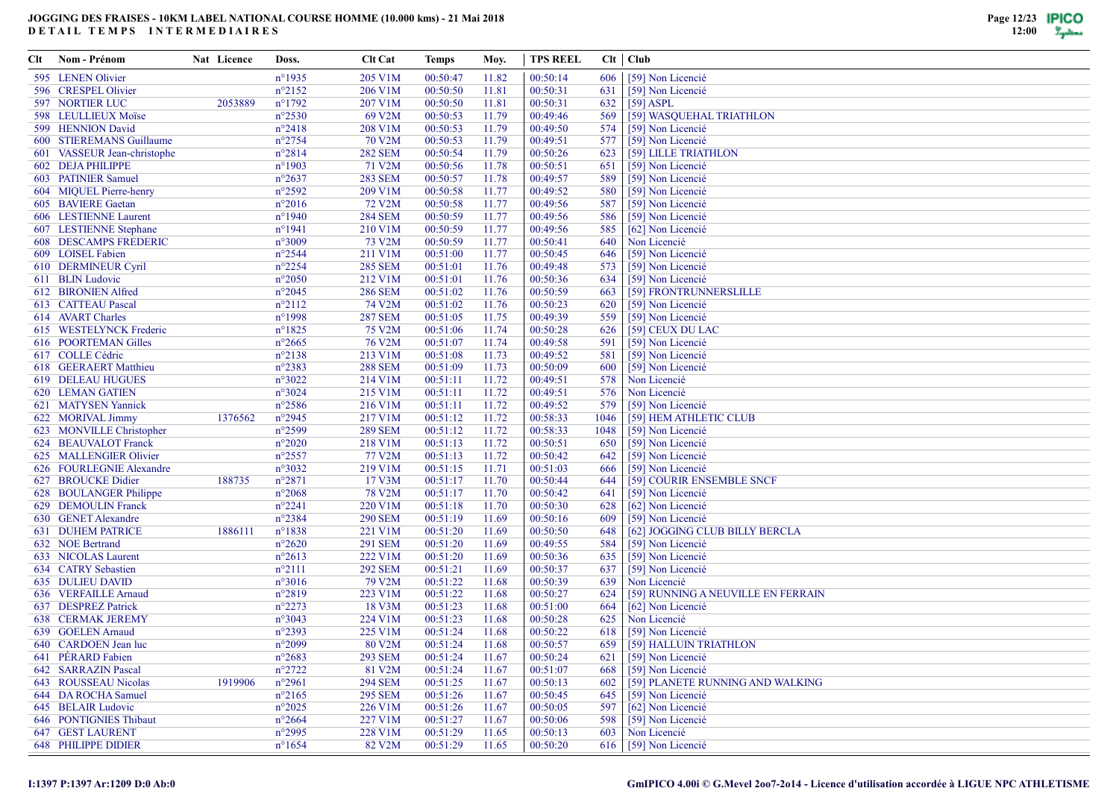| Clt | Nom - Prénom                 | Nat Licence | Doss.            | <b>Clt Cat</b> | Temps    | Moy.  | <b>TPS REEL</b> |       | Clt   Club                         |
|-----|------------------------------|-------------|------------------|----------------|----------|-------|-----------------|-------|------------------------------------|
|     | 595 LENEN Olivier            |             | $n^{\circ}$ 1935 | 205 V1M        | 00:50:47 | 11.82 | 00:50:14        | 606   | [59] Non Licencié                  |
|     | 596 CRESPEL Olivier          |             | $n^{\circ}2152$  | 206 V1M        | 00:50:50 | 11.81 | 00:50:31        | 631   | [59] Non Licencié                  |
|     | <b>597 NORTIER LUC</b>       | 2053889     | $n^{\circ}1792$  | 207 V1M        | 00:50:50 | 11.81 | 00:50:31        | 632   | $[59]$ ASPL                        |
|     | 598 LEULLIEUX Moïse          |             | $n^{\circ}2530$  | 69 V2M         | 00:50:53 | 11.79 | 00:49:46        | 569   | [59] WASQUEHAL TRIATHLON           |
|     | 599 HENNION David            |             | $n^{\circ}2418$  | 208 V1M        | 00:50:53 | 11.79 | 00:49:50        | 574   | [59] Non Licencié                  |
|     | 600 STIEREMANS Guillaume     |             | $n^{\circ}2754$  | 70 V2M         | 00:50:53 | 11.79 | 00:49:51        | 577   | [59] Non Licencié                  |
|     | 601 VASSEUR Jean-christophe  |             | $n^{\circ}2814$  | <b>282 SEM</b> | 00:50:54 | 11.79 | 00:50:26        | 623   | [59] LILLE TRIATHLON               |
|     | 602 DEJA PHILIPPE            |             | $n^{\circ}$ 1903 | 71 V2M         | 00:50:56 | 11.78 | 00:50:51        | 651   | [59] Non Licencié                  |
|     | 603 PATINIER Samuel          |             | $n^{\circ}2637$  | <b>283 SEM</b> | 00:50:57 | 11.78 | 00:49:57        | 589   | [59] Non Licencié                  |
|     | 604 MIQUEL Pierre-henry      |             | $n^{\circ}2592$  | 209 V1M        | 00:50:58 | 11.77 | 00:49:52        | 580   | [59] Non Licencié                  |
|     | 605 BAVIERE Gaetan           |             | $n^{\circ}2016$  | 72 V2M         | 00:50:58 | 11.77 | 00:49:56        | 587   | [59] Non Licencié                  |
|     | 606 LESTIENNE Laurent        |             | $n^{\circ}$ 1940 | <b>284 SEM</b> | 00:50:59 | 11.77 | 00:49:56        | 586   | [59] Non Licencié                  |
|     | 607 LESTIENNE Stephane       |             | $n^{\circ}1941$  | 210 V1M        | 00:50:59 | 11.77 | 00:49:56        | 585   | [62] Non Licencié                  |
|     | <b>608 DESCAMPS FREDERIC</b> |             | n°3009           | 73 V2M         | 00:50:59 | 11.77 | 00:50:41        | 640   | Non Licencié                       |
|     | 609 LOISEL Fabien            |             | $n^{\circ}2544$  | 211 V1M        | 00:51:00 | 11.77 | 00:50:45        | 646   | [59] Non Licencié                  |
|     | 610 DERMINEUR Cyril          |             | $n^{\circ}2254$  | <b>285 SEM</b> | 00:51:01 | 11.76 | 00:49:48        | 573   | [59] Non Licencié                  |
|     | 611 BLIN Ludovic             |             | $n^{\circ}2050$  | 212 V1M        | 00:51:01 | 11.76 | 00:50:36        | 634   | [59] Non Licencié                  |
|     | 612 BIRONIEN Alfred          |             | $n^{\circ}2045$  | <b>286 SEM</b> | 00:51:02 | 11.76 | 00:50:59        | 663   | [59] FRONTRUNNERSLILLE             |
|     | 613 CATTEAU Pascal           |             | $n^{\circ}2112$  | 74 V2M         | 00:51:02 | 11.76 | 00:50:23        | 620   | [59] Non Licencié                  |
|     | 614 AVART Charles            |             | n°1998           | <b>287 SEM</b> | 00:51:05 | 11.75 | 00:49:39        | 559   | [59] Non Licencié                  |
|     | 615 WESTELYNCK Frederic      |             | $n^{\circ}1825$  | 75 V2M         | 00:51:06 | 11.74 | 00:50:28        | 626   | [59] CEUX DU LAC                   |
|     | 616 POORTEMAN Gilles         |             | $n^{\circ}2665$  | 76 V2M         | 00:51:07 | 11.74 | 00:49:58        | 591   | [59] Non Licencié                  |
|     | 617 COLLE Cédric             |             | $n^{\circ}2138$  | 213 V1M        | 00:51:08 | 11.73 | 00:49:52        | 581   | [59] Non Licencié                  |
|     | 618 GEERAERT Matthieu        |             | n°2383           | <b>288 SEM</b> | 00:51:09 | 11.73 | 00:50:09        | 600   | [59] Non Licencié                  |
|     | <b>619 DELEAU HUGUES</b>     |             | $n^{\circ}3022$  | 214 V1M        | 00:51:11 | 11.72 | 00:49:51        | 578   | Non Licencié                       |
|     | <b>620 LEMAN GATIEN</b>      |             | n°3024           | 215 V1M        | 00:51:11 | 11.72 | 00:49:51        | 576   | Non Licencié                       |
|     | 621 MATYSEN Yannick          |             | $n^{\circ}2586$  | 216 V1M        | 00:51:11 | 11.72 | 00:49:52        | 579   | [59] Non Licencié                  |
|     | 622 MORIVAL Jimmy            | 1376562     | $n^{\circ}2945$  | 217 V1M        | 00:51:12 | 11.72 | 00:58:33        | 1046  | [59] HEM ATHLETIC CLUB             |
|     | 623 MONVILLE Christopher     |             | n°2599           | <b>289 SEM</b> | 00:51:12 | 11.72 | 00:58:33        | 1048  | [59] Non Licencié                  |
|     | 624 BEAUVALOT Franck         |             | $n^{\circ}2020$  | 218 V1M        | 00:51:13 | 11.72 | 00:50:51        | 650   | [59] Non Licencié                  |
|     | 625 MALLENGIER Olivier       |             | $n^{\circ}2557$  | 77 V2M         | 00:51:13 | 11.72 | 00:50:42        | 642   | [59] Non Licencié                  |
|     | 626 FOURLEGNIE Alexandre     |             | n°3032           | 219 V1M        | 00:51:15 | 11.71 | 00:51:03        | 666   | [59] Non Licencié                  |
|     | 627 BROUCKE Didier           | 188735      | $n^{\circ}2871$  | 17 V3M         | 00:51:17 | 11.70 | 00:50:44        | 644   | [59] COURIR ENSEMBLE SNCF          |
|     | 628 BOULANGER Philippe       |             | $n^{\circ}2068$  | 78 V2M         | 00:51:17 | 11.70 | 00:50:42        | 641   | [59] Non Licencié                  |
|     | 629 DEMOULIN Franck          |             | $n^{\circ}2241$  | 220 V1M        | 00:51:18 | 11.70 | 00:50:30        | 628   | [62] Non Licencié                  |
|     | 630 GENET Alexandre          |             | $n^{\circ}2384$  | <b>290 SEM</b> | 00:51:19 | 11.69 | 00:50:16        | 609   | [59] Non Licencié                  |
|     | <b>631 DUHEM PATRICE</b>     | 1886111     | $n^{\circ}1838$  | 221 V1M        | 00:51:20 | 11.69 | 00:50:50        | 648   | [62] JOGGING CLUB BILLY BERCLA     |
|     | 632 NOE Bertrand             |             | $n^{\circ}2620$  | <b>291 SEM</b> | 00:51:20 | 11.69 | 00:49:55        | 584   | [59] Non Licencié                  |
|     | 633 NICOLAS Laurent          |             | $n^{\circ}2613$  | 222 V1M        | 00:51:20 | 11.69 | 00:50:36        | 635   | [59] Non Licencié                  |
|     | 634 CATRY Sebastien          |             | $n^{\circ}2111$  | <b>292 SEM</b> | 00:51:21 | 11.69 | 00:50:37        | 637   | [59] Non Licencié                  |
|     | 635 DULIEU DAVID             |             | $n^{\circ}3016$  | 79 V2M         | 00:51:22 | 11.68 | 00:50:39        | 639   | Non Licencié                       |
|     | 636 VERFAILLE Arnaud         |             | $n^{\circ}2819$  | 223 V1M        | 00:51:22 | 11.68 | 00:50:27        | 624   | [59] RUNNING A NEUVILLE EN FERRAIN |
|     | 637 DESPREZ Patrick          |             | $n^{\circ}2273$  | 18 V3M         | 00:51:23 | 11.68 | 00:51:00        | 664   | [62] Non Licencié                  |
|     | <b>638 CERMAK JEREMY</b>     |             | n°3043           | 224 V1M        | 00:51:23 | 11.68 | 00:50:28        | 625   | Non Licencié                       |
|     | 639 GOELEN Arnaud            |             | n°2393           | 225 V1M        | 00:51:24 | 11.68 | 00:50:22        | 618   | [59] Non Licencié                  |
|     | 640 CARDOEN Jean luc         |             | $n^{\circ}2099$  | 80 V2M         | 00:51:24 | 11.68 | 00:50:57        | 659   | [59] HALLUIN TRIATHLON             |
|     | 641 PERARD Fabien            |             | $n^{\circ}2683$  | <b>293 SEM</b> | 00:51:24 | 11.67 | 00:50:24        | 621   | [59] Non Licencié                  |
|     | 642 SARRAZIN Pascal          |             | $n^{\circ}2722$  | 81 V2M         | 00:51:24 | 11.67 | 00:51:07        | 668   | [59] Non Licencié                  |
|     | 643 ROUSSEAU Nicolas         | 1919906     | $n^{\circ}2961$  | <b>294 SEM</b> | 00:51:25 | 11.67 | 00:50:13        | 602   | [59] PLANETE RUNNING AND WALKING   |
|     | 644 DA ROCHA Samuel          |             | $n^{\circ}2165$  | <b>295 SEM</b> | 00:51:26 | 11.67 | 00:50:45        | 645   | [59] Non Licencié                  |
|     | 645 BELAIR Ludovic           |             | $n^{\circ}2025$  | 226 V1M        | 00:51:26 | 11.67 | 00:50:05        | 597   | [62] Non Licencié                  |
|     | 646 PONTIGNIES Thibaut       |             | $n^{\circ}2664$  | 227 V1M        | 00:51:27 | 11.67 | 00:50:06        | 598 l | [59] Non Licencié                  |
|     | <b>647 GEST LAURENT</b>      |             | n°2995           | 228 V1M        | 00:51:29 | 11.65 | 00:50:13        | 603   | Non Licencié                       |
|     | <b>648 PHILIPPE DIDIER</b>   |             | $n^{\circ}1654$  | 82 V2M         | 00:51:29 | 11.65 | 00:50:20        |       | 616 [59] Non Licencié              |
|     |                              |             |                  |                |          |       |                 |       |                                    |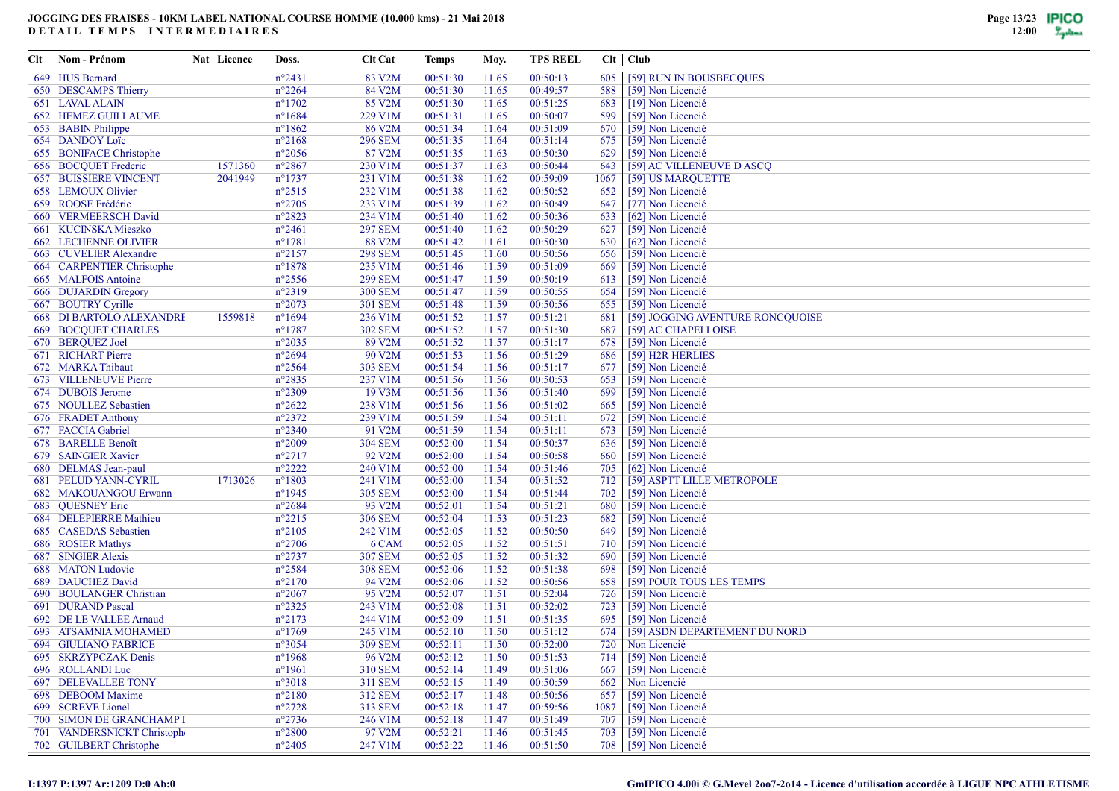| Clt | Nom - Prénom                                   | Nat Licence | Doss.            | <b>Clt Cat</b>          | Temps    | Moy.  | <b>TPS REEL</b> |      | $Clt$   $Club$                         |
|-----|------------------------------------------------|-------------|------------------|-------------------------|----------|-------|-----------------|------|----------------------------------------|
|     | 649 HUS Bernard                                |             | $n^{\circ}2431$  | 83 V2M                  | 00:51:30 | 11.65 | 00:50:13        | 605  | [59] RUN IN BOUSBECOUES                |
|     | 650 DESCAMPS Thierry                           |             | $n^{\circ}2264$  | 84 V2M                  | 00:51:30 | 11.65 | 00:49:57        | 588  | [59] Non Licencié                      |
|     | 651 LAVAL ALAIN                                |             | $n^{\circ}1702$  | 85 V2M                  | 00:51:30 | 11.65 | 00:51:25        | 683  | [19] Non Licencié                      |
|     | <b>652 HEMEZ GUILLAUME</b>                     |             | $n^{\circ}1684$  | 229 V1M                 | 00:51:31 | 11.65 | 00:50:07        | 599  | [59] Non Licencié                      |
|     | 653 BABIN Philippe                             |             | $n^{\circ}1862$  | 86 V2M                  | 00:51:34 | 11.64 | 00:51:09        | 670  | [59] Non Licencié                      |
|     | 654 DANDOY Loïc                                |             | $n^{\circ}2168$  | <b>296 SEM</b>          | 00:51:35 | 11.64 | 00:51:14        | 675  | [59] Non Licencié                      |
|     | 655 BONIFACE Christophe                        |             | $n^{\circ}2056$  | 87 V2M                  | 00:51:35 | 11.63 | 00:50:30        | 629  | [59] Non Licencié                      |
|     | 656 BOCQUET Frederic                           | 1571360     | $n^{\circ}2867$  | 230 V1M                 | 00:51:37 | 11.63 | 00:50:44        | 643  | [59] AC VILLENEUVE D ASCQ              |
|     | <b>657 BUISSIERE VINCENT</b>                   | 2041949     | $n^{\circ}1737$  | 231 V1M                 | 00:51:38 | 11.62 | 00:59:09        | 1067 | [59] US MARQUETTE                      |
|     | 658 LEMOUX Olivier                             |             | $n^{\circ}2515$  | 232 V1M                 | 00:51:38 | 11.62 | 00:50:52        | 652  | [59] Non Licencié                      |
|     | 659 ROOSE Frédéric                             |             | $n^{\circ}2705$  | 233 V1M                 | 00:51:39 | 11.62 | 00:50:49        | 647  | [77] Non Licencié                      |
|     | 660 VERMEERSCH David                           |             | $n^{\circ}2823$  | 234 V1M                 | 00:51:40 | 11.62 | 00:50:36        | 633  | [62] Non Licencié                      |
|     | 661 KUCINSKA Mieszko                           |             | $n^{\circ}2461$  | <b>297 SEM</b>          | 00:51:40 | 11.62 | 00:50:29        | 627  | [59] Non Licencié                      |
|     | <b>662 LECHENNE OLIVIER</b>                    |             | $n^{\circ}1781$  | 88 V2M                  | 00:51:42 | 11.61 | 00:50:30        | 630  | [62] Non Licencié                      |
|     | 663 CUVELIER Alexandre                         |             | $n^{\circ}2157$  | <b>298 SEM</b>          | 00:51:45 | 11.60 | 00:50:56        | 656  | [59] Non Licencié                      |
|     | 664 CARPENTIER Christophe                      |             | $n^{\circ}1878$  | 235 V1M                 | 00:51:46 | 11.59 | 00:51:09        | 669  | [59] Non Licencié                      |
|     | 665 MALFOIS Antoine                            |             | $n^{\circ}2556$  | <b>299 SEM</b>          | 00:51:47 | 11.59 | 00:50:19        | 613  | [59] Non Licencié                      |
|     | 666 DUJARDIN Gregory                           |             | $n^{\circ}2319$  | <b>300 SEM</b>          | 00:51:47 | 11.59 | 00:50:55        | 654  | [59] Non Licencié                      |
|     | 667 BOUTRY Cyrille                             |             | $n^{\circ}2073$  | <b>301 SEM</b>          | 00:51:48 | 11.59 | 00:50:56        | 655  | [59] Non Licencié                      |
|     | <b>668 DI BARTOLO ALEXANDRE</b>                | 1559818     | $n^{\circ}1694$  | 236 V1M                 | 00:51:52 | 11.57 | 00:51:21        | 681  | [59] JOGGING AVENTURE RONCQUOISE       |
|     | <b>669 BOCQUET CHARLES</b>                     |             | $n^{\circ}$ 1787 | <b>302 SEM</b>          | 00:51:52 | 11.57 | 00:51:30        | 687  | [59] AC CHAPELLOISE                    |
|     | 670 BERQUEZ Joel                               |             | $n^{\circ}2035$  | 89 V2M                  | 00:51:52 | 11.57 | 00:51:17        | 678  | [59] Non Licencié                      |
|     | 671 RICHART Pierre                             |             | $n^{\circ}2694$  | 90 V2M                  | 00:51:53 | 11.56 | 00:51:29        | 686  | [59] H2R HERLIES                       |
|     | 672 MARKA Thibaut                              |             | $n^{\circ}2564$  | <b>303 SEM</b>          | 00:51:54 | 11.56 | 00:51:17        | 677  | [59] Non Licencié                      |
|     | 673 VILLENEUVE Pierre                          |             | $n^{\circ}2835$  | 237 V1M                 | 00:51:56 | 11.56 | 00:50:53        | 653  | [59] Non Licencié                      |
|     | 674 DUBOIS Jerome                              |             | $n^{\circ}2309$  | 19 V3M                  | 00:51:56 | 11.56 | 00:51:40        | 699  | [59] Non Licencié                      |
|     | 675 NOULLEZ Sebastien                          |             | $n^{\circ}2622$  | 238 V1M                 | 00:51:56 | 11.56 | 00:51:02        | 665  | [59] Non Licencié                      |
|     | 676 FRADET Anthony                             |             | $n^{\circ}2372$  | 239 V1M                 | 00:51:59 | 11.54 | 00:51:11        | 672  | [59] Non Licencié                      |
|     | 677 FACCIA Gabriel                             |             | $n^{\circ}2340$  | 91 V2M                  | 00:51:59 | 11.54 | 00:51:11        | 673  | [59] Non Licencié                      |
|     | 678 BARELLE Benoît                             |             | $n^{\circ}2009$  | <b>304 SEM</b>          | 00:52:00 | 11.54 | 00:50:37        | 636  | [59] Non Licencié                      |
|     | 679 SAINGIER Xavier                            |             | $n^{\circ}2717$  | 92 V2M                  | 00:52:00 | 11.54 | 00:50:58        | 660  | [59] Non Licencié                      |
|     | 680 DELMAS Jean-paul                           |             | $n^{\circ}2222$  | 240 V1M                 | 00:52:00 | 11.54 | 00:51:46        | 705  | [62] Non Licencié                      |
|     | <b>681 PELUD YANN-CYRIL</b>                    | 1713026     | $n^{\circ}1803$  | 241 V1M                 | 00:52:00 | 11.54 | 00:51:52        | 712  | [59] ASPTT LILLE METROPOLE             |
|     | 682 MAKOUANGOU Erwann                          |             | $n^{\circ}$ 1945 | <b>305 SEM</b>          | 00:52:00 | 11.54 | 00:51:44        | 702  | [59] Non Licencié                      |
|     | 683 QUESNEY Eric                               |             | $n^{\circ}2684$  | 93 V2M                  | 00:52:01 | 11.54 | 00:51:21        | 680  | [59] Non Licencié                      |
|     | 684 DELEPIERRE Mathieu                         |             | $n^{\circ}2215$  | <b>306 SEM</b>          | 00:52:04 | 11.53 | 00:51:23        | 682  | [59] Non Licencié                      |
|     | 685 CASEDAS Sebastien                          |             | $n^{\circ}2105$  | 242 V1M                 | 00:52:05 | 11.52 | 00:50:50        | 649  | [59] Non Licencié                      |
|     |                                                |             | $n^{\circ}2706$  |                         | 00:52:05 | 11.52 | 00:51:51        | 710  |                                        |
|     | 686 ROSIER Mathys<br><b>687 SINGIER Alexis</b> |             | $n^{\circ}2737$  | 6 CAM<br><b>307 SEM</b> | 00:52:05 | 11.52 | 00:51:32        | 690  | [59] Non Licencié<br>[59] Non Licencié |
|     | 688 MATON Ludovic                              |             | $n^{\circ}2584$  | <b>308 SEM</b>          | 00:52:06 | 11.52 | 00:51:38        | 698  | [59] Non Licencié                      |
|     | 689 DAUCHEZ David                              |             | $n^{\circ}2170$  | 94 V2M                  | 00:52:06 | 11.52 | 00:50:56        | 658  |                                        |
|     |                                                |             |                  |                         |          |       |                 |      | [59] POUR TOUS LES TEMPS               |
|     | 690 BOULANGER Christian                        |             | $n^{\circ}2067$  | 95 V2M                  | 00:52:07 | 11.51 | 00:52:04        | 726  | [59] Non Licencié                      |
|     | 691 DURAND Pascal                              |             | $n^{\circ}2325$  | 243 V1M                 | 00:52:08 | 11.51 | 00:52:02        | 723  | [59] Non Licencié                      |
|     | 692 DE LE VALLEE Arnaud                        |             | $n^{\circ}2173$  | 244 V1M                 | 00:52:09 | 11.51 | 00:51:35        | 695  | [59] Non Licencié                      |
|     | 693 ATSAMNIA MOHAMED                           |             | $n^{\circ}1769$  | 245 V1M                 | 00:52:10 | 11.50 | 00:51:12        | 674  | [59] ASDN DEPARTEMENT DU NORD          |
|     | <b>694 GIULIANO FABRICE</b>                    |             | $n^{\circ}3054$  | <b>309 SEM</b>          | 00:52:11 | 11.50 | 00:52:00        | 720  | Non Licencié                           |
|     | 695 SKRZYPCZAK Denis                           |             | $n^{\circ}$ 1968 | 96 V2M                  | 00:52:12 | 11.50 | 00:51:53        | 714  | [59] Non Licencié                      |
|     | 696 ROLLANDI Luc                               |             | $n^{\circ}1961$  | 310 SEM                 | 00:52:14 | 11.49 | 00:51:06        | 667  | [59] Non Licencié                      |
|     | <b>697 DELEVALLEE TONY</b>                     |             | $n^{\circ}3018$  | 311 SEM                 | 00:52:15 | 11.49 | 00:50:59        | 662  | Non Licencié                           |
|     | 698 DEBOOM Maxime                              |             | $n^{\circ}2180$  | 312 SEM                 | 00:52:17 | 11.48 | 00:50:56        | 657  | [59] Non Licencié                      |
|     | 699 SCREVE Lionel                              |             | $n^{\circ}2728$  | 313 SEM                 | 00:52:18 | 11.47 | 00:59:56        | 1087 | [59] Non Licencié                      |
|     | 700 SIMON DE GRANCHAMP I                       |             | $n^{\circ}2736$  | 246 V1M                 | 00:52:18 | 11.47 | 00:51:49        | 707  | [59] Non Licencié                      |
|     | 701 VANDERSNICKT Christophe                    |             | $n^{\circ}2800$  | 97 V2M                  | 00:52:21 | 11.46 | 00:51:45        | 703  | [59] Non Licencié                      |
|     | 702 GUILBERT Christophe                        |             | $n^{\circ}2405$  | 247 V1M                 | 00:52:22 | 11.46 | 00:51:50        |      | 708 [59] Non Licencié                  |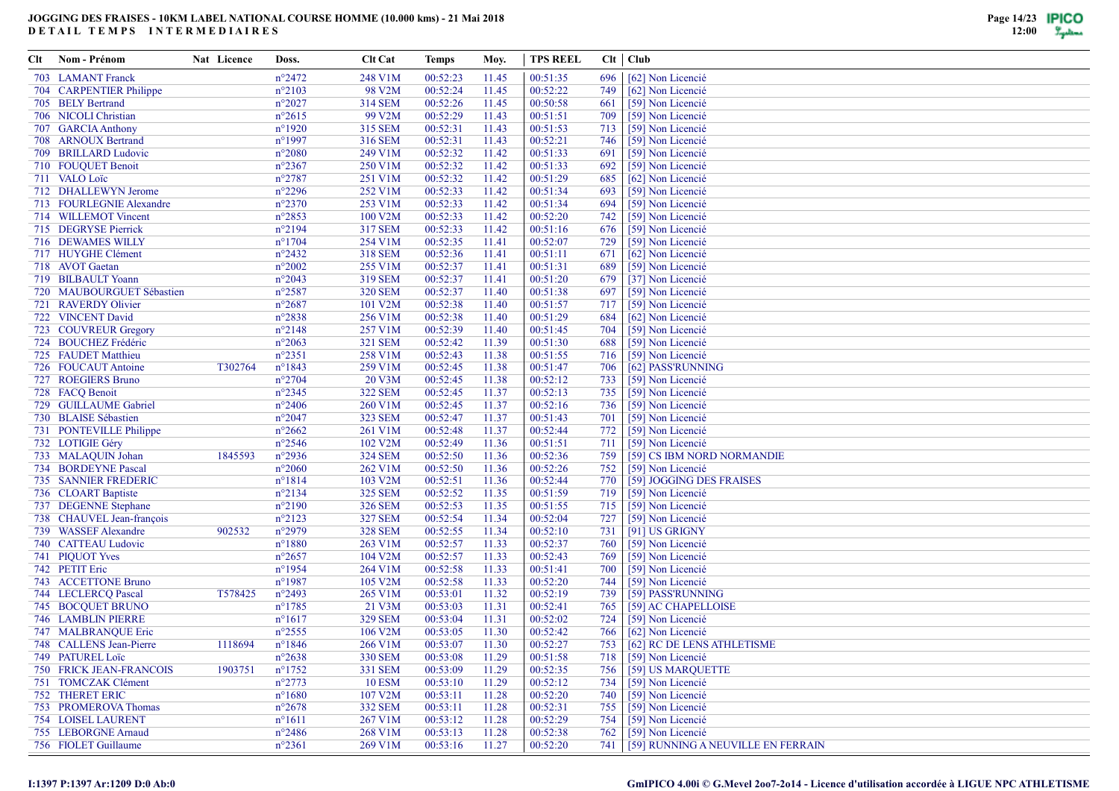| Clt | Nom - Prénom                   | Nat Licence | Doss.            | <b>Clt Cat</b> | Temps    | Moy.  | <b>TPS REEL</b> |       | $Clt$   $Club$                         |
|-----|--------------------------------|-------------|------------------|----------------|----------|-------|-----------------|-------|----------------------------------------|
|     | 703 LAMANT Franck              |             | $n^{\circ}2472$  | 248 V1M        | 00:52:23 | 11.45 | 00:51:35        | 696   | [62] Non Licencié                      |
|     | 704 CARPENTIER Philippe        |             | $n^{\circ}2103$  | 98 V2M         | 00:52:24 | 11.45 | 00:52:22        | 749   | [62] Non Licencié                      |
|     | 705 BELY Bertrand              |             | $n^{\circ}2027$  | 314 SEM        | 00:52:26 | 11.45 | 00:50:58        | 661   | [59] Non Licencié                      |
|     | 706 NICOLI Christian           |             | $n^{\circ}2615$  | 99 V2M         | 00:52:29 | 11.43 | 00:51:51        | 709   | [59] Non Licencié                      |
|     | 707 GARCIA Anthony             |             | $n^{\circ}1920$  | 315 SEM        | 00:52:31 | 11.43 | 00:51:53        | 713   | [59] Non Licencié                      |
|     | 708 ARNOUX Bertrand            |             | $n^{\circ}$ 1997 | 316 SEM        | 00:52:31 | 11.43 | 00:52:21        | 746   | [59] Non Licencié                      |
|     | 709 BRILLARD Ludovic           |             | $n^{\circ}2080$  | 249 V1M        | 00:52:32 | 11.42 | 00:51:33        | 691   | [59] Non Licencié                      |
|     | 710 FOUQUET Benoit             |             | $n^{\circ}2367$  | 250 V1M        | 00:52:32 | 11.42 | 00:51:33        | 692   | [59] Non Licencié                      |
|     | 711 VALO Loïc                  |             | $n^{\circ}2787$  | 251 V1M        | 00:52:32 | 11.42 | 00:51:29        | 685   | [62] Non Licencié                      |
|     | 712 DHALLEWYN Jerome           |             | $n^{\circ}2296$  | 252 V1M        | 00:52:33 | 11.42 | 00:51:34        | 693   | [59] Non Licencié                      |
|     | 713 FOURLEGNIE Alexandre       |             | $n^{\circ}2370$  | 253 V1M        | 00:52:33 | 11.42 | 00:51:34        | 694   | [59] Non Licencié                      |
|     | 714 WILLEMOT Vincent           |             | $n^{\circ}2853$  | 100 V2M        | 00:52:33 | 11.42 | 00:52:20        | 742   | [59] Non Licencié                      |
|     | 715 DEGRYSE Pierrick           |             | $n^{\circ}2194$  | 317 SEM        | 00:52:33 | 11.42 | 00:51:16        | 676   | [59] Non Licencié                      |
|     | 716 DEWAMES WILLY              |             | $n^{\circ}1704$  | 254 V1M        | 00:52:35 | 11.41 | 00:52:07        | 729   | [59] Non Licencié                      |
|     | 717 HUYGHE Clément             |             | $n^{\circ}2432$  | 318 SEM        | 00:52:36 | 11.41 | 00:51:11        | 671   | [62] Non Licencié                      |
|     | 718 AVOT Gaetan                |             | $n^{\circ}2002$  | 255 V1M        | 00:52:37 | 11.41 | 00:51:31        | 689   | [59] Non Licencié                      |
|     | 719 BILBAULT Yoann             |             | $n^{\circ}2043$  | 319 SEM        | 00:52:37 | 11.41 | 00:51:20        | 679   | [37] Non Licencié                      |
|     | 720 MAUBOURGUET Sébastien      |             | $n^{\circ}2587$  | <b>320 SEM</b> | 00:52:37 | 11.40 | 00:51:38        | 697   | [59] Non Licencié                      |
|     | 721 RAVERDY Olivier            |             | $n^{\circ}2687$  | 101 V2M        | 00:52:38 | 11.40 | 00:51:57        | 717   | [59] Non Licencié                      |
|     | 722 VINCENT David              |             | $n^{\circ}2838$  | 256 V1M        | 00:52:38 | 11.40 | 00:51:29        | 684   | [62] Non Licencié                      |
|     | 723 COUVREUR Gregory           |             | $n^{\circ}2148$  | 257 V1M        | 00:52:39 | 11.40 | 00:51:45        | 704   | [59] Non Licencié                      |
|     | 724 BOUCHEZ Frédéric           |             | $n^{\circ}2063$  | <b>321 SEM</b> | 00:52:42 | 11.39 | 00:51:30        | 688   | [59] Non Licencié                      |
|     | 725 FAUDET Matthieu            |             | $n^{\circ}2351$  | 258 V1M        | 00:52:43 | 11.38 | 00:51:55        | 716   | [59] Non Licencié                      |
|     | 726 FOUCAUT Antoine            | T302764     | $n^{\circ}1843$  | 259 V1M        | 00:52:45 | 11.38 | 00:51:47        | 706   | [62] PASS'RUNNING                      |
|     | 727 ROEGIERS Bruno             |             | $n^{\circ}2704$  | 20 V3M         | 00:52:45 | 11.38 | 00:52:12        | 733   | [59] Non Licencié                      |
|     | 728 FACQ Benoit                |             | $n^{\circ}2345$  | <b>322 SEM</b> | 00:52:45 | 11.37 | 00:52:13        | 735   | [59] Non Licencié                      |
|     | 729 GUILLAUME Gabriel          |             | $n^{\circ}2406$  | 260 V1M        | 00:52:45 | 11.37 | 00:52:16        | 736   | [59] Non Licencié                      |
|     | 730 BLAISE Sébastien           |             | $n^{\circ}2047$  | <b>323 SEM</b> | 00:52:47 | 11.37 | 00:51:43        | 701   | [59] Non Licencié                      |
|     | 731 PONTEVILLE Philippe        |             | $n^{\circ}2662$  | 261 V1M        | 00:52:48 | 11.37 | 00:52:44        | 772   | [59] Non Licencié                      |
|     | 732 LOTIGIE Géry               |             | $n^{\circ}2546$  | 102 V2M        | 00:52:49 | 11.36 | 00:51:51        | 711   | [59] Non Licencié                      |
|     | 733 MALAQUIN Johan             | 1845593     | $n^{\circ}2936$  | <b>324 SEM</b> | 00:52:50 | 11.36 | 00:52:36        | 759   | [59] CS IBM NORD NORMANDIE             |
|     | 734 BORDEYNE Pascal            |             | $n^{\circ}2060$  | 262 V1M        | 00:52:50 | 11.36 | 00:52:26        | 752   | [59] Non Licencié                      |
|     | <b>735 SANNIER FREDERIC</b>    |             | $n^{\circ}1814$  | 103 V2M        | 00:52:51 | 11.36 | 00:52:44        | 770   | [59] JOGGING DES FRAISES               |
|     | 736 CLOART Baptiste            |             | $n^{\circ}2134$  | <b>325 SEM</b> | 00:52:52 | 11.35 | 00:51:59        | 719   | [59] Non Licencié                      |
|     | 737 DEGENNE Stephane           |             | $n^{\circ}2190$  | <b>326 SEM</b> | 00:52:53 | 11.35 | 00:51:55        | 715   | [59] Non Licencié                      |
|     | 738 CHAUVEL Jean-françois      |             | $n^{\circ}2123$  | <b>327 SEM</b> | 00:52:54 | 11.34 | 00:52:04        | 727   | [59] Non Licencié                      |
|     | 739 WASSEF Alexandre           | 902532      | $n^{\circ}2979$  | <b>328 SEM</b> | 00:52:55 | 11.34 | 00:52:10        | 731   | [91] US GRIGNY                         |
|     | 740 CATTEAU Ludovic            |             | $n^{\circ}1880$  | 263 V1M        | 00:52:57 | 11.33 | 00:52:37        | 760   | [59] Non Licencié                      |
|     | 741 PIQUOT Yves                |             | $n^{\circ}2657$  | 104 V2M        | 00:52:57 | 11.33 | 00:52:43        | 769   | [59] Non Licencié                      |
|     | 742 PETIT Eric                 |             | $n^{\circ}$ 1954 | 264 V1M        | 00:52:58 | 11.33 | 00:51:41        | 700   | [59] Non Licencié                      |
|     | 743 ACCETTONE Bruno            |             | $n^{\circ}$ 1987 | 105 V2M        | 00:52:58 | 11.33 | 00:52:20        | 744   | [59] Non Licencié                      |
|     | 744 LECLERCQ Pascal            | T578425     | $n^{\circ}2493$  | 265 V1M        | 00:53:01 | 11.32 | 00:52:19        | 739   | [59] PASS'RUNNING                      |
|     | 745 BOCQUET BRUNO              |             | $n^{\circ}$ 1785 | 21 V3M         | 00:53:03 | 11.31 | 00:52:41        | 765   | [59] AC CHAPELLOISE                    |
|     | 746 LAMBLIN PIERRE             |             | $n^{\circ}1617$  | <b>329 SEM</b> | 00:53:04 | 11.31 | 00:52:02        | 724   | [59] Non Licencié                      |
|     | 747 MALBRANQUE Eric            |             | $n^{\circ}2555$  | 106 V2M        | 00:53:05 | 11.30 | 00:52:42        | 766   | [62] Non Licencié                      |
|     | 748 CALLENS Jean-Pierre        | 1118694     | $n^{\circ}$ 1846 | 266 V1M        | 00:53:07 | 11.30 | 00:52:27        | 753   | [62] RC DE LENS ATHLETISME             |
|     | 749 PATUREL Loïc               |             | $n^{\circ}2638$  | <b>330 SEM</b> | 00:53:08 | 11.29 | 00:51:58        | 718   | [59] Non Licencié                      |
|     | <b>750 FRICK JEAN-FRANCOIS</b> | 1903751     | $n^{\circ}1752$  | 331 SEM        | 00:53:09 | 11.29 | 00:52:35        | 756   | [59] US MARQUETTE                      |
|     | 751 TOMCZAK Clément            |             | $n^{\circ}2773$  | <b>10 ESM</b>  | 00:53:10 | 11.29 | 00:52:12        | 734   | [59] Non Licencié                      |
|     | 752 THERET ERIC                |             | $n^{\circ}1680$  | 107 V2M        | 00:53:11 | 11.28 | 00:52:20        | 740 l | [59] Non Licencié                      |
|     | 753 PROMEROVA Thomas           |             | $n^{\circ}2678$  | 332 SEM        | 00:53:11 | 11.28 | 00:52:31        | 755   | [59] Non Licencié                      |
|     | <b>754 LOISEL LAURENT</b>      |             | $n^{\circ}1611$  | 267 V1M        | 00:53:12 | 11.28 | 00:52:29        | 754   | [59] Non Licencié                      |
|     | 755 LEBORGNE Arnaud            |             | $n^{\circ}2486$  | 268 V1M        | 00:53:13 | 11.28 | 00:52:38        | 762   | [59] Non Licencié                      |
|     | 756 FIOLET Guillaume           |             | $n^{\circ}2361$  | 269 V1M        | 00:53:16 | 11.27 | 00:52:20        |       | 741 [59] RUNNING A NEUVILLE EN FERRAIN |
|     |                                |             |                  |                |          |       |                 |       |                                        |

#### **I:1397 P:1397 Ar:1209 D:0 Ab:0**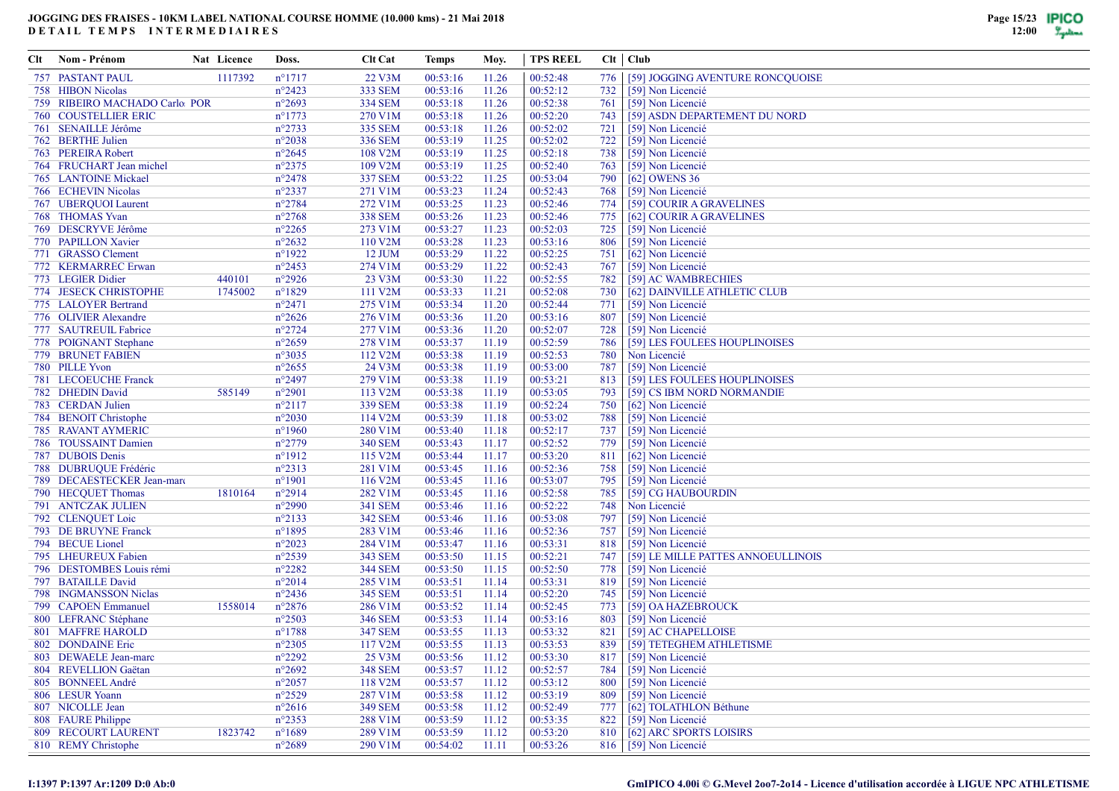| Clt | Nom - Prénom                                        | Nat Licence | Doss.                              | <b>Clt Cat</b>            | Temps                | Moy.           | <b>TPS REEL</b>      |            | Clt   Club                             |
|-----|-----------------------------------------------------|-------------|------------------------------------|---------------------------|----------------------|----------------|----------------------|------------|----------------------------------------|
|     | <b>757 PASTANT PAUL</b>                             | 1117392     | $n^{\circ}1717$                    | 22 V3M                    | 00:53:16             | 11.26          | 00:52:48             | 776        | [59] JOGGING AVENTURE RONCQUOISE       |
|     | 758 HIBON Nicolas                                   |             | $n^{\circ}2423$                    | 333 SEM                   | 00:53:16             | 11.26          | 00:52:12             | 732        | [59] Non Licencié                      |
|     | 759 RIBEIRO MACHADO Carlo POR                       |             | $n^{\circ}2693$                    | <b>334 SEM</b>            | 00:53:18             | 11.26          | 00:52:38             | 761        | [59] Non Licencié                      |
|     | <b>760 COUSTELLIER ERIC</b>                         |             | $n^{\circ}1773$                    | 270 V1M                   | 00:53:18             | 11.26          | 00:52:20             | 743        | [59] ASDN DEPARTEMENT DU NORD          |
|     | 761 SENAILLE Jérôme                                 |             | $n^{\circ}2733$                    | 335 SEM                   | 00:53:18             | 11.26          | 00:52:02             | 721        | [59] Non Licencié                      |
|     | 762 BERTHE Julien                                   |             | $n^{\circ}2038$                    | 336 SEM                   | 00:53:19             | 11.25          | 00:52:02             | 722        | [59] Non Licencié                      |
|     | 763 PEREIRA Robert                                  |             | $n^{\circ}2645$                    | 108 V2M                   | 00:53:19             | 11.25          | 00:52:18             | 738        | [59] Non Licencié                      |
|     | 764 FRUCHART Jean michel                            |             | $n^{\circ}2375$                    | 109 V2M                   | 00:53:19             | 11.25          | 00:52:40             | 763        | [59] Non Licencié                      |
|     | 765 LANTOINE Mickael                                |             | $n^{\circ}2478$                    | 337 SEM                   | 00:53:22             | 11.25          | 00:53:04             | 790        | [62] OWENS 36                          |
|     | 766 ECHEVIN Nicolas                                 |             | $n^{\circ}2337$                    | 271 V1M                   | 00:53:23             | 11.24          | 00:52:43             | 768        | [59] Non Licencié                      |
|     | 767 UBEROUOI Laurent                                |             | $n^{\circ}2784$                    | 272 V1M                   | 00:53:25             | 11.23          | 00:52:46             | 774        | [59] COURIR A GRAVELINES               |
|     | 768 THOMAS Yvan                                     |             | $n^{\circ}2768$                    | <b>338 SEM</b>            | 00:53:26             | 11.23          | 00:52:46             | 775        | [62] COURIR A GRAVELINES               |
|     | 769 DESCRYVE Jérôme                                 |             | $n^{\circ}2265$                    | 273 V1M                   | 00:53:27             | 11.23          | 00:52:03             | 725        | [59] Non Licencié                      |
|     | 770 PAPILLON Xavier                                 |             | $n^{\circ}2632$                    | 110 V2M                   | 00:53:28             | 11.23          | 00:53:16             | 806        | [59] Non Licencié                      |
|     | 771 GRASSO Clement                                  |             | $n^{\circ}1922$                    | 12 JUM                    | 00:53:29             | 11.22          | 00:52:25             | 751        | [62] Non Licencié                      |
|     | 772 KERMARREC Erwan                                 |             | $n^{\circ}2453$                    | 274 V1M                   | 00:53:29             | 11.22          | 00:52:43             | 767        | [59] Non Licencié                      |
|     | 773 LEGIER Didier                                   | 440101      | $n^{\circ}2926$                    | 23 V3M                    | 00:53:30             | 11.22          | 00:52:55             | 782        | [59] AC WAMBRECHIES                    |
|     | 774 JESECK CHRISTOPHE                               | 1745002     | $n^{\circ}1829$                    | 111 V2M                   | 00:53:33             | 11.21          | 00:52:08             | 730        | [62] DAINVILLE ATHLETIC CLUB           |
|     | 775 LALOYER Bertrand                                |             | $n^{\circ}2471$                    | 275 V1M                   | 00:53:34             | 11.20          | 00:52:44             | 771        | [59] Non Licencié                      |
|     | 776 OLIVIER Alexandre                               |             | $n^{\circ}2626$                    | 276 V1M                   | 00:53:36             | 11.20          | 00:53:16             | 807        | [59] Non Licencié                      |
|     | 777 SAUTREUIL Fabrice                               |             | $n^{\circ}2724$                    | 277 V1M                   | 00:53:36             | 11.20          | 00:52:07             | 728        | [59] Non Licencié                      |
|     | 778 POIGNANT Stephane                               |             | $n^{\circ}2659$                    | 278 V1M                   | 00:53:37             | 11.19          | 00:52:59             | 786        | [59] LES FOULEES HOUPLINOISES          |
|     | 779 BRUNET FABIEN                                   |             | $n^{\circ}3035$                    | 112 V <sub>2</sub> M      | 00:53:38             | 11.19          | 00:52:53             | 780        | Non Licencié                           |
|     | 780 PILLE Yvon                                      |             | $n^{\circ}2655$                    | 24 V3M                    | 00:53:38             | 11.19          | 00:53:00             | 787        | [59] Non Licencié                      |
|     | 781 LECOEUCHE Franck                                |             | $n^{\circ}2497$                    | 279 V1M                   | 00:53:38             | 11.19          | 00:53:21             | 813        | [59] LES FOULEES HOUPLINOISES          |
|     | 782 DHEDIN David                                    | 585149      | $n^{\circ}2901$                    | 113 V2M                   | 00:53:38             | 11.19          | 00:53:05             | 793        | [59] CS IBM NORD NORMANDIE             |
|     | 783 CERDAN Julien                                   |             | $n^{\circ}2117$                    | 339 SEM                   | 00:53:38             | 11.19          | 00:52:24             | 750        | [62] Non Licencié                      |
|     | 784 BENOIT Christophe                               |             | $n^{\circ}2030$                    | 114 V2M                   | 00:53:39             | 11.18          | 00:53:02             | 788        | [59] Non Licencié                      |
|     | 785 RAVANT AYMERIC                                  |             | $n^{\circ}1960$                    | 280 V1M                   | 00:53:40             | 11.18          | 00:52:17             | 737        | [59] Non Licencié                      |
|     | 786 TOUSSAINT Damien<br>787 DUBOIS Denis            |             | $n^{\circ}2779$<br>$n^{\circ}1912$ | <b>340 SEM</b><br>115 V2M | 00:53:43<br>00:53:44 | 11.17<br>11.17 | 00:52:52<br>00:53:20 | 779<br>811 | [59] Non Licencié                      |
|     |                                                     |             | $n^{\circ}2313$                    | 281 V1M                   | 00:53:45             | 11.16          | 00:52:36             | 758        | [62] Non Licencié                      |
|     | 788 DUBRUQUE Frédéric<br>789 DECAESTECKER Jean-marc |             | $n^{\circ}1901$                    | 116 V2M                   | 00:53:45             | 11.16          | 00:53:07             | 795        | [59] Non Licencié<br>[59] Non Licencié |
|     | 790 HECQUET Thomas                                  | 1810164     | $n^{\circ}2914$                    | 282 V1M                   | 00:53:45             | 11.16          | 00:52:58             | 785        | [59] CG HAUBOURDIN                     |
|     | 791 ANTCZAK JULIEN                                  |             | $n^{\circ}2990$                    | 341 SEM                   | 00:53:46             | 11.16          | 00:52:22             | 748        | Non Licencié                           |
|     | 792 CLENQUET Loic                                   |             | $n^{\circ}2133$                    | 342 SEM                   | 00:53:46             | 11.16          | 00:53:08             | 797        | [59] Non Licencié                      |
|     | 793 DE BRUYNE Franck                                |             | $n^{\circ}1895$                    | 283 V1M                   | 00:53:46             | 11.16          | 00:52:36             | 757        | [59] Non Licencié                      |
|     | 794 BECUE Lionel                                    |             | $n^{\circ}2023$                    | 284 V1M                   | 00:53:47             | 11.16          | 00:53:31             | 818        | [59] Non Licencié                      |
|     | 795 LHEUREUX Fabien                                 |             | $n^{\circ}2539$                    | 343 SEM                   | 00:53:50             | 11.15          | 00:52:21             | 747        | [59] LE MILLE PATTES ANNOEULLINOIS     |
|     | 796 DESTOMBES Louis rémi                            |             | $n^{\circ}2282$                    | <b>344 SEM</b>            | 00:53:50             | 11.15          | 00:52:50             | 778        | [59] Non Licencié                      |
|     | 797 BATAILLE David                                  |             | $n^{\circ}2014$                    | 285 V1M                   | 00:53:51             | 11.14          | 00:53:31             | 819        | [59] Non Licencié                      |
|     | 798 INGMANSSON Niclas                               |             | $n^{\circ}2436$                    | 345 SEM                   | 00:53:51             | 11.14          | 00:52:20             | 745        | [59] Non Licencié                      |
|     | 799 CAPOEN Emmanuel                                 | 1558014     | $n^{\circ}2876$                    | 286 V1M                   | 00:53:52             | 11.14          | 00:52:45             | 773        | [59] OA HAZEBROUCK                     |
|     | 800 LEFRANC Stéphane                                |             | $n^{\circ}2503$                    | 346 SEM                   | 00:53:53             | 11.14          | 00:53:16             | 803        | [59] Non Licencié                      |
|     | <b>801 MAFFRE HAROLD</b>                            |             | $n^{\circ}1788$                    | 347 SEM                   | 00:53:55             | 11.13          | 00:53:32             | 821        | [59] AC CHAPELLOISE                    |
|     | 802 DONDAINE Eric                                   |             | $n^{\circ}2305$                    | 117 V2M                   | 00:53:55             | 11.13          | 00:53:53             | 839        | [59] TETEGHEM ATHLETISME               |
|     | 803 DEWAELE Jean-marc                               |             | $n^{\circ}2292$                    | 25 V3M                    | 00:53:56             | 11.12          | 00:53:30             | 817        | [59] Non Licencié                      |
|     | 804 REVELLION Gaëtan                                |             | $n^{\circ}2692$                    | 348 SEM                   | 00:53:57             | 11.12          | 00:52:57             | 784        | [59] Non Licencié                      |
|     | 805 BONNEEL André                                   |             | $n^{\circ}2057$                    | 118 V2M                   | 00:53:57             | 11.12          | 00:53:12             | 800        | [59] Non Licencié                      |
|     | 806 LESUR Yoann                                     |             | $n^{\circ}2529$                    | 287 V1M                   | 00:53:58             | 11.12          | 00:53:19             | 809        | [59] Non Licencié                      |
|     | 807 NICOLLE Jean                                    |             | $n^{\circ}2616$                    | 349 SEM                   | 00:53:58             | 11.12          | 00:52:49             | 777        | [62] TOLATHLON Béthune                 |
|     | 808 FAURE Philippe                                  |             | $n^{\circ}2353$                    | 288 V1M                   | 00:53:59             | 11.12          | 00:53:35             | 822        | [59] Non Licencié                      |
|     | 809 RECOURT LAURENT                                 | 1823742     | $n^{\circ}1689$                    | 289 V1M                   | 00:53:59             | 11.12          | 00:53:20             | 810        | [62] ARC SPORTS LOISIRS                |
|     | 810 REMY Christophe                                 |             | $n^{\circ}2689$                    | 290 V1M                   | 00:54:02             | 11.11          | 00:53:26             |            | 816 [59] Non Licencié                  |
|     |                                                     |             |                                    |                           |                      |                |                      |            |                                        |

#### **I:1397 P:1397 Ar:1209 D:0 Ab:0**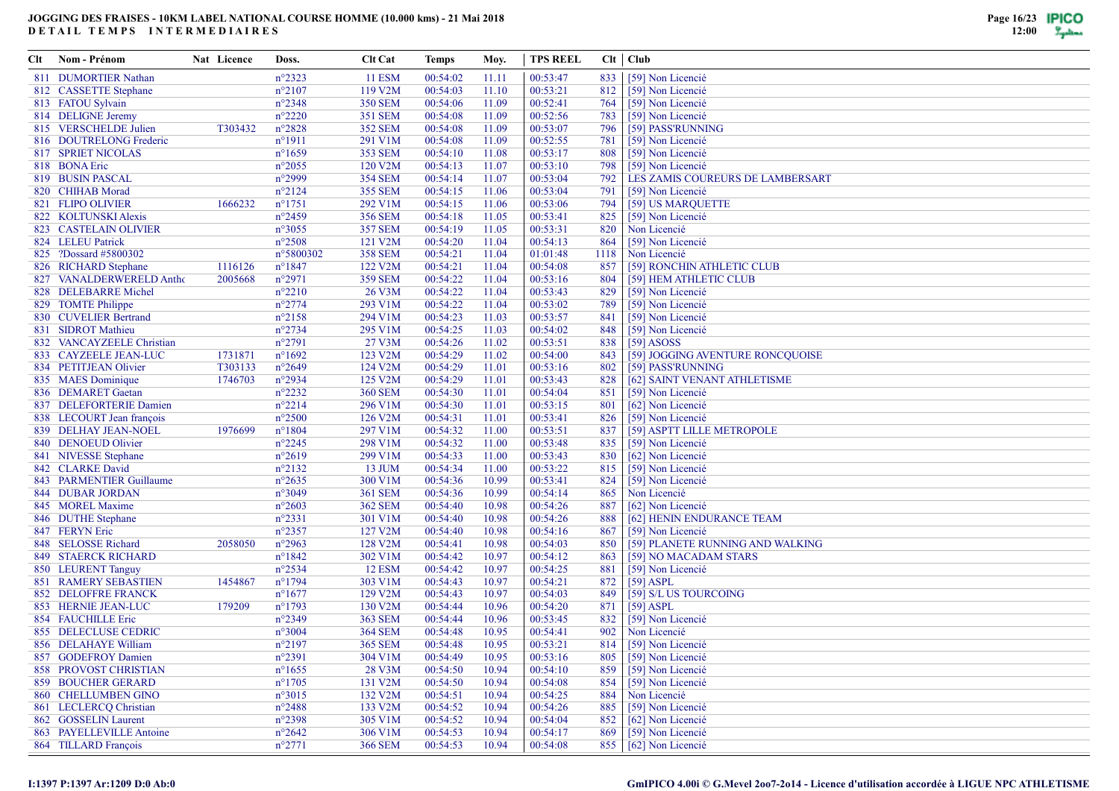| Clt | Nom - Prénom                | Nat Licence | Doss.           | <b>Clt Cat</b> | Temps    | Moy.  | <b>TPS REEL</b> |      | $Clt$ $Club$                     |
|-----|-----------------------------|-------------|-----------------|----------------|----------|-------|-----------------|------|----------------------------------|
|     | 811 DUMORTIER Nathan        |             | $n^{\circ}2323$ | <b>11 ESM</b>  | 00:54:02 | 11.11 | 00:53:47        | 833  | [59] Non Licencié                |
|     | 812 CASSETTE Stephane       |             | $n^{\circ}2107$ | 119 V2M        | 00:54:03 | 11.10 | 00:53:21        | 812  | [59] Non Licencié                |
|     | 813 FATOU Sylvain           |             | $n^{\circ}2348$ | <b>350 SEM</b> | 00:54:06 | 11.09 | 00:52:41        | 764  | [59] Non Licencié                |
|     | 814 DELIGNE Jeremy          |             | $n^{\circ}2220$ | 351 SEM        | 00:54:08 | 11.09 | 00:52:56        | 783  | [59] Non Licencié                |
|     | 815 VERSCHELDE Julien       | T303432     | $n^{\circ}2828$ | 352 SEM        | 00:54:08 | 11.09 | 00:53:07        | 796  | [59] PASS'RUNNING                |
|     | 816 DOUTRELONG Frederic     |             | $n^{\circ}1911$ | 291 V1M        | 00:54:08 | 11.09 | 00:52:55        | 781  | [59] Non Licencié                |
|     | <b>817 SPRIET NICOLAS</b>   |             | $n^{\circ}1659$ | 353 SEM        | 00:54:10 | 11.08 | 00:53:17        | 808  | [59] Non Licencié                |
|     | 818 BONA Eric               |             | $n^{\circ}2055$ | 120 V2M        | 00:54:13 | 11.07 | 00:53:10        | 798  | [59] Non Licencié                |
|     | 819 BUSIN PASCAL            |             | $n^{\circ}2999$ | <b>354 SEM</b> | 00:54:14 | 11.07 | 00:53:04        | 792  | LES ZAMIS COUREURS DE LAMBERSART |
|     | 820 CHIHAB Morad            |             | $n^{\circ}2124$ | 355 SEM        | 00:54:15 | 11.06 | 00:53:04        | 791  | [59] Non Licencié                |
|     | 821 FLIPO OLIVIER           | 1666232     | $n^{\circ}1751$ | 292 V1M        | 00:54:15 | 11.06 | 00:53:06        | 794  | [59] US MARQUETTE                |
|     | 822 KOLTUNSKI Alexis        |             | $n^{\circ}2459$ | <b>356 SEM</b> | 00:54:18 | 11.05 | 00:53:41        | 825  | [59] Non Licencié                |
|     | 823 CASTELAIN OLIVIER       |             | $n^{\circ}3055$ | <b>357 SEM</b> | 00:54:19 | 11.05 | 00:53:31        | 820  | Non Licencié                     |
|     | 824 LELEU Patrick           |             | $n^{\circ}2508$ | 121 V2M        | 00:54:20 | 11.04 | 00:54:13        | 864  | [59] Non Licencié                |
|     | 825 ?Dossard #5800302       |             | n°5800302       | <b>358 SEM</b> | 00:54:21 | 11.04 | 01:01:48        | 1118 | Non Licencié                     |
|     | 826 RICHARD Stephane        | 1116126     | $n^{\circ}1847$ | 122 V2M        | 00:54:21 | 11.04 | 00:54:08        | 857  | [59] RONCHIN ATHLETIC CLUB       |
|     |                             |             |                 |                |          |       |                 |      |                                  |
|     | 827 VANALDERWERELD Antho    | 2005668     | $n^{\circ}2971$ | <b>359 SEM</b> | 00:54:22 | 11.04 | 00:53:16        | 804  | [59] HEM ATHLETIC CLUB           |
|     | 828 DELEBARRE Michel        |             | $n^{\circ}2210$ | 26 V3M         | 00:54:22 | 11.04 | 00:53:43        | 829  | [59] Non Licencié                |
|     | 829 TOMTE Philippe          |             | $n^{\circ}2774$ | 293 V1M        | 00:54:22 | 11.04 | 00:53:02        | 789  | [59] Non Licencié                |
|     | 830 CUVELIER Bertrand       |             | $n^{\circ}2158$ | 294 V1M        | 00:54:23 | 11.03 | 00:53:57        | 841  | [59] Non Licencié                |
|     | 831 SIDROT Mathieu          |             | $n^{\circ}2734$ | 295 V1M        | 00:54:25 | 11.03 | 00:54:02        | 848  | [59] Non Licencié                |
|     | 832 VANCAYZEELE Christian   |             | $n^{\circ}2791$ | 27 V3M         | 00:54:26 | 11.02 | 00:53:51        | 838  | $[59]$ ASOSS                     |
|     | 833 CAYZEELE JEAN-LUC       | 1731871     | $n^{\circ}1692$ | 123 V2M        | 00:54:29 | 11.02 | 00:54:00        | 843  | [59] JOGGING AVENTURE RONCQUOISE |
|     | 834 PETITJEAN Olivier       | T303133     | $n^{\circ}2649$ | 124 V2M        | 00:54:29 | 11.01 | 00:53:16        | 802  | [59] PASS'RUNNING                |
|     | 835 MAES Dominique          | 1746703     | $n^{\circ}2934$ | 125 V2M        | 00:54:29 | 11.01 | 00:53:43        | 828  | [62] SAINT VENANT ATHLETISME     |
|     | 836 DEMARET Gaetan          |             | $n^{\circ}2232$ | <b>360 SEM</b> | 00:54:30 | 11.01 | 00:54:04        | 851  | [59] Non Licencié                |
|     | 837 DELEFORTERIE Damien     |             | $n^{\circ}2214$ | 296 V1M        | 00:54:30 | 11.01 | 00:53:15        | 801  | [62] Non Licencié                |
|     | 838 LECOURT Jean françois   |             | $n^{\circ}2500$ | 126 V2M        | 00:54:31 | 11.01 | 00:53:41        | 826  | [59] Non Licencié                |
|     | 839 DELHAY JEAN-NOEL        | 1976699     | $n^{\circ}1804$ | 297 V1M        | 00:54:32 | 11.00 | 00:53:51        | 837  | [59] ASPTT LILLE METROPOLE       |
|     | 840 DENOEUD Olivier         |             | $n^{\circ}2245$ | 298 V1M        | 00:54:32 | 11.00 | 00:53:48        | 835  | [59] Non Licencié                |
|     | 841 NIVESSE Stephane        |             | $n^{\circ}2619$ | 299 V1M        | 00:54:33 | 11.00 | 00:53:43        | 830  | [62] Non Licencié                |
|     | 842 CLARKE David            |             | $n^{\circ}2132$ | 13 JUM         | 00:54:34 | 11.00 | 00:53:22        | 815  | [59] Non Licencié                |
|     | 843 PARMENTIER Guillaume    |             | $n^{\circ}2635$ | 300 V1M        | 00:54:36 | 10.99 | 00:53:41        | 824  | [59] Non Licencié                |
|     | <b>844 DUBAR JORDAN</b>     |             | $n^{\circ}3049$ | 361 SEM        | 00:54:36 | 10.99 | 00:54:14        | 865  | Non Licencié                     |
|     | 845 MOREL Maxime            |             | $n^{\circ}2603$ | <b>362 SEM</b> | 00:54:40 | 10.98 | 00:54:26        | 887  | [62] Non Licencié                |
|     | 846 DUTHE Stephane          |             | $n^{\circ}2331$ | 301 V1M        | 00:54:40 | 10.98 | 00:54:26        | 888  | [62] HENIN ENDURANCE TEAM        |
|     | 847 FERYN Eric              |             | $n^{\circ}2357$ | 127 V2M        | 00:54:40 | 10.98 | 00:54:16        | 867  | [59] Non Licencié                |
|     | 848 SELOSSE Richard         | 2058050     | $n^{\circ}2963$ | 128 V2M        | 00:54:41 | 10.98 | 00:54:03        | 850  | [59] PLANETE RUNNING AND WALKING |
|     | 849 STAERCK RICHARD         |             | $n^{\circ}1842$ | 302 V1M        | 00:54:42 | 10.97 | 00:54:12        | 863  | [59] NO MACADAM STARS            |
|     | 850 LEURENT Tanguy          |             | $n^{\circ}2534$ | <b>12 ESM</b>  | 00:54:42 | 10.97 | 00:54:25        | 881  | [59] Non Licencié                |
|     | <b>851 RAMERY SEBASTIEN</b> | 1454867     | $n^{\circ}1794$ | 303 V1M        | 00:54:43 | 10.97 | 00:54:21        | 872  | $[59]$ ASPL                      |
|     | <b>852 DELOFFRE FRANCK</b>  |             | $n^{\circ}1677$ | 129 V2M        | 00:54:43 | 10.97 | 00:54:03        | 849  | [59] S/L US TOURCOING            |
|     | 853 HERNIE JEAN-LUC         | 179209      | $n^{\circ}1793$ | 130 V2M        | 00:54:44 | 10.96 | 00:54:20        | 871  | $[59]$ ASPL                      |
|     | 854 FAUCHILLE Eric          |             | $n^{\circ}2349$ | 363 SEM        | 00:54:44 | 10.96 | 00:53:45        | 832  | [59] Non Licencié                |
|     | 855 DELECLUSE CEDRIC        |             | $n^{\circ}3004$ | <b>364 SEM</b> | 00:54:48 | 10.95 | 00:54:41        | 902  | Non Licencié                     |
|     | 856 DELAHAYE William        |             | $n^{\circ}2197$ | <b>365 SEM</b> | 00:54:48 | 10.95 | 00:53:21        | 814  | [59] Non Licencié                |
|     | 857 GODEFROY Damien         |             | $n^{\circ}2391$ | 304 V1M        | 00:54:49 | 10.95 | 00:53:16        | 805  | [59] Non Licencié                |
|     | 858 PROVOST CHRISTIAN       |             | $n^{\circ}1655$ | 28 V3M         | 00:54:50 | 10.94 | 00:54:10        | 859  | [59] Non Licencié                |
|     | <b>859 BOUCHER GERARD</b>   |             | $n^{\circ}1705$ | 131 V2M        | 00:54:50 | 10.94 | 00:54:08        | 854  | [59] Non Licencié                |
|     | 860 CHELLUMBEN GINO         |             | $n^{\circ}3015$ | 132 V2M        | 00:54:51 | 10.94 | 00:54:25        | 884  | Non Licencié                     |
|     | 861 LECLERCO Christian      |             | $n^{\circ}2488$ | 133 V2M        | 00:54:52 | 10.94 | 00:54:26        | 885  | [59] Non Licencié                |
|     | 862 GOSSELIN Laurent        |             | $n^{\circ}2398$ | 305 V1M        | 00:54:52 | 10.94 | 00:54:04        | 852  | [62] Non Licencié                |
|     | 863 PAYELLEVILLE Antoine    |             | $n^{\circ}2642$ | 306 V1M        | 00:54:53 | 10.94 | 00:54:17        | 869  | [59] Non Licencié                |
|     | 864 TILLARD François        |             | $n^{\circ}2771$ | <b>366 SEM</b> | 00:54:53 | 10.94 | 00:54:08        |      | 855 [62] Non Licencié            |
|     |                             |             |                 |                |          |       |                 |      |                                  |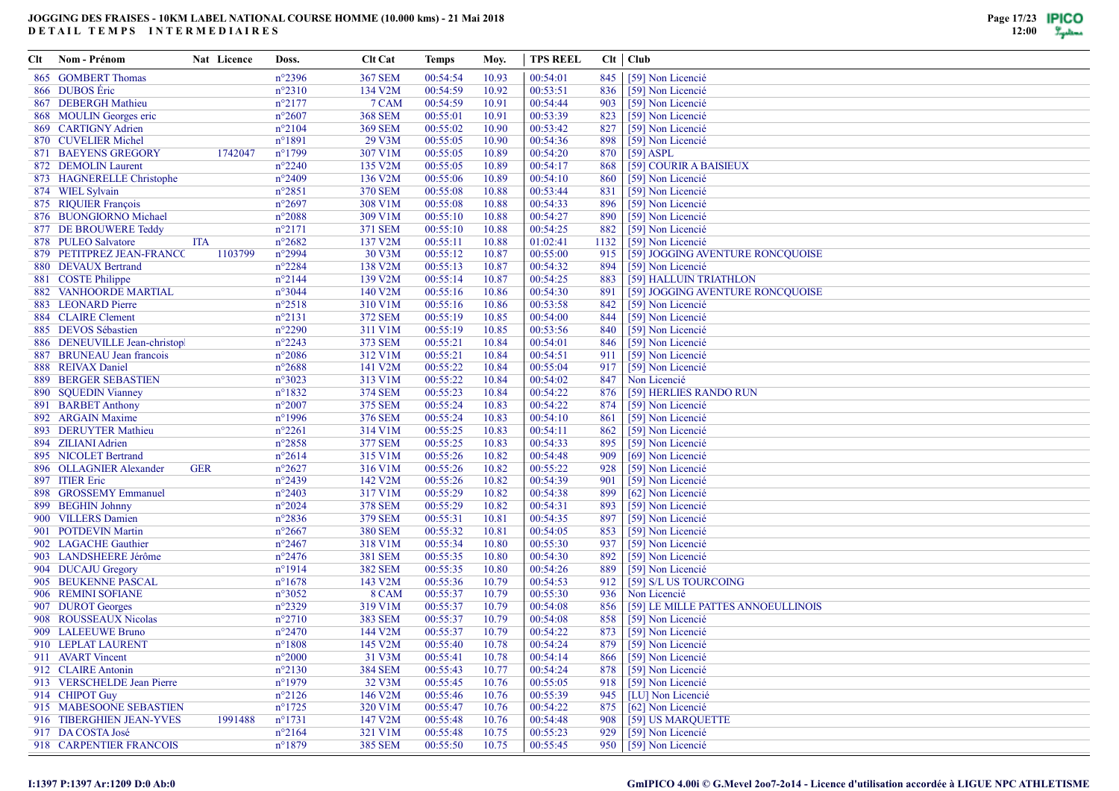| Clt | Nom - Prénom                                       | Nat Licence | Doss.            | <b>Clt Cat</b>            | Temps    | Moy.  | <b>TPS REEL</b> |      | $Clt$   $Club$                     |
|-----|----------------------------------------------------|-------------|------------------|---------------------------|----------|-------|-----------------|------|------------------------------------|
| 865 | <b>GOMBERT Thomas</b>                              |             | $n^{\circ}2396$  | <b>367 SEM</b>            | 00:54:54 | 10.93 | 00:54:01        | 845  | [59] Non Licencié                  |
|     | 866 DUBOS Eric                                     |             | $n^{\circ}2310$  | 134 V2M                   | 00:54:59 | 10.92 | 00:53:51        | 836  | [59] Non Licencié                  |
| 867 | <b>DEBERGH Mathieu</b>                             |             | $n^{\circ}2177$  | 7 CAM                     | 00:54:59 | 10.91 | 00:54:44        | 903  | [59] Non Licencié                  |
|     | 868 MOULIN Georges eric                            |             | $n^{\circ}2607$  | <b>368 SEM</b>            | 00:55:01 | 10.91 | 00:53:39        | 823  | [59] Non Licencié                  |
|     | 869 CARTIGNY Adrien                                |             | $n^{\circ}2104$  | <b>369 SEM</b>            | 00:55:02 | 10.90 | 00:53:42        | 827  | [59] Non Licencié                  |
|     | 870 CUVELIER Michel                                |             | $n^{\circ}1891$  | 29 V3M                    | 00:55:05 | 10.90 | 00:54:36        | 898  | [59] Non Licencié                  |
|     | 871 BAEYENS GREGORY                                | 1742047     | $n^{\circ}1799$  | 307 V1M                   | 00:55:05 | 10.89 | 00:54:20        | 870  | $[59]$ ASPL                        |
|     | 872 DEMOLIN Laurent                                |             | $n^{\circ}2240$  | 135 V2M                   | 00:55:05 | 10.89 | 00:54:17        | 868  | [59] COURIR A BAISIEUX             |
|     | 873 HAGNERELLE Christophe                          |             | $n^{\circ}2409$  | 136 V2M                   | 00:55:06 | 10.89 | 00:54:10        | 860  | [59] Non Licencié                  |
|     | 874 WIEL Sylvain                                   |             | $n^{\circ}2851$  | <b>370 SEM</b>            | 00:55:08 | 10.88 | 00:53:44        | 831  | [59] Non Licencié                  |
|     | 875 RIQUIER François                               |             | $n^{\circ}2697$  | 308 V1M                   | 00:55:08 | 10.88 | 00:54:33        | 896  | [59] Non Licencié                  |
|     | 876 BUONGIORNO Michael                             |             | $n^{\circ}2088$  | 309 V1M                   | 00:55:10 | 10.88 | 00:54:27        | 890  | [59] Non Licencié                  |
|     | 877 DE BROUWERE Teddy                              |             | $n^{\circ}2171$  | <b>371 SEM</b>            | 00:55:10 | 10.88 | 00:54:25        | 882  | [59] Non Licencié                  |
|     | 878 PULEO Salvatore                                | <b>ITA</b>  | $n^{\circ}2682$  | 137 V2M                   | 00:55:11 | 10.88 | 01:02:41        | 1132 | [59] Non Licencié                  |
|     | 879 PETITPREZ JEAN-FRANCC                          | 1103799     | $n^{\circ}2994$  | 30 V3M                    | 00:55:12 | 10.87 | 00:55:00        | 915  | [59] JOGGING AVENTURE RONCQUOISE   |
|     | 880 DEVAUX Bertrand                                |             | $n^{\circ}2284$  | 138 V2M                   | 00:55:13 | 10.87 | 00:54:32        | 894  | [59] Non Licencié                  |
|     |                                                    |             | $n^{\circ}2144$  | 139 V2M                   | 00:55:14 | 10.87 | 00:54:25        | 883  | [59] HALLUIN TRIATHLON             |
|     | 881 COSTE Philippe<br><b>882 VANHOORDE MARTIAL</b> |             | $n^{\circ}3044$  | 140 V2M                   | 00:55:16 | 10.86 | 00:54:30        | 891  | [59] JOGGING AVENTURE RONCQUOISE   |
|     | 883 LEONARD Pierre                                 |             | $n^{\circ}2518$  |                           | 00:55:16 |       | 00:53:58        | 842  | [59] Non Licencié                  |
|     | 884 CLAIRE Clement                                 |             | $n^{\circ}2131$  | 310 V1M<br><b>372 SEM</b> |          | 10.86 |                 | 844  |                                    |
|     |                                                    |             |                  |                           | 00:55:19 | 10.85 | 00:54:00        |      | [59] Non Licencié                  |
|     | 885 DEVOS Sébastien                                |             | $n^{\circ}2290$  | 311 V1M                   | 00:55:19 | 10.85 | 00:53:56        | 840  | [59] Non Licencié                  |
|     | 886 DENEUVILLE Jean-christop                       |             | $n^{\circ}2243$  | 373 SEM                   | 00:55:21 | 10.84 | 00:54:01        | 846  | [59] Non Licencié                  |
|     | 887 BRUNEAU Jean francois                          |             | $n^{\circ}2086$  | 312 V1M                   | 00:55:21 | 10.84 | 00:54:51        | 911  | [59] Non Licencié                  |
|     | 888 REIVAX Daniel                                  |             | $n^{\circ}2688$  | 141 V2M                   | 00:55:22 | 10.84 | 00:55:04        | 917  | [59] Non Licencié                  |
| 889 | <b>BERGER SEBASTIEN</b>                            |             | $n^{\circ}3023$  | 313 V1M                   | 00:55:22 | 10.84 | 00:54:02        | 847  | Non Licencié                       |
|     | 890 SQUEDIN Vianney                                |             | $n^{\circ}1832$  | <b>374 SEM</b>            | 00:55:23 | 10.84 | 00:54:22        | 876  | [59] HERLIES RANDO RUN             |
|     | 891 BARBET Anthony                                 |             | $n^{\circ}2007$  | 375 SEM                   | 00:55:24 | 10.83 | 00:54:22        | 874  | [59] Non Licencié                  |
|     | 892 ARGAIN Maxime                                  |             | $n^{\circ}$ 1996 | 376 SEM                   | 00:55:24 | 10.83 | 00:54:10        | 861  | [59] Non Licencié                  |
|     | 893 DERUYTER Mathieu                               |             | $n^{\circ}2261$  | 314 V1M                   | 00:55:25 | 10.83 | 00:54:11        | 862  | [59] Non Licencié                  |
|     | 894 ZILIANI Adrien                                 |             | $n^{\circ}2858$  | <b>377 SEM</b>            | 00:55:25 | 10.83 | 00:54:33        | 895  | [59] Non Licencié                  |
|     | 895 NICOLET Bertrand                               |             | $n^{\circ}2614$  | 315 V1M                   | 00:55:26 | 10.82 | 00:54:48        | 909  | [69] Non Licencié                  |
|     | 896 OLLAGNIER Alexander                            | <b>GER</b>  | $n^{\circ}2627$  | 316 V1M                   | 00:55:26 | 10.82 | 00:55:22        | 928  | [59] Non Licencié                  |
|     | 897 ITIER Eric                                     |             | $n^{\circ}2439$  | 142 V2M                   | 00:55:26 | 10.82 | 00:54:39        | 901  | [59] Non Licencié                  |
|     | 898 GROSSEMY Emmanuel                              |             | $n^{\circ}2403$  | 317 V1M                   | 00:55:29 | 10.82 | 00:54:38        | 899  | [62] Non Licencié                  |
|     | 899 BEGHIN Johnny                                  |             | $n^{\circ}2024$  | <b>378 SEM</b>            | 00:55:29 | 10.82 | 00:54:31        | 893  | [59] Non Licencié                  |
|     | 900 VILLERS Damien                                 |             | $n^{\circ}2836$  | 379 SEM                   | 00:55:31 | 10.81 | 00:54:35        | 897  | [59] Non Licencié                  |
|     | 901 POTDEVIN Martin                                |             | $n^{\circ}2667$  | <b>380 SEM</b>            | 00:55:32 | 10.81 | 00:54:05        | 853  | [59] Non Licencié                  |
|     | 902 LAGACHE Gauthier                               |             | $n^{\circ}2467$  | 318 V1M                   | 00:55:34 | 10.80 | 00:55:30        | 937  | [59] Non Licencié                  |
|     | 903 LANDSHEERE Jérôme                              |             | $n^{\circ}2476$  | <b>381 SEM</b>            | 00:55:35 | 10.80 | 00:54:30        | 892  | [59] Non Licencié                  |
|     | 904 DUCAJU Gregory                                 |             | $n^{\circ}1914$  | <b>382 SEM</b>            | 00:55:35 | 10.80 | 00:54:26        | 889  | [59] Non Licencié                  |
|     | 905 BEUKENNE PASCAL                                |             | $n^{\circ}1678$  | 143 V2M                   | 00:55:36 | 10.79 | 00:54:53        | 912  | [59] S/L US TOURCOING              |
|     | 906 REMINI SOFIANE                                 |             | $n^{\circ}3052$  | 8 CAM                     | 00:55:37 | 10.79 | 00:55:30        | 936  | Non Licencié                       |
|     | 907 DUROT Georges                                  |             | $n^{\circ}2329$  | 319 V1M                   | 00:55:37 | 10.79 | 00:54:08        | 856  | [59] LE MILLE PATTES ANNOEULLINOIS |
|     | 908 ROUSSEAUX Nicolas                              |             | $n^{\circ}2710$  | <b>383 SEM</b>            | 00:55:37 | 10.79 | 00:54:08        | 858  | [59] Non Licencié                  |
|     | 909 LALEEUWE Bruno                                 |             | $n^{\circ}2470$  | 144 V2M                   | 00:55:37 | 10.79 | 00:54:22        | 873  | [59] Non Licencié                  |
|     | 910 LEPLAT LAURENT                                 |             | $n^{\circ}1808$  | 145 V2M                   | 00:55:40 | 10.78 | 00:54:24        | 879  | [59] Non Licencié                  |
|     | 911 AVART Vincent                                  |             | $n^{\circ}2000$  | 31 V3M                    | 00:55:41 | 10.78 | 00:54:14        | 866  | [59] Non Licencié                  |
|     | 912 CLAIRE Antonin                                 |             | $n^{\circ}2130$  | <b>384 SEM</b>            | 00:55:43 | 10.77 | 00:54:24        | 878  | [59] Non Licencié                  |
|     | 913 VERSCHELDE Jean Pierre                         |             | $n^{\circ}1979$  | 32 V3M                    | 00:55:45 | 10.76 | 00:55:05        | 918  | [59] Non Licencié                  |
|     | 914 CHIPOT Guy                                     |             | $n^{\circ}2126$  | 146 V2M                   | 00:55:46 | 10.76 | 00:55:39        | 945  | [LU] Non Licencié                  |
|     | 915 MABESOONE SEBASTIEN                            |             | $n^{\circ}1725$  | 320 V1M                   | 00:55:47 | 10.76 | 00:54:22        | 875  | [62] Non Licencié                  |
|     | 916 TIBERGHIEN JEAN-YVES                           | 1991488     | $n^{\circ}1731$  | 147 V2M                   | 00:55:48 | 10.76 | 00:54:48        | 908  | [59] US MARQUETTE                  |
|     | 917 DA COSTA José                                  |             | $n^{\circ}2164$  | 321 V1M                   | 00:55:48 | 10.75 | 00:55:23        | 929  | [59] Non Licencié                  |
|     | 918 CARPENTIER FRANCOIS                            |             | $n^{\circ}1879$  | <b>385 SEM</b>            | 00:55:50 | 10.75 | 00:55:45        | 950  | [59] Non Licencié                  |
|     |                                                    |             |                  |                           |          |       |                 |      |                                    |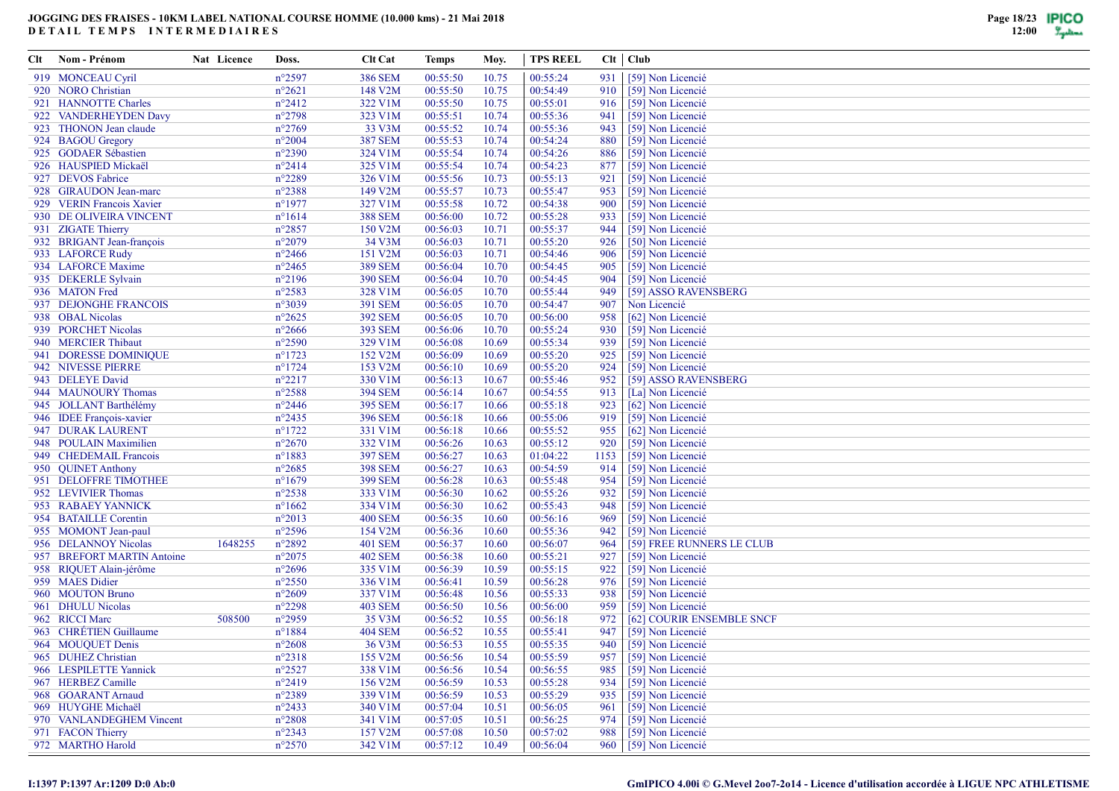| CIt | Nom - Prénom                  | Nat Licence | Doss.           | <b>Clt Cat</b> | Temps    | Moy.  | <b>TPS REEL</b> |      | $Clt$ $Club$              |
|-----|-------------------------------|-------------|-----------------|----------------|----------|-------|-----------------|------|---------------------------|
|     | 919 MONCEAU Cyril             |             | $n^{\circ}2597$ | <b>386 SEM</b> | 00:55:50 | 10.75 | 00:55:24        | 931  | [59] Non Licencié         |
|     | 920 NORO Christian            |             | $n^{\circ}2621$ | 148 V2M        | 00:55:50 | 10.75 | 00:54:49        | 910  | [59] Non Licencié         |
|     | 921 HANNOTTE Charles          |             | $n^{\circ}2412$ | 322 V1M        | 00:55:50 | 10.75 | 00:55:01        | 916  | [59] Non Licencié         |
|     | 922 VANDERHEYDEN Davy         |             | $n^{\circ}2798$ | 323 V1M        | 00:55:51 | 10.74 | 00:55:36        | 941  | [59] Non Licencié         |
|     | 923 THONON Jean claude        |             | $n^{\circ}2769$ | 33 V3M         | 00:55:52 | 10.74 | 00:55:36        | 943  | [59] Non Licencié         |
|     | 924 BAGOU Gregory             |             | $n^{\circ}2004$ | <b>387 SEM</b> | 00:55:53 | 10.74 | 00:54:24        | 880  | [59] Non Licencié         |
|     | 925 GODAER Sébastien          |             | $n^{\circ}2390$ | 324 V1M        | 00:55:54 | 10.74 | 00:54:26        | 886  | [59] Non Licencié         |
|     | 926 HAUSPIED Mickaël          |             | $n^{\circ}2414$ | 325 V1M        | 00:55:54 | 10.74 | 00:54:23        | 877  | [59] Non Licencié         |
|     | 927 DEVOS Fabrice             |             | $n^{\circ}2289$ | 326 V1M        | 00:55:56 | 10.73 | 00:55:13        | 921  | [59] Non Licencié         |
|     | 928 GIRAUDON Jean-marc        |             | $n^{\circ}2388$ | 149 V2M        | 00:55:57 | 10.73 | 00:55:47        | 953  | [59] Non Licencié         |
|     | 929 VERIN Francois Xavier     |             | $n^{\circ}1977$ | 327 V1M        | 00:55:58 | 10.72 | 00:54:38        | 900  | [59] Non Licencié         |
|     | 930 DE OLIVEIRA VINCENT       |             | $n^{\circ}1614$ | <b>388 SEM</b> | 00:56:00 | 10.72 | 00:55:28        | 933  | [59] Non Licencié         |
|     | 931 ZIGATE Thierry            |             | $n^{\circ}2857$ | 150 V2M        | 00:56:03 | 10.71 | 00:55:37        | 944  | [59] Non Licencié         |
|     | 932 BRIGANT Jean-françois     |             | $n^{\circ}2079$ | 34 V3M         | 00:56:03 | 10.71 | 00:55:20        | 926  | [50] Non Licencié         |
|     | 933 LAFORCE Rudy              |             | $n^{\circ}2466$ | 151 V2M        | 00:56:03 | 10.71 | 00:54:46        | 906  | [59] Non Licencié         |
|     | 934 LAFORCE Maxime            |             | $n^{\circ}2465$ | <b>389 SEM</b> | 00:56:04 | 10.70 | 00:54:45        | 905  | [59] Non Licencié         |
|     | 935 DEKERLE Sylvain           |             | $n^{\circ}2196$ | <b>390 SEM</b> | 00:56:04 | 10.70 | 00:54:45        | 904  | [59] Non Licencié         |
|     | 936 MATON Fred                |             | $n^{\circ}2583$ | 328 V1M        | 00:56:05 | 10.70 | 00:55:44        | 949  | [59] ASSO RAVENSBERG      |
|     | 937 DEJONGHE FRANCOIS         |             | n°3039          | 391 SEM        | 00:56:05 | 10.70 | 00:54:47        | 907  | Non Licencié              |
|     | 938 OBAL Nicolas              |             | $n^{\circ}2625$ | <b>392 SEM</b> | 00:56:05 | 10.70 | 00:56:00        | 958  | [62] Non Licencié         |
|     | 939 PORCHET Nicolas           |             | $n^{\circ}2666$ | <b>393 SEM</b> | 00:56:06 | 10.70 | 00:55:24        | 930  | [59] Non Licencié         |
| 940 | <b>MERCIER Thibaut</b>        |             | $n^{\circ}2590$ | 329 V1M        | 00:56:08 | 10.69 | 00:55:34        | 939  | [59] Non Licencié         |
|     | 941 DORESSE DOMINIQUE         |             | $n^{\circ}1723$ | 152 V2M        | 00:56:09 | 10.69 | 00:55:20        | 925  | [59] Non Licencié         |
|     | 942 NIVESSE PIERRE            |             | $n^{\circ}1724$ | 153 V2M        | 00:56:10 | 10.69 | 00:55:20        | 924  | [59] Non Licencié         |
|     | 943 DELEYE David              |             | $n^{\circ}2217$ | 330 V1M        | 00:56:13 | 10.67 | 00:55:46        | 952  | [59] ASSO RAVENSBERG      |
|     | 944 MAUNOURY Thomas           |             | $n^{\circ}2588$ | <b>394 SEM</b> | 00:56:14 | 10.67 | 00:54:55        | 913  | [La] Non Licencié         |
|     | 945 JOLLANT Barthélémy        |             | $n^{\circ}2446$ | <b>395 SEM</b> | 00:56:17 | 10.66 | 00:55:18        | 923  | [62] Non Licencié         |
|     | 946 IDEE François-xavier      |             | $n^{\circ}2435$ | <b>396 SEM</b> | 00:56:18 | 10.66 | 00:55:06        | 919  | [59] Non Licencié         |
|     | 947 DURAK LAURENT             |             | $n^{\circ}1722$ | 331 V1M        | 00:56:18 | 10.66 | 00:55:52        | 955  | [62] Non Licencié         |
|     | 948 POULAIN Maximilien        |             | $n^{\circ}2670$ | 332 V1M        | 00:56:26 | 10.63 | 00:55:12        | 920  | [59] Non Licencié         |
|     | 949 CHEDEMAIL Francois        |             | $n^{\circ}1883$ | <b>397 SEM</b> | 00:56:27 | 10.63 | 01:04:22        | 1153 | [59] Non Licencié         |
|     | 950 QUINET Anthony            |             | $n^{\circ}2685$ | <b>398 SEM</b> | 00:56:27 | 10.63 | 00:54:59        | 914  | [59] Non Licencié         |
|     | 951 DELOFFRE TIMOTHEE         |             | $n^{\circ}1679$ | <b>399 SEM</b> | 00:56:28 | 10.63 | 00:55:48        | 954  | [59] Non Licencié         |
|     | 952 LEVIVIER Thomas           |             | $n^{\circ}2538$ | 333 V1M        | 00:56:30 | 10.62 | 00:55:26        | 932  | [59] Non Licencié         |
|     | 953 RABAEY YANNICK            |             | $n^{\circ}1662$ | 334 V1M        | 00:56:30 | 10.62 | 00:55:43        | 948  | [59] Non Licencié         |
|     | 954 BATAILLE Corentin         |             | $n^{\circ}2013$ | <b>400 SEM</b> | 00:56:35 | 10.60 | 00:56:16        | 969  | [59] Non Licencié         |
|     | 955 MOMONT Jean-paul          |             | $n^{\circ}2596$ | 154 V2M        | 00:56:36 | 10.60 | 00:55:36        | 942  | [59] Non Licencié         |
|     | 956 DELANNOY Nicolas          | 1648255     | $n^{\circ}2892$ | <b>401 SEM</b> | 00:56:37 | 10.60 | 00:56:07        | 964  | [59] FREE RUNNERS LE CLUB |
| 957 | <b>BREFORT MARTIN Antoine</b> |             | $n^{\circ}2075$ | <b>402 SEM</b> | 00:56:38 | 10.60 | 00:55:21        | 927  | [59] Non Licencié         |
|     | 958 RIQUET Alain-jérôme       |             | $n^{\circ}2696$ | 335 V1M        | 00:56:39 | 10.59 | 00:55:15        | 922  | [59] Non Licencié         |
|     | 959 MAES Didier               |             | $n^{\circ}2550$ | 336 V1M        | 00:56:41 | 10.59 | 00:56:28        | 976  | [59] Non Licencié         |
|     | 960 MOUTON Bruno              |             | $n^{\circ}2609$ | 337 V1M        | 00:56:48 | 10.56 | 00:55:33        | 938  | [59] Non Licencié         |
|     | 961 DHULU Nicolas             |             | $n^{\circ}2298$ | <b>403 SEM</b> | 00:56:50 | 10.56 | 00:56:00        | 959  | [59] Non Licencié         |
|     | 962 RICCI Marc                | 508500      | $n^{\circ}2959$ | 35 V3M         | 00:56:52 | 10.55 | 00:56:18        | 972  | [62] COURIR ENSEMBLE SNCF |
|     | 963 CHRÉTIEN Guillaume        |             | $n^{\circ}1884$ | <b>404 SEM</b> | 00:56:52 | 10.55 | 00:55:41        | 947  | [59] Non Licencié         |
|     | 964 MOUQUET Denis             |             | $n^{\circ}2608$ | 36 V3M         | 00:56:53 | 10.55 | 00:55:35        | 940  | [59] Non Licencié         |
|     | 965 DUHEZ Christian           |             | $n^{\circ}2318$ | 155 V2M        | 00:56:56 | 10.54 | 00:55:59        | 957  | [59] Non Licencié         |
|     | 966 LESPILETTE Yannick        |             | $n^{\circ}2527$ | 338 V1M        | 00:56:56 | 10.54 | 00:56:55        | 985  | [59] Non Licencié         |
|     | 967 HERBEZ Camille            |             | $n^{\circ}2419$ | 156 V2M        | 00:56:59 | 10.53 | 00:55:28        | 934  | [59] Non Licencié         |
|     | 968 GOARANT Arnaud            |             | $n^{\circ}2389$ | 339 V1M        | 00:56:59 | 10.53 | 00:55:29        | 935  | [59] Non Licencié         |
|     | 969 HUYGHE Michaël            |             | $n^{\circ}2433$ | 340 V1M        | 00:57:04 | 10.51 | 00:56:05        | 961  | [59] Non Licencié         |
|     | 970 VANLANDEGHEM Vincent      |             | $n^{\circ}2808$ | 341 V1M        | 00:57:05 | 10.51 | 00:56:25        | 974  | [59] Non Licencié         |
|     | 971 FACON Thierry             |             | $n^{\circ}2343$ | 157 V2M        | 00:57:08 | 10.50 | 00:57:02        | 988  | [59] Non Licencié         |
|     | 972 MARTHO Harold             |             | $n^{\circ}2570$ | 342 V1M        | 00:57:12 | 10.49 | 00:56:04        |      | 960 [59] Non Licencié     |

## **I:1397 P:1397 Ar:1209 D:0 Ab:0**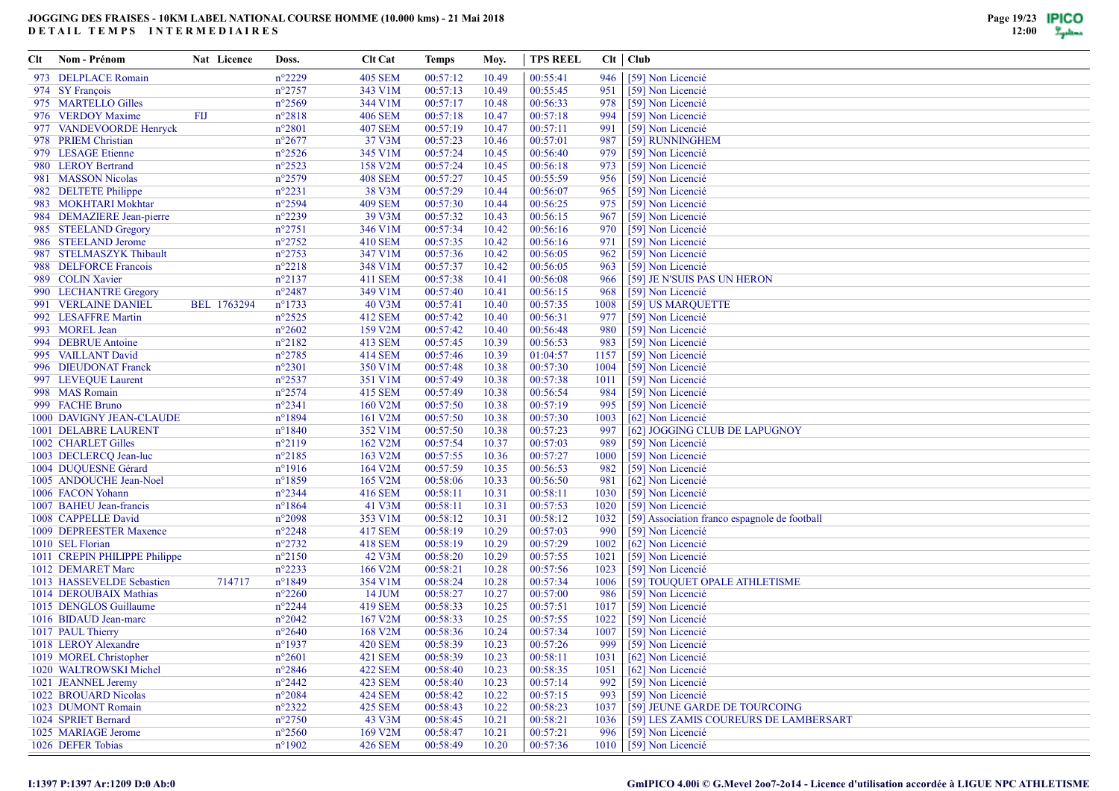| Clt | Nom - Prénom                  | Nat Licence | Doss.            | <b>Clt Cat</b> | Temps    | Moy.  | TPS REEL |      | $Clt$ $Club$                                  |
|-----|-------------------------------|-------------|------------------|----------------|----------|-------|----------|------|-----------------------------------------------|
|     | 973 DELPLACE Romain           |             | $n^{\circ}2229$  | <b>405 SEM</b> | 00:57:12 | 10.49 | 00:55:41 | 946  | [59] Non Licencié                             |
|     | 974 SY François               |             | $n^{\circ}2757$  | 343 V1M        | 00:57:13 | 10.49 | 00:55:45 | 951  | [59] Non Licencié                             |
|     | 975 MARTELLO Gilles           |             | $n^{\circ}2569$  | 344 V1M        | 00:57:17 | 10.48 | 00:56:33 | 978  | [59] Non Licencié                             |
|     | 976 VERDOY Maxime             | FIJ         | $n^{\circ}2818$  | <b>406 SEM</b> | 00:57:18 | 10.47 | 00:57:18 | 994  | [59] Non Licencié                             |
|     | 977 VANDEVOORDE Henryck       |             | $n^{\circ}2801$  | <b>407 SEM</b> | 00:57:19 | 10.47 | 00:57:11 | 991  | [59] Non Licencié                             |
|     | 978 PRIEM Christian           |             | $n^{\circ}2677$  | 37 V3M         | 00:57:23 | 10.46 | 00:57:01 | 987  | [59] RUNNINGHEM                               |
|     | 979 LESAGE Etienne            |             | $n^{\circ}2526$  | 345 V1M        | 00:57:24 | 10.45 | 00:56:40 | 979  | [59] Non Licencié                             |
|     | 980 LEROY Bertrand            |             | $n^{\circ}2523$  | 158 V2M        | 00:57:24 | 10.45 | 00:56:18 | 973  | [59] Non Licencié                             |
|     | 981 MASSON Nicolas            |             | $n^{\circ}2579$  | <b>408 SEM</b> | 00:57:27 | 10.45 | 00:55:59 | 956  | [59] Non Licencié                             |
|     | 982 DELTETE Philippe          |             | $n^{\circ}2231$  | 38 V3M         | 00:57:29 | 10.44 | 00:56:07 | 965  | [59] Non Licencié                             |
|     | 983 MOKHTARI Mokhtar          |             | $n^{\circ}2594$  | <b>409 SEM</b> | 00:57:30 | 10.44 | 00:56:25 | 975  | [59] Non Licencié                             |
|     | 984 DEMAZIERE Jean-pierre     |             | $n^{\circ}2239$  | 39 V3M         | 00:57:32 | 10.43 | 00:56:15 | 967  | [59] Non Licencié                             |
|     | 985 STEELAND Gregory          |             | $n^{\circ}2751$  | 346 V1M        | 00:57:34 | 10.42 | 00:56:16 | 970  | [59] Non Licencié                             |
|     | 986 STEELAND Jerome           |             | $n^{\circ}2752$  | 410 SEM        | 00:57:35 | 10.42 | 00:56:16 | 971  | [59] Non Licencié                             |
|     | 987 STELMASZYK Thibault       |             | $n^{\circ}2753$  | 347 V1M        | 00:57:36 | 10.42 | 00:56:05 | 962  | [59] Non Licencié                             |
|     | 988 DELFORCE Francois         |             | $n^{\circ}2218$  | 348 V1M        | 00:57:37 | 10.42 | 00:56:05 | 963  | [59] Non Licencié                             |
|     | 989 COLIN Xavier              |             | $n^{\circ}2137$  | 411 SEM        | 00:57:38 | 10.41 | 00:56:08 | 966  | [59] JE N'SUIS PAS UN HERON                   |
|     | 990 LECHANTRE Gregory         |             | $n^{\circ}2487$  | 349 V1M        | 00:57:40 | 10.41 | 00:56:15 | 968  | [59] Non Licencié                             |
|     | 991 VERLAINE DANIEL           | BEL 1763294 | $n^{\circ}1733$  | 40 V3M         | 00:57:41 | 10.40 | 00:57:35 | 1008 | [59] US MARQUETTE                             |
|     | 992 LESAFFRE Martin           |             | $n^{\circ}2525$  | 412 SEM        | 00:57:42 | 10.40 | 00:56:31 | 977  | [59] Non Licencié                             |
|     | 993 MOREL Jean                |             | $n^{\circ}2602$  | 159 V2M        | 00:57:42 | 10.40 | 00:56:48 | 980  | [59] Non Licencié                             |
|     | 994 DEBRUE Antoine            |             | $n^{\circ}2182$  | 413 SEM        | 00:57:45 | 10.39 | 00:56:53 | 983  | [59] Non Licencié                             |
|     | 995 VAILLANT David            |             | $n^{\circ}2785$  | 414 SEM        | 00:57:46 | 10.39 | 01:04:57 | 1157 | [59] Non Licencié                             |
|     | 996 DIEUDONAT Franck          |             | $n^{\circ}2301$  | 350 V1M        | 00:57:48 | 10.38 | 00:57:30 | 1004 | [59] Non Licencié                             |
|     | 997 LEVEQUE Laurent           |             | $n^{\circ}2537$  | 351 V1M        | 00:57:49 | 10.38 | 00:57:38 | 1011 | [59] Non Licencié                             |
|     | 998 MAS Romain                |             | $n^{\circ}2574$  | 415 SEM        | 00:57:49 | 10.38 | 00:56:54 | 984  | [59] Non Licencié                             |
|     | 999 FACHE Bruno               |             | $n^{\circ}2341$  | 160 V2M        | 00:57:50 | 10.38 | 00:57:19 | 995  | [59] Non Licencié                             |
|     | 1000 DAVIGNY JEAN-CLAUDE      |             | $n^{\circ}1894$  | 161 V2M        | 00:57:50 | 10.38 | 00:57:30 | 1003 | [62] Non Licencié                             |
|     | 1001 DELABRE LAURENT          |             | $n^{\circ}1840$  | 352 V1M        | 00:57:50 | 10.38 | 00:57:23 | 997  | [62] JOGGING CLUB DE LAPUGNOY                 |
|     | 1002 CHARLET Gilles           |             | $n^{\circ}2119$  | 162 V2M        | 00:57:54 | 10.37 | 00:57:03 | 989  | [59] Non Licencié                             |
|     | 1003 DECLERCQ Jean-luc        |             | $n^{\circ}2185$  | 163 V2M        | 00:57:55 | 10.36 | 00:57:27 | 1000 | [59] Non Licencié                             |
|     | 1004 DUQUESNE Gérard          |             | $n^{\circ}1916$  | 164 V2M        | 00:57:59 | 10.35 | 00:56:53 | 982  | [59] Non Licencié                             |
|     | 1005 ANDOUCHE Jean-Noel       |             | $n^{\circ}1859$  | 165 V2M        | 00:58:06 | 10.33 | 00:56:50 | 981  | [62] Non Licencié                             |
|     | 1006 FACON Yohann             |             | $n^{\circ}2344$  | 416 SEM        | 00:58:11 | 10.31 | 00:58:11 | 1030 | [59] Non Licencié                             |
|     | 1007 BAHEU Jean-francis       |             | $n^{\circ}1864$  | 41 V3M         | 00:58:11 | 10.31 | 00:57:53 | 1020 | [59] Non Licencié                             |
|     | 1008 CAPPELLE David           |             | $n^{\circ}2098$  | 353 V1M        | 00:58:12 | 10.31 | 00:58:12 | 1032 | [59] Association franco espagnole de football |
|     | 1009 DEPREESTER Maxence       |             | $n^{\circ}2248$  | 417 SEM        | 00:58:19 | 10.29 | 00:57:03 | 990  | [59] Non Licencié                             |
|     | 1010 SEL Florian              |             | $n^{\circ}2732$  | 418 SEM        | 00:58:19 | 10.29 | 00:57:29 | 1002 | [62] Non Licencié                             |
|     | 1011 CREPIN PHILIPPE Philippe |             | $n^{\circ}2150$  | 42 V3M         | 00:58:20 | 10.29 | 00:57:55 | 1021 | [59] Non Licencié                             |
|     | 1012 DEMARET Marc             |             | $n^{\circ}2233$  | 166 V2M        | 00:58:21 | 10.28 | 00:57:56 | 1023 | [59] Non Licencié                             |
|     | 1013 HASSEVELDE Sebastien     | 714717      | $n^{\circ}1849$  | 354 V1M        | 00:58:24 | 10.28 | 00:57:34 | 1006 | [59] TOUQUET OPALE ATHLETISME                 |
|     | 1014 DEROUBAIX Mathias        |             | $n^{\circ}2260$  | 14 JUM         | 00:58:27 | 10.27 | 00:57:00 | 986  | [59] Non Licencié                             |
|     | 1015 DENGLOS Guillaume        |             | $n^{\circ}2244$  | 419 SEM        | 00:58:33 | 10.25 | 00:57:51 | 1017 | [59] Non Licencié                             |
|     | 1016 BIDAUD Jean-marc         |             | $n^{\circ}2042$  | 167 V2M        | 00:58:33 | 10.25 | 00:57:55 | 1022 | [59] Non Licencié                             |
|     | 1017 PAUL Thierry             |             | $n^{\circ}2640$  | 168 V2M        | 00:58:36 | 10.24 | 00:57:34 | 1007 | [59] Non Licencié                             |
|     | 1018 LEROY Alexandre          |             | $n^{\circ}$ 1937 | <b>420 SEM</b> | 00:58:39 | 10.23 | 00:57:26 | 999  | [59] Non Licencié                             |
|     | 1019 MOREL Christopher        |             | $n^{\circ}2601$  | 421 SEM        | 00:58:39 | 10.23 | 00:58:11 | 1031 | [62] Non Licencié                             |
|     | 1020 WALTROWSKI Michel        |             | $n^{\circ}2846$  | <b>422 SEM</b> | 00:58:40 | 10.23 | 00:58:35 | 1051 | [62] Non Licencié                             |
|     | 1021 JEANNEL Jeremy           |             | $n^{\circ}2442$  | <b>423 SEM</b> | 00:58:40 | 10.23 | 00:57:14 | 992  | [59] Non Licencié                             |
|     | 1022 BROUARD Nicolas          |             | $n^{\circ}2084$  | <b>424 SEM</b> | 00:58:42 | 10.22 | 00:57:15 | 993  | [59] Non Licencié                             |
|     | 1023 DUMONT Romain            |             | $n^{\circ}2322$  | 425 SEM        | 00:58:43 | 10.22 | 00:58:23 | 1037 | [59] JEUNE GARDE DE TOURCOING                 |
|     | 1024 SPRIET Bernard           |             | $n^{\circ}2750$  | 43 V3M         | 00:58:45 | 10.21 | 00:58:21 | 1036 | [59] LES ZAMIS COUREURS DE LAMBERSART         |
|     | 1025 MARIAGE Jerome           |             | $n^{\circ}2560$  | 169 V2M        | 00:58:47 | 10.21 | 00:57:21 | 996  | [59] Non Licencié                             |
|     | 1026 DEFER Tobias             |             | $n^{\circ}1902$  | <b>426 SEM</b> | 00:58:49 | 10.20 | 00:57:36 |      | 1010 [59] Non Licencié                        |
|     |                               |             |                  |                |          |       |          |      |                                               |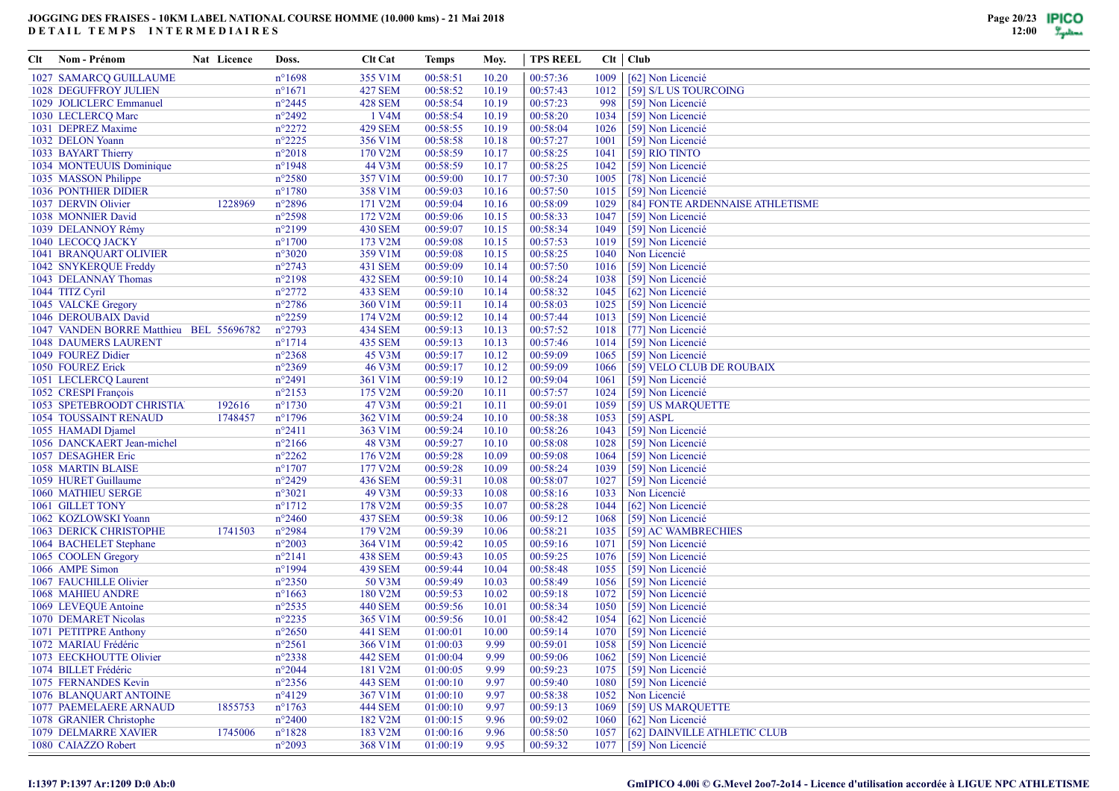| Clt | Nom - Prénom                            | Nat Licence | Doss.            | <b>Clt Cat</b>     | Temps    | Moy.  | <b>TPS REEL</b> |      | Clt   Club                       |
|-----|-----------------------------------------|-------------|------------------|--------------------|----------|-------|-----------------|------|----------------------------------|
|     | 1027 SAMARCQ GUILLAUME                  |             | $n^{\circ}1698$  | 355 V1M            | 00:58:51 | 10.20 | 00:57:36        | 1009 | [62] Non Licencié                |
|     | <b>1028 DEGUFFROY JULIEN</b>            |             | $n^{\circ}1671$  | <b>427 SEM</b>     | 00:58:52 | 10.19 | 00:57:43        | 1012 | [59] S/L US TOURCOING            |
|     | 1029 JOLICLERC Emmanuel                 |             | $n^{\circ}2445$  | <b>428 SEM</b>     | 00:58:54 | 10.19 | 00:57:23        | 998  | [59] Non Licencié                |
|     | 1030 LECLERCQ Marc                      |             | $n^{\circ}2492$  | 1 V <sub>4</sub> M | 00:58:54 | 10.19 | 00:58:20        | 1034 | [59] Non Licencié                |
|     | 1031 DEPREZ Maxime                      |             | $n^{\circ}2272$  | <b>429 SEM</b>     | 00:58:55 | 10.19 | 00:58:04        | 1026 | [59] Non Licencié                |
|     | 1032 DELON Yoann                        |             | $n^{\circ}2225$  | 356 V1M            | 00:58:58 | 10.18 | 00:57:27        | 1001 | [59] Non Licencié                |
|     | 1033 BAYART Thierry                     |             | $n^{\circ}2018$  | 170 V2M            | 00:58:59 | 10.17 | 00:58:25        | 1041 | $\overline{[59]}$ RIO TINTO      |
|     | 1034 MONTEUUIS Dominique                |             | $n^{\circ}$ 1948 | 44 V3M             | 00:58:59 | 10.17 | 00:58:25        | 1042 | [59] Non Licencié                |
|     | 1035 MASSON Philippe                    |             | $n^{\circ}2580$  | 357 V1M            | 00:59:00 | 10.17 | 00:57:30        | 1005 | [78] Non Licencié                |
|     | <b>1036 PONTHIER DIDIER</b>             |             | $n^{\circ}1780$  | 358 V1M            | 00:59:03 | 10.16 | 00:57:50        | 1015 | [59] Non Licencié                |
|     | 1037 DERVIN Olivier                     | 1228969     | $n^{\circ}2896$  | 171 V2M            | 00:59:04 | 10.16 | 00:58:09        | 1029 | [84] FONTE ARDENNAISE ATHLETISME |
|     | 1038 MONNIER David                      |             | $n^{\circ}2598$  | 172 V2M            | 00:59:06 | 10.15 | 00:58:33        | 1047 | [59] Non Licencié                |
|     | 1039 DELANNOY Rémy                      |             | $n^{\circ}2199$  | <b>430 SEM</b>     | 00:59:07 | 10.15 | 00:58:34        | 1049 | [59] Non Licencié                |
|     | 1040 LECOCO JACKY                       |             | $n^{\circ}1700$  | 173 V2M            | 00:59:08 | 10.15 | 00:57:53        | 1019 | [59] Non Licencié                |
|     | <b>1041 BRANQUART OLIVIER</b>           |             | $n^{\circ}3020$  | 359 V1M            | 00:59:08 | 10.15 | 00:58:25        | 1040 | Non Licencié                     |
|     | 1042 SNYKERQUE Freddy                   |             | $n^{\circ}2743$  | 431 SEM            | 00:59:09 | 10.14 | 00:57:50        | 1016 | [59] Non Licencié                |
|     | 1043 DELANNAY Thomas                    |             | $n^{\circ}2198$  | <b>432 SEM</b>     | 00:59:10 | 10.14 | 00:58:24        | 1038 | [59] Non Licencié                |
|     | 1044 TITZ Cyril                         |             | $n^{\circ}2772$  | 433 SEM            | 00:59:10 | 10.14 | 00:58:32        | 1045 | [62] Non Licencié                |
|     | 1045 VALCKE Gregory                     |             | $n^{\circ}2786$  | 360 V1M            | 00:59:11 | 10.14 | 00:58:03        | 1025 | [59] Non Licencié                |
|     | 1046 DEROUBAIX David                    |             | n°2259           | 174 V2M            | 00:59:12 | 10.14 | 00:57:44        | 1013 | [59] Non Licencié                |
|     | 1047 VANDEN BORRE Matthieu BEL 55696782 |             | $n^{\circ}2793$  | <b>434 SEM</b>     | 00:59:13 | 10.13 | 00:57:52        | 1018 | [77] Non Licencié                |
|     | <b>1048 DAUMERS LAURENT</b>             |             | $n^{\circ}1714$  | <b>435 SEM</b>     | 00:59:13 | 10.13 | 00:57:46        | 1014 | [59] Non Licencié                |
|     | 1049 FOUREZ Didier                      |             | $n^{\circ}2368$  | 45 V3M             | 00:59:17 | 10.12 | 00:59:09        | 1065 | [59] Non Licencié                |
|     | 1050 FOUREZ Erick                       |             | n°2369           | 46 V3M             | 00:59:17 | 10.12 | 00:59:09        | 1066 | [59] VELO CLUB DE ROUBAIX        |
|     | 1051 LECLERCQ Laurent                   |             | $n^{\circ}2491$  | 361 V1M            | 00:59:19 | 10.12 | 00:59:04        | 1061 | [59] Non Licencié                |
|     | 1052 CRESPI François                    |             | $n^{\circ}2153$  | 175 V2M            | 00:59:20 | 10.11 | 00:57:57        | 1024 | [59] Non Licencié                |
|     | <b>1053 SPETEBROODT CHRISTIA</b>        | 192616      | $n^{\circ}1730$  | 47 V3M             | 00:59:21 | 10.11 | 00:59:01        | 1059 | [59] US MARQUETTE                |
|     | <b>1054 TOUSSAINT RENAUD</b>            | 1748457     | $n^{\circ}1796$  | 362 V1M            | 00:59:24 | 10.10 | 00:58:38        | 1053 | $[59]$ ASPL                      |
|     | 1055 HAMADI Djamel                      |             | $n^{\circ}2411$  | 363 V1M            | 00:59:24 | 10.10 | 00:58:26        | 1043 | [59] Non Licencié                |
|     | 1056 DANCKAERT Jean-michel              |             | $n^{\circ}2166$  | 48 V3M             | 00:59:27 | 10.10 | 00:58:08        | 1028 | [59] Non Licencié                |
|     | 1057 DESAGHER Eric                      |             | $n^{\circ}2262$  | 176 V2M            | 00:59:28 | 10.09 | 00:59:08        | 1064 | [59] Non Licencié                |
|     | 1058 MARTIN BLAISE                      |             | $n^{\circ}1707$  | 177 V2M            | 00:59:28 | 10.09 | 00:58:24        | 1039 | [59] Non Licencié                |
|     | 1059 HURET Guillaume                    |             | $n^{\circ}2429$  | <b>436 SEM</b>     | 00:59:31 | 10.08 | 00:58:07        | 1027 | [59] Non Licencié                |
|     | 1060 MATHIEU SERGE                      |             | $n^{\circ}3021$  | 49 V3M             | 00:59:33 | 10.08 | 00:58:16        | 1033 | Non Licencié                     |
|     | 1061 GILLET TONY                        |             | $n^{\circ}1712$  | 178 V2M            | 00:59:35 | 10.07 | 00:58:28        | 1044 | [62] Non Licencié                |
|     | 1062 KOZLOWSKI Yoann                    |             | $n^{\circ}2460$  | <b>437 SEM</b>     | 00:59:38 | 10.06 | 00:59:12        | 1068 | [59] Non Licencié                |
|     | <b>1063 DERICK CHRISTOPHE</b>           | 1741503     | $n^{\circ}2984$  | 179 V2M            | 00:59:39 | 10.06 | 00:58:21        | 1035 | [59] AC WAMBRECHIES              |
|     | 1064 BACHELET Stephane                  |             | $n^{\circ}2003$  | 364 V1M            | 00:59:42 | 10.05 | 00:59:16        | 1071 | [59] Non Licencié                |
|     | 1065 COOLEN Gregory                     |             | $n^{\circ}2141$  | <b>438 SEM</b>     | 00:59:43 | 10.05 | 00:59:25        | 1076 | [59] Non Licencié                |
|     | 1066 AMPE Simon                         |             | $n^{\circ}$ 1994 | <b>439 SEM</b>     | 00:59:44 | 10.04 | 00:58:48        | 1055 | [59] Non Licencié                |
|     | 1067 FAUCHILLE Olivier                  |             | $n^{\circ}2350$  | 50 V3M             | 00:59:49 | 10.03 | 00:58:49        | 1056 | [59] Non Licencié                |
|     | 1068 MAHIEU ANDRE                       |             | $n^{\circ}1663$  | 180 V2M            | 00:59:53 | 10.02 | 00:59:18        | 1072 | [59] Non Licencié                |
|     | 1069 LEVEQUE Antoine                    |             | $n^{\circ}2535$  | <b>440 SEM</b>     | 00:59:56 | 10.01 | 00:58:34        | 1050 | [59] Non Licencié                |
|     | 1070 DEMARET Nicolas                    |             | $n^{\circ}2235$  | 365 V1M            | 00:59:56 | 10.01 | 00:58:42        | 1054 | [62] Non Licencié                |
|     | 1071 PETITPRE Anthony                   |             | $n^{\circ}2650$  | <b>441 SEM</b>     | 01:00:01 | 10.00 | 00:59:14        | 1070 | [59] Non Licencié                |
|     | 1072 MARIAU Frédéric                    |             | $n^{\circ}2561$  | 366 V1M            | 01:00:03 | 9.99  | 00:59:01        | 1058 | [59] Non Licencié                |
|     | 1073 EECKHOUTTE Olivier                 |             | $n^{\circ}2338$  | <b>442 SEM</b>     | 01:00:04 | 9.99  | 00:59:06        | 1062 | [59] Non Licencié                |
|     | 1074 BILLET Frédéric                    |             | $n^{\circ}2044$  | 181 V2M            | 01:00:05 | 9.99  | 00:59:23        | 1075 | [59] Non Licencié                |
|     | 1075 FERNANDES Kevin                    |             | $n^{\circ}2356$  | <b>443 SEM</b>     | 01:00:10 | 9.97  | 00:59:40        | 1080 | [59] Non Licencié                |
|     | 1076 BLANQUART ANTOINE                  |             | $n^{\circ}4129$  | 367 V1M            | 01:00:10 | 9.97  | 00:58:38        | 1052 | Non Licencié                     |
|     | 1077 PAEMELAERE ARNAUD                  | 1855753     | $n^{\circ}1763$  | <b>444 SEM</b>     | 01:00:10 | 9.97  | 00:59:13        | 1069 | [59] US MARQUETTE                |
|     | 1078 GRANIER Christophe                 |             | $n^{\circ}2400$  | 182 V2M            | 01:00:15 | 9.96  | 00:59:02        | 1060 | [62] Non Licencié                |
|     | <b>1079 DELMARRE XAVIER</b>             | 1745006     | $n^{\circ}1828$  | 183 V2M            | 01:00:16 | 9.96  | 00:58:50        | 1057 | [62] DAINVILLE ATHLETIC CLUB     |
|     | 1080 CAIAZZO Robert                     |             | $n^{\circ}2093$  | 368 V1M            | 01:00:19 | 9.95  | 00:59:32        |      | 1077   [59] Non Licencié         |

#### **I:1397 P:1397 Ar:1209 D:0 Ab:0**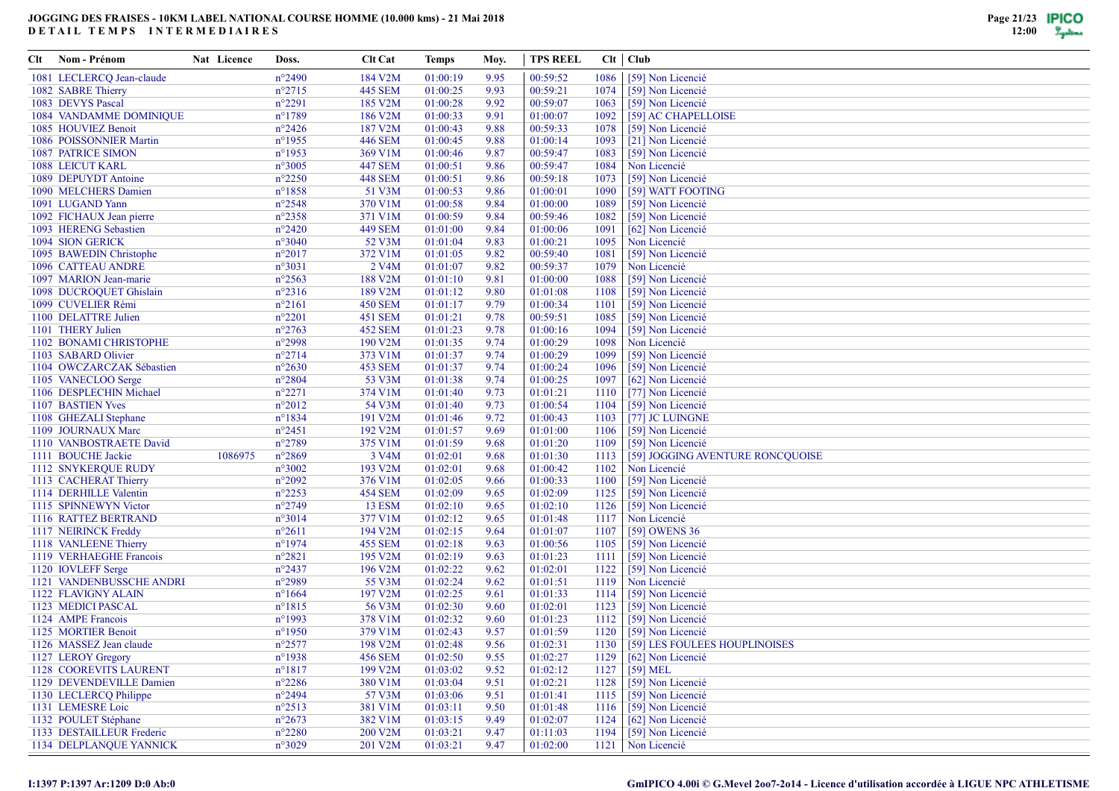| Clt | Nom - Prénom                   | Nat Licence | Doss.            | <b>Clt Cat</b>     | Temps    | Moy. | TPS REEL |      | $Clt$   $Club$                   |
|-----|--------------------------------|-------------|------------------|--------------------|----------|------|----------|------|----------------------------------|
|     | 1081 LECLERCQ Jean-claude      |             | $n^{\circ}2490$  | 184 V2M            | 01:00:19 | 9.95 | 00:59:52 | 1086 | [59] Non Licencié                |
|     | 1082 SABRE Thierry             |             | $n^{\circ}2715$  | <b>445 SEM</b>     | 01:00:25 | 9.93 | 00:59:21 | 1074 | [59] Non Licencié                |
|     | 1083 DEVYS Pascal              |             | $n^{\circ}2291$  | 185 V2M            | 01:00:28 | 9.92 | 00:59:07 | 1063 | [59] Non Licencié                |
|     | 1084 VANDAMME DOMINIQUE        |             | n°1789           | 186 V2M            | 01:00:33 | 9.91 | 01:00:07 | 1092 | [59] AC CHAPELLOISE              |
|     | 1085 HOUVIEZ Benoit            |             | $n^{\circ}2426$  | 187 V2M            | 01:00:43 | 9.88 | 00:59:33 | 1078 | [59] Non Licencié                |
|     | 1086 POISSONNIER Martin        |             | $n^{\circ}$ 1955 | <b>446 SEM</b>     | 01:00:45 | 9.88 | 01:00:14 | 1093 | [21] Non Licencié                |
|     | 1087 PATRICE SIMON             |             | n°1953           | 369 V1M            | 01:00:46 | 9.87 | 00:59:47 | 1083 | [59] Non Licencié                |
|     | 1088 LEICUT KARL               |             | $n^{\circ}3005$  | <b>447 SEM</b>     | 01:00:51 | 9.86 | 00:59:47 | 1084 | Non Licencié                     |
|     | 1089 DEPUYDT Antoine           |             | $n^{\circ}2250$  | <b>448 SEM</b>     | 01:00:51 | 9.86 | 00:59:18 | 1073 | [59] Non Licencié                |
|     | 1090 MELCHERS Damien           |             | $n^{\circ}$ 1858 | 51 V3M             | 01:00:53 | 9.86 | 01:00:01 | 1090 | [59] WATT FOOTING                |
|     | 1091 LUGAND Yann               |             | $n^{\circ}2548$  | 370 V1M            | 01:00:58 | 9.84 | 01:00:00 | 1089 | [59] Non Licencié                |
|     | 1092 FICHAUX Jean pierre       |             | $n^{\circ}2358$  | 371 V1M            | 01:00:59 | 9.84 | 00:59:46 | 1082 | [59] Non Licencié                |
|     | 1093 HERENG Sebastien          |             | $n^{\circ}2420$  | <b>449 SEM</b>     | 01:01:00 | 9.84 | 01:00:06 | 1091 | [62] Non Licencié                |
|     | 1094 SION GERICK               |             | $n^{\circ}3040$  | 52 V3M             | 01:01:04 | 9.83 | 01:00:21 | 1095 | Non Licencié                     |
|     | 1095 BAWEDIN Christophe        |             | $n^{\circ}2017$  | 372 V1M            | 01:01:05 | 9.82 | 00:59:40 | 1081 | [59] Non Licencié                |
|     | 1096 CATTEAU ANDRE             |             | $n^{\circ}3031$  | 2 V <sub>4</sub> M | 01:01:07 | 9.82 | 00:59:37 | 1079 | Non Licencié                     |
|     | 1097 MARION Jean-marie         |             | $n^{\circ}2563$  | 188 V2M            | 01:01:10 | 9.81 | 01:00:00 | 1088 | [59] Non Licencié                |
|     | 1098 DUCROQUET Ghislain        |             | $n^{\circ}2316$  | 189 V2M            | 01:01:12 | 9.80 | 01:01:08 | 1108 | [59] Non Licencié                |
|     | 1099 CUVELIER Rémi             |             | $n^{\circ}2161$  | <b>450 SEM</b>     | 01:01:17 | 9.79 | 01:00:34 | 1101 | [59] Non Licencié                |
|     | 1100 DELATTRE Julien           |             | $n^{\circ}2201$  | 451 SEM            | 01:01:21 | 9.78 | 00:59:51 | 1085 | [59] Non Licencié                |
|     | 1101 THERY Julien              |             | $n^{\circ}2763$  | <b>452 SEM</b>     | 01:01:23 | 9.78 | 01:00:16 | 1094 | [59] Non Licencié                |
|     | 1102 BONAMI CHRISTOPHE         |             | n°2998           | 190 V2M            | 01:01:35 | 9.74 | 01:00:29 | 1098 | Non Licencié                     |
|     | 1103 SABARD Olivier            |             | $n^{\circ}2714$  | 373 V1M            | 01:01:37 | 9.74 | 01:00:29 | 1099 | [59] Non Licencié                |
|     | 1104 OWCZARCZAK Sébastien      |             | $n^{\circ}2630$  | 453 SEM            | 01:01:37 | 9.74 | 01:00:24 | 1096 | [59] Non Licencié                |
|     | 1105 VANECLOO Serge            |             | $n^{\circ}2804$  | 53 V3M             | 01:01:38 | 9.74 | 01:00:25 | 1097 | [62] Non Licencié                |
|     | 1106 DESPLECHIN Michael        |             | $n^{\circ}2271$  | 374 V1M            | 01:01:40 | 9.73 | 01:01:21 | 1110 | [77] Non Licencié                |
|     | 1107 BASTIEN Yves              |             | $n^{\circ}2012$  | 54 V3M             | 01:01:40 | 9.73 | 01:00:54 | 1104 | [59] Non Licencié                |
|     | 1108 GHEZALI Stephane          |             | $n^{\circ}1834$  | 191 V2M            | 01:01:46 | 9.72 | 01:00:43 | 1103 | [77] JC LUINGNE                  |
|     | 1109 JOURNAUX Marc             |             | $n^{\circ}2451$  | 192 V2M            | 01:01:57 | 9.69 | 01:01:00 | 1106 | [59] Non Licencié                |
|     | 1110 VANBOSTRAETE David        |             | n°2789           | 375 V1M            | 01:01:59 | 9.68 | 01:01:20 | 1109 | [59] Non Licencié                |
|     | 1111 BOUCHE Jackie             | 1086975     | $n^{\circ}2869$  | 3 V4M              | 01:02:01 | 9.68 | 01:01:30 | 1113 | [59] JOGGING AVENTURE RONCQUOISE |
|     | 1112 SNYKERQUE RUDY            |             | $n^{\circ}3002$  | 193 V2M            | 01:02:01 | 9.68 | 01:00:42 | 1102 | Non Licencié                     |
|     | 1113 CACHERAT Thierry          |             | $n^{\circ}2092$  | 376 V1M            | 01:02:05 | 9.66 | 01:00:33 | 1100 | [59] Non Licencié                |
|     | 1114 DERHILLE Valentin         |             | $n^{\circ}2253$  | <b>454 SEM</b>     | 01:02:09 | 9.65 | 01:02:09 | 1125 | [59] Non Licencié                |
|     | 1115 SPINNEWYN Victor          |             | n°2749           | <b>13 ESM</b>      | 01:02:10 | 9.65 | 01:02:10 | 1126 | [59] Non Licencié                |
|     | 1116 RATTEZ BERTRAND           |             | $n^{\circ}3014$  | 377 V1M            | 01:02:12 | 9.65 | 01:01:48 | 1117 | Non Licencié                     |
|     | 1117 NEIRINCK Freddy           |             | $n^{\circ}2611$  | 194 V2M            | 01:02:15 | 9.64 | 01:01:07 | 1107 | [59] OWENS 36                    |
|     | 1118 VANLEENE Thierry          |             | $n^{\circ}1974$  | <b>455 SEM</b>     | 01:02:18 | 9.63 | 01:00:56 | 1105 | [59] Non Licencié                |
|     | 1119 VERHAEGHE Francois        |             | $n^{\circ}2821$  | 195 V2M            | 01:02:19 | 9.63 | 01:01:23 | 1111 | [59] Non Licencié                |
|     | 1120 IOVLEFF Serge             |             | $n^{\circ}2437$  | 196 V2M            | 01:02:22 | 9.62 | 01:02:01 | 1122 | [59] Non Licencié                |
|     | 1121 VANDENBUSSCHE ANDRI       |             | n°2989           | 55 V3M             | 01:02:24 | 9.62 | 01:01:51 | 1119 | Non Licencié                     |
|     | 1122 FLAVIGNY ALAIN            |             | $n^{\circ}1664$  | 197 V2M            | 01:02:25 | 9.61 | 01:01:33 | 1114 | [59] Non Licencié                |
|     | 1123 MEDICI PASCAL             |             | $n^{\circ}1815$  | 56 V3M             | 01:02:30 | 9.60 | 01:02:01 | 1123 | [59] Non Licencié                |
|     | 1124 AMPE Francois             |             | n°1993           | 378 V1M            | 01:02:32 | 9.60 | 01:01:23 | 1112 | [59] Non Licencié                |
|     | 1125 MORTIER Benoit            |             | $n^{\circ}$ 1950 | 379 V1M            | 01:02:43 | 9.57 | 01:01:59 | 1120 | [59] Non Licencié                |
|     | 1126 MASSEZ Jean claude        |             | $n^{\circ}2577$  | 198 V2M            | 01:02:48 | 9.56 | 01:02:31 | 1130 | [59] LES FOULEES HOUPLINOISES    |
|     | 1127 LEROY Gregory             |             | $n^{\circ}$ 1938 | <b>456 SEM</b>     | 01:02:50 | 9.55 | 01:02:27 | 1129 | [62] Non Licencié                |
|     | 1128 COOREVITS LAURENT         |             | $n^{\circ}1817$  | 199 V2M            | 01:03:02 | 9.52 | 01:02:12 | 1127 | $[59] \,\mathrm{MEL}$            |
|     | 1129 DEVENDEVILLE Damien       |             | $n^{\circ}2286$  | 380 V1M            | 01:03:04 | 9.51 | 01:02:21 | 1128 | [59] Non Licencié                |
|     | 1130 LECLERCQ Philippe         |             | $n^{\circ}2494$  | 57 V3M             | 01:03:06 | 9.51 | 01:01:41 | 1115 | [59] Non Licencié                |
|     | 1131 LEMESRE Loic              |             | $n^{\circ}2513$  | 381 V1M            | 01:03:11 | 9.50 | 01:01:48 | 1116 | [59] Non Licencié                |
|     | 1132 POULET Stéphane           |             | $n^{\circ}2673$  | 382 V1M            | 01:03:15 | 9.49 | 01:02:07 | 1124 | [62] Non Licencié                |
|     | 1133 DESTAILLEUR Frederic      |             | $n^{\circ}2280$  | 200 V2M            | 01:03:21 | 9.47 | 01:11:03 | 1194 | [59] Non Licencié                |
|     | <b>1134 DELPLANOUE YANNICK</b> |             | $n^{\circ}3029$  | 201 V2M            | 01:03:21 | 9.47 | 01:02:00 |      | 1121 Non Licencié                |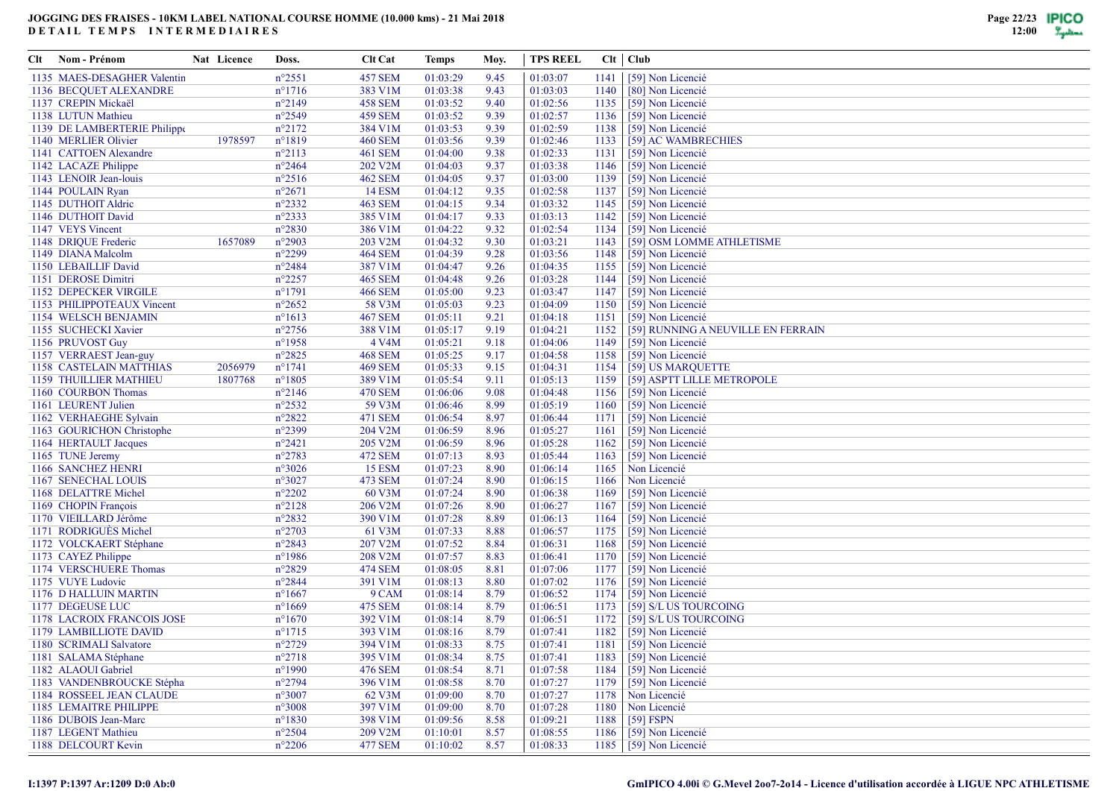| Clt Nom - Prénom             | Nat Licence | Doss.            | <b>Clt Cat</b> | Temps    | Moy. | <b>TPS REEL</b> |      | Clt   Club                         |
|------------------------------|-------------|------------------|----------------|----------|------|-----------------|------|------------------------------------|
| 1135 MAES-DESAGHER Valentin  |             | $n^{\circ}2551$  | <b>457 SEM</b> | 01:03:29 | 9.45 | 01:03:07        | 1141 | [59] Non Licencié                  |
| 1136 BECQUET ALEXANDRE       |             | $n^{\circ}1716$  | 383 V1M        | 01:03:38 | 9.43 | 01:03:03        | 1140 | [80] Non Licencié                  |
| 1137 CREPIN Mickaël          |             | $n^{\circ}2149$  | <b>458 SEM</b> | 01:03:52 | 9.40 | 01:02:56        | 1135 | [59] Non Licencié                  |
| 1138 LUTUN Mathieu           |             | $n^{\circ}2549$  | <b>459 SEM</b> | 01:03:52 | 9.39 | 01:02:57        | 1136 | [59] Non Licencié                  |
| 1139 DE LAMBERTERIE Philippe |             | $n^{\circ}2172$  | 384 V1M        | 01:03:53 | 9.39 | 01:02:59        | 1138 | [59] Non Licencié                  |
| 1140 MERLIER Olivier         | 1978597     | $n^{\circ}1819$  | <b>460 SEM</b> | 01:03:56 | 9.39 | 01:02:46        | 1133 | [59] AC WAMBRECHIES                |
| 1141 CATTOEN Alexandre       |             | $n^{\circ}2113$  | 461 SEM        | 01:04:00 | 9.38 | 01:02:33        | 1131 | [59] Non Licencié                  |
| 1142 LACAZE Philippe         |             | $n^{\circ}2464$  | 202 V2M        | 01:04:03 | 9.37 | 01:03:38        | 1146 | [59] Non Licencié                  |
| 1143 LENOIR Jean-louis       |             | $n^{\circ}2516$  | <b>462 SEM</b> | 01:04:05 | 9.37 | 01:03:00        | 1139 | [59] Non Licencié                  |
| 1144 POULAIN Ryan            |             | $n^{\circ}2671$  | <b>14 ESM</b>  | 01:04:12 | 9.35 | 01:02:58        | 1137 | [59] Non Licencié                  |
| 1145 DUTHOIT Aldrie          |             | $n^{\circ}2332$  | <b>463 SEM</b> | 01:04:15 | 9.34 | 01:03:32        | 1145 | [59] Non Licencié                  |
| 1146 DUTHOIT David           |             | $n^{\circ}2333$  | 385 V1M        | 01:04:17 | 9.33 | 01:03:13        | 1142 | [59] Non Licencié                  |
| 1147 VEYS Vincent            |             | $n^{\circ}2830$  | 386 V1M        | 01:04:22 | 9.32 | 01:02:54        | 1134 | [59] Non Licencié                  |
| 1148 DRIQUE Frederic         | 1657089     | $n^{\circ}2903$  | 203 V2M        | 01:04:32 | 9.30 | 01:03:21        | 1143 | [59] OSM LOMME ATHLETISME          |
| 1149 DIANA Malcolm           |             | $n^{\circ}2299$  | <b>464 SEM</b> | 01:04:39 | 9.28 | 01:03:56        | 1148 | [59] Non Licencié                  |
| 1150 LEBAILLIF David         |             | $n^{\circ}2484$  | 387 V1M        | 01:04:47 | 9.26 | 01:04:35        | 1155 | [59] Non Licencié                  |
| 1151 DEROSE Dimitri          |             | $n^{\circ}2257$  | <b>465 SEM</b> | 01:04:48 | 9.26 | 01:03:28        | 1144 | [59] Non Licencié                  |
| 1152 DEPECKER VIRGILE        |             | $n^{\circ}1791$  | <b>466 SEM</b> | 01:05:00 | 9.23 | 01:03:47        | 1147 | [59] Non Licencié                  |
| 1153 PHILIPPOTEAUX Vincent   |             | $n^{\circ}2652$  | 58 V3M         | 01:05:03 | 9.23 | 01:04:09        | 1150 | [59] Non Licencié                  |
| 1154 WELSCH BENJAMIN         |             | $n^{\circ}1613$  | <b>467 SEM</b> | 01:05:11 | 9.21 | 01:04:18        | 1151 | [59] Non Licencié                  |
| 1155 SUCHECKI Xavier         |             | $n^{\circ}2756$  | 388 V1M        | 01:05:17 | 9.19 | 01:04:21        | 1152 | [59] RUNNING A NEUVILLE EN FERRAIN |
| 1156 PRUVOST Guy             |             | $n^{\circ}$ 1958 | 4 V4M          | 01:05:21 | 9.18 | 01:04:06        | 1149 | [59] Non Licencié                  |
| 1157 VERRAEST Jean-guy       |             | $n^{\circ}2825$  | <b>468 SEM</b> | 01:05:25 | 9.17 | 01:04:58        | 1158 | [59] Non Licencié                  |
| 1158 CASTELAIN MATTHIAS      | 2056979     | $n^{\circ}1741$  | <b>469 SEM</b> | 01:05:33 | 9.15 | 01:04:31        | 1154 | [59] US MARQUETTE                  |
| 1159 THUILLIER MATHIEU       | 1807768     | $n^{\circ}1805$  | 389 V1M        | 01:05:54 | 9.11 | 01:05:13        | 1159 | [59] ASPTT LILLE METROPOLE         |
| 1160 COURBON Thomas          |             | $n^{\circ}2146$  | 470 SEM        | 01:06:06 | 9.08 | 01:04:48        | 1156 | [59] Non Licencié                  |
| 1161 LEURENT Julien          |             | $n^{\circ}2532$  | 59 V3M         | 01:06:46 | 8.99 | 01:05:19        | 1160 | [59] Non Licencié                  |
| 1162 VERHAEGHE Sylvain       |             | $n^{\circ}2822$  | 471 SEM        | 01:06:54 | 8.97 | 01:06:44        | 1171 | [59] Non Licencié                  |
| 1163 GOURICHON Christophe    |             | $n^{\circ}2399$  | 204 V2M        | 01:06:59 | 8.96 | 01:05:27        | 1161 | [59] Non Licencié                  |
| 1164 HERTAULT Jacques        |             | $n^{\circ}2421$  | 205 V2M        | 01:06:59 | 8.96 | 01:05:28        | 1162 | [59] Non Licencié                  |
| 1165 TUNE Jeremy             |             | $n^{\circ}2783$  | 472 SEM        | 01:07:13 | 8.93 | 01:05:44        | 1163 | [59] Non Licencié                  |
| 1166 SANCHEZ HENRI           |             | $n^{\circ}3026$  | <b>15 ESM</b>  | 01:07:23 | 8.90 | 01:06:14        | 1165 | Non Licencié                       |
| 1167 SENECHAL LOUIS          |             | $n^{\circ}3027$  | 473 SEM        | 01:07:24 | 8.90 | 01:06:15        | 1166 | Non Licencié                       |
| 1168 DELATTRE Michel         |             | $n^{\circ}2202$  | 60 V3M         | 01:07:24 | 8.90 | 01:06:38        | 1169 | [59] Non Licencié                  |
| 1169 CHOPIN François         |             | $n^{\circ}2128$  | 206 V2M        | 01:07:26 | 8.90 | 01:06:27        | 1167 | [59] Non Licencié                  |
| 1170 VIEILLARD Jérôme        |             | $n^{\circ}2832$  | 390 V1M        | 01:07:28 | 8.89 | 01:06:13        | 1164 | [59] Non Licencié                  |
| 1171 RODRIGUÈS Michel        |             | $n^{\circ}2703$  | 61 V3M         | 01:07:33 | 8.88 | 01:06:57        | 1175 | [59] Non Licencié                  |
| 1172 VOLCKAERT Stéphane      |             | $n^{\circ}2843$  | 207 V2M        | 01:07:52 | 8.84 | 01:06:31        | 1168 | [59] Non Licencié                  |
| 1173 CAYEZ Philippe          |             | $n^{\circ}$ 1986 | 208 V2M        | 01:07:57 | 8.83 | 01:06:41        | 1170 | [59] Non Licencié                  |
| 1174 VERSCHUERE Thomas       |             | $n^{\circ}2829$  | <b>474 SEM</b> | 01:08:05 | 8.81 | 01:07:06        | 1177 | [59] Non Licencié                  |
| 1175 VUYE Ludovic            |             | $n^{\circ}2844$  | 391 V1M        | 01:08:13 | 8.80 | 01:07:02        | 1176 | [59] Non Licencié                  |
| 1176 D HALLUIN MARTIN        |             | $n^{\circ}1667$  | 9 CAM          | 01:08:14 | 8.79 | 01:06:52        | 1174 | [59] Non Licencié                  |
| 1177 DEGEUSE LUC             |             | $n^{\circ}1669$  | 475 SEM        | 01:08:14 | 8.79 | 01:06:51        |      | 1173 [59] S/L US TOURCOING         |
| 1178 LACROIX FRANCOIS JOSE   |             | $n^{\circ}1670$  | 392 V1M        | 01:08:14 | 8.79 | 01:06:51        | 1172 | [59] S/L US TOURCOING              |
| 1179 LAMBILLIOTE DAVID       |             | $n^{\circ}1715$  | 393 V1M        | 01:08:16 | 8.79 | 01:07:41        | 1182 | [59] Non Licencié                  |
| 1180 SCRIMALI Salvatore      |             | $n^{\circ}2729$  | 394 V1M        | 01:08:33 | 8.75 | 01:07:41        | 1181 | [59] Non Licencié                  |
| 1181 SALAMA Stéphane         |             | $n^{\circ}2718$  | 395 V1M        | 01:08:34 | 8.75 | 01:07:41        |      | 1183 [59] Non Licencié             |
| 1182 ALAOUI Gabriel          |             | $n^{\circ}1990$  | 476 SEM        | 01:08:54 | 8.71 | 01:07:58        |      | $1184$ [59] Non Licencié           |
| 1183 VANDENBROUCKE Stépha    |             | $n^{\circ}2794$  | 396 V1M        | 01:08:58 | 8.70 | 01:07:27        | 1179 | [59] Non Licencié                  |
| 1184 ROSSEEL JEAN CLAUDE     |             | $n^{\circ}3007$  | 62 V3M         | 01:09:00 | 8.70 | 01:07:27        | 1178 | Non Licencié                       |
| 1185 LEMAITRE PHILIPPE       |             | $n^{\circ}3008$  | 397 V1M        | 01:09:00 | 8.70 | 01:07:28        | 1180 | Non Licencié                       |
| 1186 DUBOIS Jean-Marc        |             | $n^{\circ}1830$  | 398 V1M        | 01:09:56 | 8.58 | 01:09:21        | 1188 | $[59]$ FSPN                        |
| 1187 LEGENT Mathieu          |             | $n^{\circ}2504$  | 209 V2M        | 01:10:01 | 8.57 | 01:08:55        | 1186 | [59] Non Licencié                  |
| 1188 DELCOURT Kevin          |             | $n^{\circ}2206$  | <b>477 SEM</b> | 01:10:02 | 8.57 | 01:08:33        |      | 1185 [59] Non Licencié             |